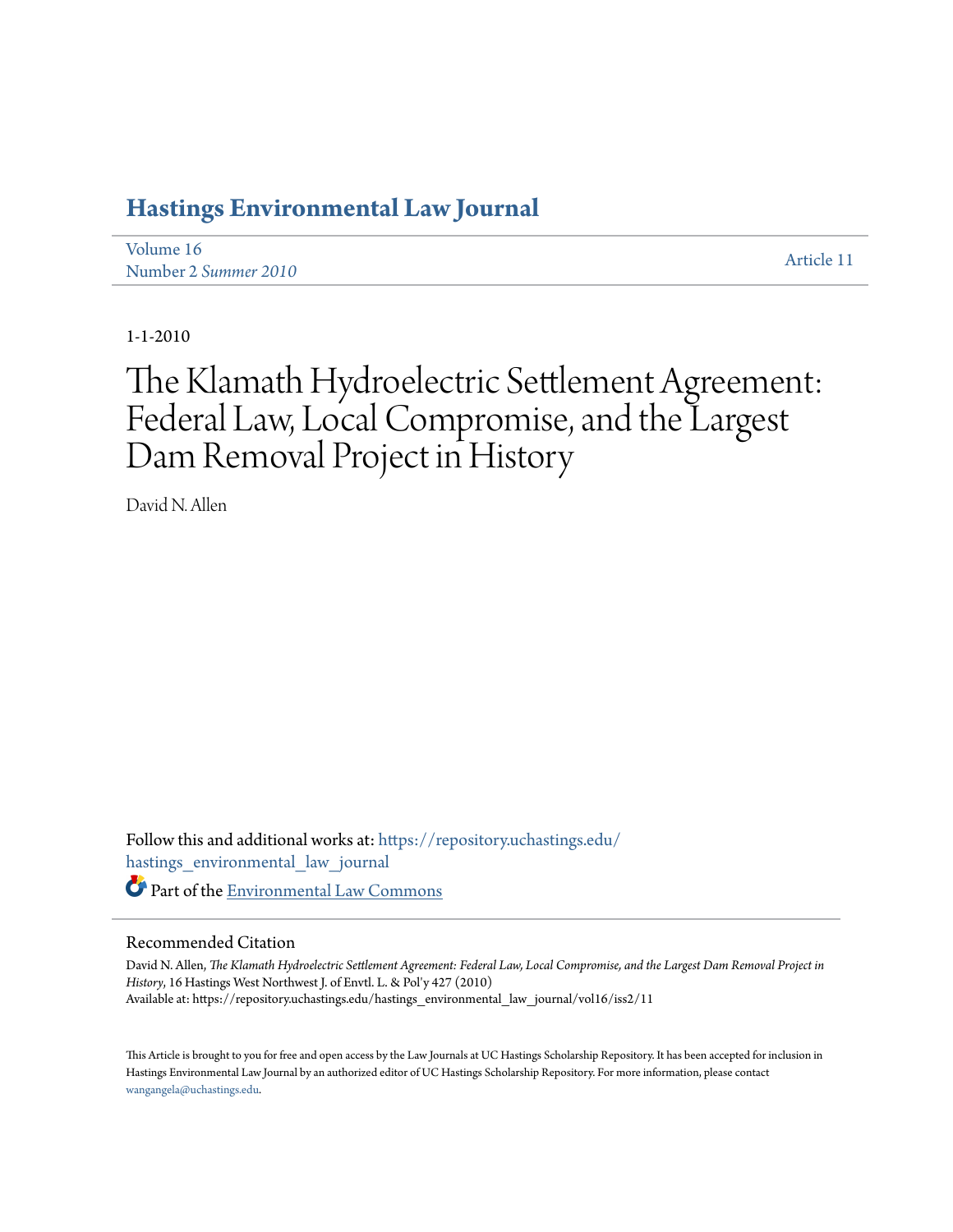# **[Hastings Environmental Law Journal](https://repository.uchastings.edu/hastings_environmental_law_journal?utm_source=repository.uchastings.edu%2Fhastings_environmental_law_journal%2Fvol16%2Fiss2%2F11&utm_medium=PDF&utm_campaign=PDFCoverPages)**

[Volume 16](https://repository.uchastings.edu/hastings_environmental_law_journal/vol16?utm_source=repository.uchastings.edu%2Fhastings_environmental_law_journal%2Fvol16%2Fiss2%2F11&utm_medium=PDF&utm_campaign=PDFCoverPages) Number 2 *[Summer 2010](https://repository.uchastings.edu/hastings_environmental_law_journal/vol16/iss2?utm_source=repository.uchastings.edu%2Fhastings_environmental_law_journal%2Fvol16%2Fiss2%2F11&utm_medium=PDF&utm_campaign=PDFCoverPages)* [Article 11](https://repository.uchastings.edu/hastings_environmental_law_journal/vol16/iss2/11?utm_source=repository.uchastings.edu%2Fhastings_environmental_law_journal%2Fvol16%2Fiss2%2F11&utm_medium=PDF&utm_campaign=PDFCoverPages)

1-1-2010

# The Klamath Hydroelectric Settlement Agreement: Federal Law, Local Compromise, and the Largest Dam Removal Project in History

David N. Allen

Follow this and additional works at: [https://repository.uchastings.edu/](https://repository.uchastings.edu/hastings_environmental_law_journal?utm_source=repository.uchastings.edu%2Fhastings_environmental_law_journal%2Fvol16%2Fiss2%2F11&utm_medium=PDF&utm_campaign=PDFCoverPages) [hastings\\_environmental\\_law\\_journal](https://repository.uchastings.edu/hastings_environmental_law_journal?utm_source=repository.uchastings.edu%2Fhastings_environmental_law_journal%2Fvol16%2Fiss2%2F11&utm_medium=PDF&utm_campaign=PDFCoverPages) Part of the [Environmental Law Commons](http://network.bepress.com/hgg/discipline/599?utm_source=repository.uchastings.edu%2Fhastings_environmental_law_journal%2Fvol16%2Fiss2%2F11&utm_medium=PDF&utm_campaign=PDFCoverPages)

# Recommended Citation

David N. Allen, *The Klamath Hydroelectric Settlement Agreement: Federal Law, Local Compromise, and the Largest Dam Removal Project in History*, 16 Hastings West Northwest J. of Envtl. L. & Pol'y 427 (2010) Available at: https://repository.uchastings.edu/hastings\_environmental\_law\_journal/vol16/iss2/11

This Article is brought to you for free and open access by the Law Journals at UC Hastings Scholarship Repository. It has been accepted for inclusion in Hastings Environmental Law Journal by an authorized editor of UC Hastings Scholarship Repository. For more information, please contact [wangangela@uchastings.edu](mailto:wangangela@uchastings.edu).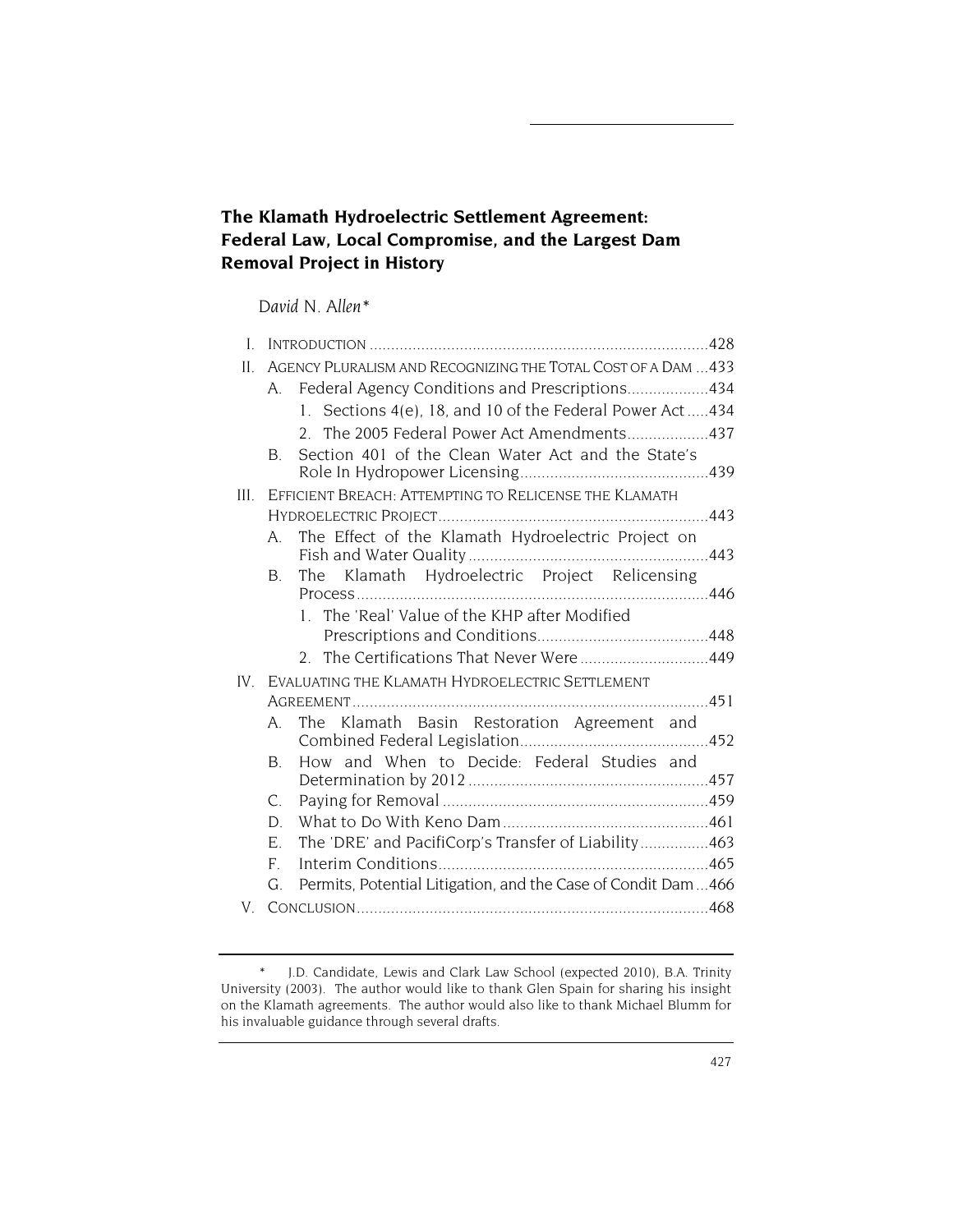# **The Klamath Hydroelectric Settlement Agreement: Federal Law, Local Compromise, and the Largest Dam Removal Project in History**

# *David N. Allen\**

| I.   |                                                                    |  |
|------|--------------------------------------------------------------------|--|
| II.  | AGENCY PLURALISM AND RECOGNIZING THE TOTAL COST OF A DAM  433      |  |
|      | Federal Agency Conditions and Prescriptions434<br>A                |  |
|      | 1. Sections 4(e), 18, and 10 of the Federal Power Act434           |  |
|      | 2. The 2005 Federal Power Act Amendments437                        |  |
|      | Section 401 of the Clean Water Act and the State's<br>B.           |  |
|      | III. EFFICIENT BREACH: ATTEMPTING TO RELICENSE THE KLAMATH         |  |
|      |                                                                    |  |
|      | The Effect of the Klamath Hydroelectric Project on<br>A            |  |
|      | The Klamath Hydroelectric Project Relicensing<br><b>B</b> .        |  |
|      | 1. The 'Real' Value of the KHP after Modified                      |  |
|      |                                                                    |  |
|      | 2. The Certifications That Never Were449                           |  |
| IV — | EVALUATING THE KLAMATH HYDROELECTRIC SETTLEMENT                    |  |
|      |                                                                    |  |
|      | The Klamath Basin Restoration Agreement and<br>A                   |  |
|      | How and When to Decide: Federal Studies and<br>B.                  |  |
|      |                                                                    |  |
|      | $C_{\cdot}$                                                        |  |
|      | D.                                                                 |  |
|      | The 'DRE' and PacifiCorp's Transfer of Liability463<br>E.          |  |
|      | $F_{\cdot}$                                                        |  |
|      | Permits, Potential Litigation, and the Case of Condit Dam466<br>G. |  |
| V.   |                                                                    |  |

<sup>\*</sup> J.D. Candidate, Lewis and Clark Law School (expected 2010), B.A. Trinity University (2003). The author would like to thank Glen Spain for sharing his insight on the Klamath agreements. The author would also like to thank Michael Blumm for his invaluable guidance through several drafts.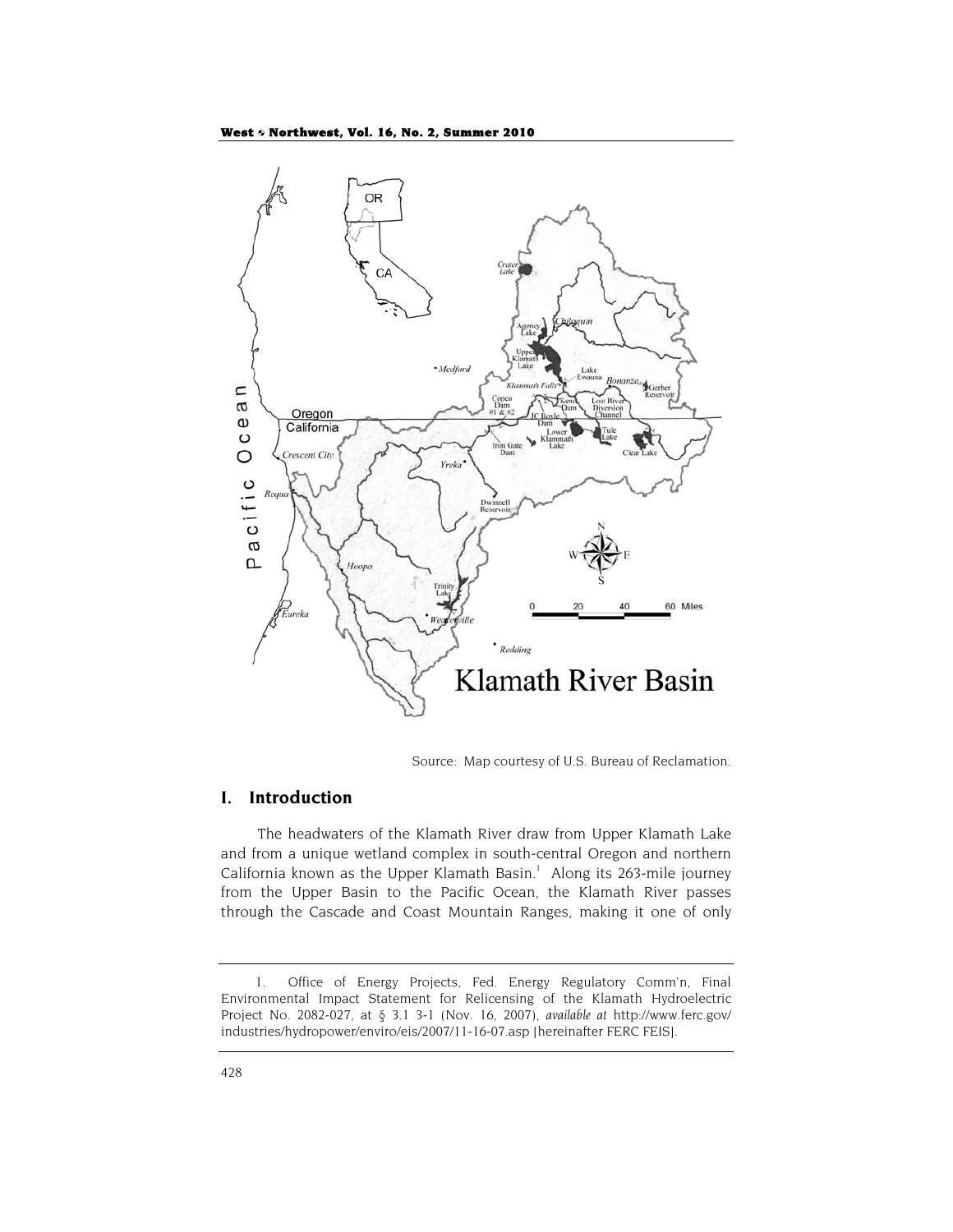

Source: Map courtesy of U.S. Bureau of Reclamation.

# **I. Introduction**

The headwaters of the Klamath River draw from Upper Klamath Lake and from a unique wetland complex in south-central Oregon and northern California known as the Upper Klamath Basin.<sup>1</sup> Along its 263-mile journey from the Upper Basin to the Pacific Ocean, the Klamath River passes through the Cascade and Coast Mountain Ranges, making it one of only

<sup>1.</sup> Office of Energy Projects, Fed. Energy Regulatory Comm'n, Final Environmental Impact Statement for Relicensing of the Klamath Hydroelectric Project No. 2082-027, at § 3.1 3-1 (Nov. 16, 2007), *available at* http://www.ferc.gov/ industries/hydropower/enviro/eis/2007/11-16-07.asp [hereinafter FERC FEIS].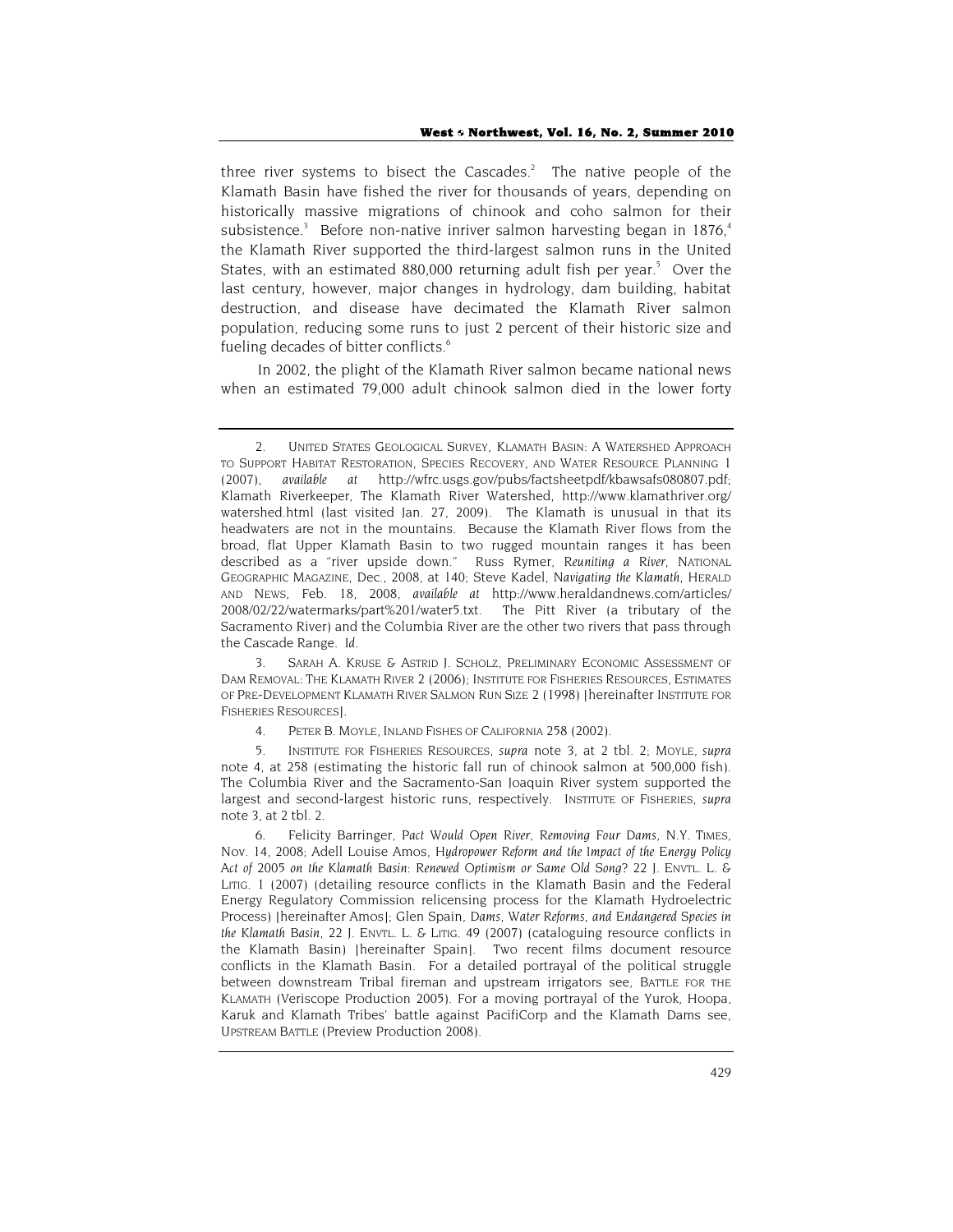three river systems to bisect the Cascades.<sup>2</sup> The native people of the Klamath Basin have fished the river for thousands of years, depending on historically massive migrations of chinook and coho salmon for their subsistence.<sup>3</sup> Before non-native inriver salmon harvesting began in 1876,<sup>4</sup> the Klamath River supported the third-largest salmon runs in the United States, with an estimated 880,000 returning adult fish per year.<sup>5</sup> Over the last century, however, major changes in hydrology, dam building, habitat destruction, and disease have decimated the Klamath River salmon population, reducing some runs to just 2 percent of their historic size and fueling decades of bitter conflicts.<sup>6</sup>

In 2002, the plight of the Klamath River salmon became national news when an estimated 79,000 adult chinook salmon died in the lower forty

3. SARAH A. KRUSE & ASTRID J. SCHOLZ, PRELIMINARY ECONOMIC ASSESSMENT OF DAM REMOVAL: THE KLAMATH RIVER 2 (2006); INSTITUTE FOR FISHERIES RESOURCES, ESTIMATES OF PRE-DEVELOPMENT KLAMATH RIVER SALMON RUN SIZE 2 (1998) [hereinafter INSTITUTE FOR FISHERIES RESOURCES].

<sup>2.</sup> UNITED STATES GEOLOGICAL SURVEY, KLAMATH BASIN: A WATERSHED APPROACH TO SUPPORT HABITAT RESTORATION, SPECIES RECOVERY, AND WATER RESOURCE PLANNING 1 (2007), *available at* http://wfrc.usgs.gov/pubs/factsheetpdf/kbawsafs080807.pdf; Klamath Riverkeeper, The Klamath River Watershed, http://www.klamathriver.org/ watershed.html (last visited Jan. 27, 2009). The Klamath is unusual in that its headwaters are not in the mountains. Because the Klamath River flows from the broad, flat Upper Klamath Basin to two rugged mountain ranges it has been described as a "river upside down." Russ Rymer, *Reuniting a River*, NATIONAL GEOGRAPHIC MAGAZINE, Dec., 2008, at 140; Steve Kadel, *Navigating the Klamath*, HERALD AND NEWS, Feb. 18, 2008, *available at* http://www.heraldandnews.com/articles/ 2008/02/22/watermarks/part%201/water5.txt. The Pitt River (a tributary of the Sacramento River) and the Columbia River are the other two rivers that pass through the Cascade Range. *Id.*

<sup>4.</sup> PETER B. MOYLE, INLAND FISHES OF CALIFORNIA 258 (2002).

<sup>5.</sup> INSTITUTE FOR FISHERIES RESOURCES, *supra* note 3, at 2 tbl. 2; MOYLE, *supra* note 4, at 258 (estimating the historic fall run of chinook salmon at 500,000 fish). The Columbia River and the Sacramento-San Joaquin River system supported the largest and second-largest historic runs, respectively. INSTITUTE OF FISHERIES, *supra* note 3, at 2 tbl. 2.

<sup>6.</sup> Felicity Barringer, *Pact Would Open River, Removing Four Dams*, N.Y. TIMES, Nov. 14, 2008; Adell Louise Amos, *Hydropower Reform and the Impact of the Energy Policy Act of 2005 on the Klamath Basin: Renewed Optimism or Same Old Song?* 22 J. ENVTL. L. & LITIG. 1 (2007) (detailing resource conflicts in the Klamath Basin and the Federal Energy Regulatory Commission relicensing process for the Klamath Hydroelectric Process) [hereinafter Amos]; Glen Spain, *Dams, Water Reforms, and Endangered Species in the Klamath Basin*, 22 J. ENVTL. L. & LITIG. 49 (2007) (cataloguing resource conflicts in the Klamath Basin) [hereinafter Spain]. Two recent films document resource conflicts in the Klamath Basin. For a detailed portrayal of the political struggle between downstream Tribal fireman and upstream irrigators see, BATTLE FOR THE KLAMATH (Veriscope Production 2005). For a moving portrayal of the Yurok, Hoopa, Karuk and Klamath Tribes' battle against PacifiCorp and the Klamath Dams see, UPSTREAM BATTLE (Preview Production 2008).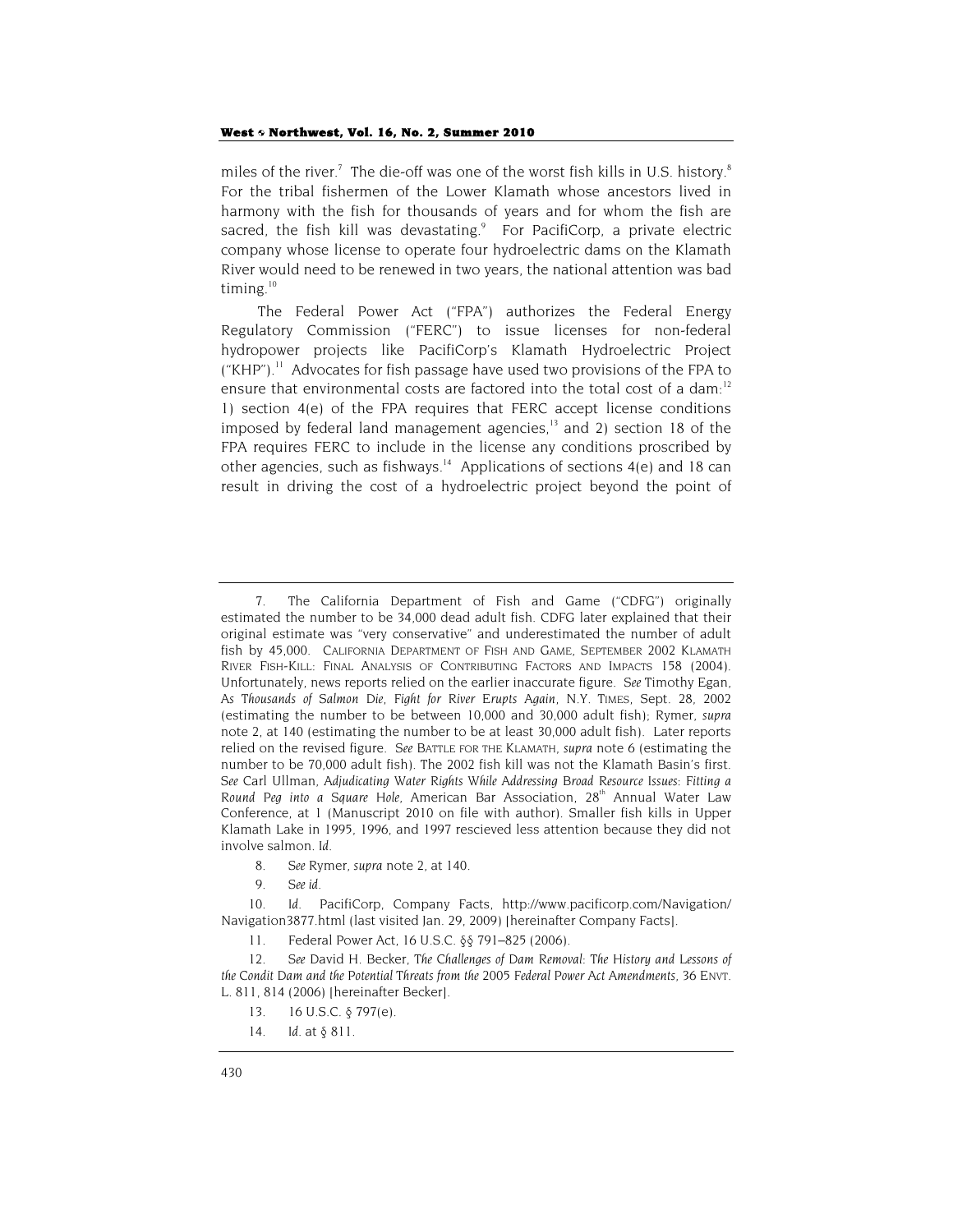miles of the river.<sup>7</sup> The die-off was one of the worst fish kills in U.S. history.<sup>8</sup> For the tribal fishermen of the Lower Klamath whose ancestors lived in harmony with the fish for thousands of years and for whom the fish are sacred, the fish kill was devastating. $\degree$  For PacifiCorp, a private electric company whose license to operate four hydroelectric dams on the Klamath River would need to be renewed in two years, the national attention was bad timing. $10$ 

The Federal Power Act ("FPA") authorizes the Federal Energy Regulatory Commission ("FERC") to issue licenses for non-federal hydropower projects like PacifiCorp's Klamath Hydroelectric Project  $($ "KHP" $)$ .<sup>11</sup> Advocates for fish passage have used two provisions of the FPA to ensure that environmental costs are factored into the total cost of a dam:<sup>12</sup> 1) section 4(e) of the FPA requires that FERC accept license conditions imposed by federal land management agencies,<sup>13</sup> and 2) section 18 of the FPA requires FERC to include in the license any conditions proscribed by other agencies, such as fishways.<sup>14</sup> Applications of sections  $4(e)$  and 18 can result in driving the cost of a hydroelectric project beyond the point of

- 8*. See* Rymer, *supra* note 2, at 140.
- 9*. See id.*

10*. Id.* PacifiCorp, Company Facts, http://www.pacificorp.com/Navigation/ Navigation3877.html (last visited Jan. 29, 2009) [hereinafter Company Facts].

11. Federal Power Act, 16 U.S.C. §§ 791–825 (2006).

<sup>7.</sup> The California Department of Fish and Game ("CDFG") originally estimated the number to be 34,000 dead adult fish. CDFG later explained that their original estimate was "very conservative" and underestimated the number of adult fish by 45,000. CALIFORNIA DEPARTMENT OF FISH AND GAME, SEPTEMBER 2002 KLAMATH RIVER FISH-KILL: FINAL ANALYSIS OF CONTRIBUTING FACTORS AND IMPACTS 158 (2004). Unfortunately, news reports relied on the earlier inaccurate figure. *See* Timothy Egan, *As Thousands of Salmon Die, Fight for River Erupts Again*, N.Y. TIMES, Sept. 28, 2002 (estimating the number to be between 10,000 and 30,000 adult fish); Rymer, *supra* note 2, at 140 (estimating the number to be at least 30,000 adult fish). Later reports relied on the revised figure. *See* BATTLE FOR THE KLAMATH, *supra* note 6 (estimating the number to be 70,000 adult fish). The 2002 fish kill was not the Klamath Basin's first. *See* Carl Ullman, *Adjudicating Water Rights While Addressing Broad Resource Issues: Fitting a*  Round Peg into a Square Hole, American Bar Association, 28<sup>th</sup> Annual Water Law Conference, at 1 (Manuscript 2010 on file with author). Smaller fish kills in Upper Klamath Lake in 1995, 1996, and 1997 rescieved less attention because they did not involve salmon. *Id.* 

<sup>12</sup>*. See* David H. Becker, *The Challenges of Dam Removal: The History and Lessons of the Condit Dam and the Potential Threats from the 2005 Federal Power Act Amendments*, 36 ENVT. L. 811, 814 (2006) [hereinafter Becker].

<sup>13.</sup> 16 U.S.C. § 797(e).

<sup>14</sup>*. Id.* at § 811.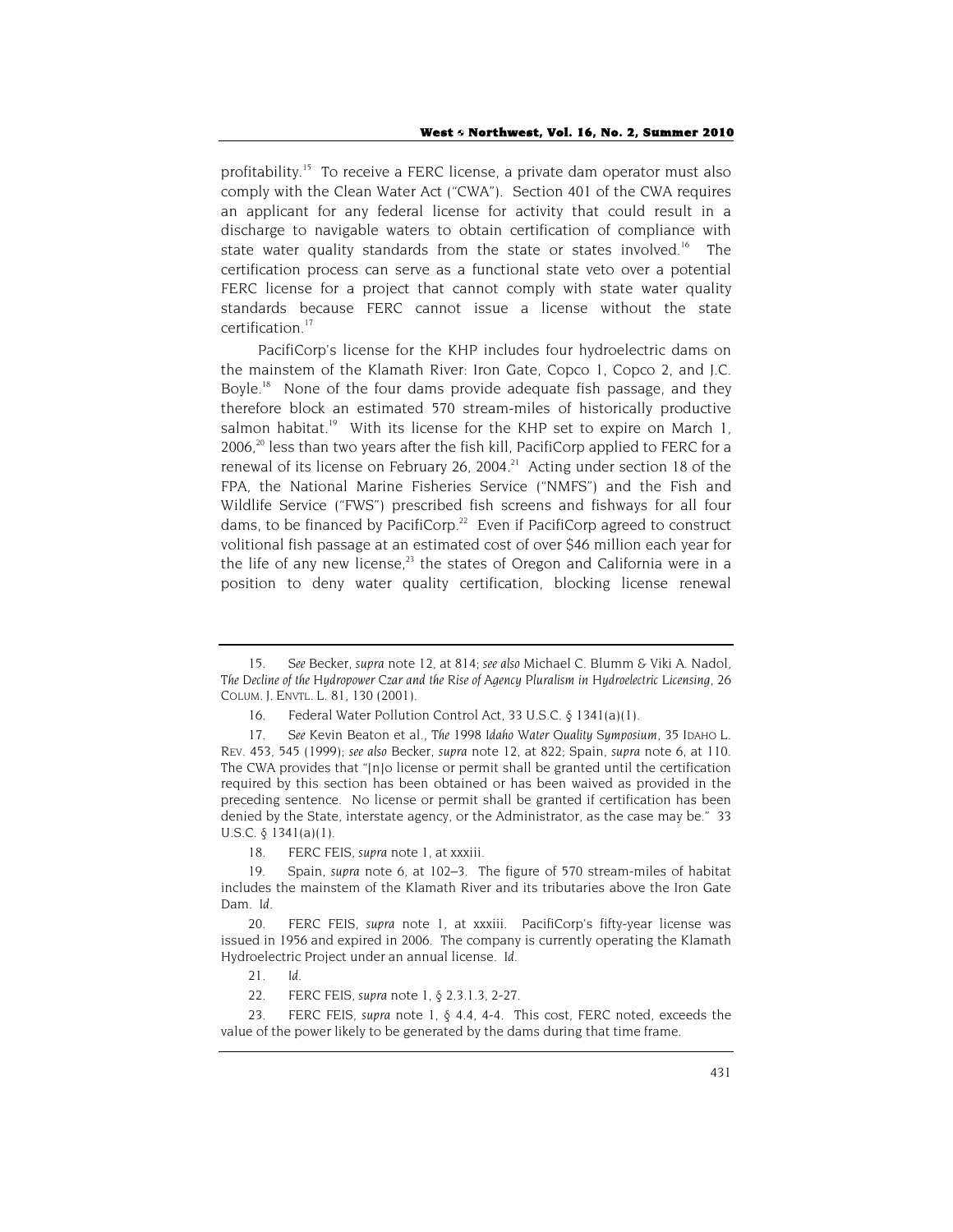profitability.<sup>15</sup> To receive a FERC license, a private dam operator must also comply with the Clean Water Act ("CWA"). Section 401 of the CWA requires an applicant for any federal license for activity that could result in a discharge to navigable waters to obtain certification of compliance with state water quality standards from the state or states involved.<sup>16</sup> The certification process can serve as a functional state veto over a potential FERC license for a project that cannot comply with state water quality standards because FERC cannot issue a license without the state certification.<sup>17</sup>

PacifiCorp's license for the KHP includes four hydroelectric dams on the mainstem of the Klamath River: Iron Gate, Copco 1, Copco 2, and J.C. Boyle.<sup>18</sup> None of the four dams provide adequate fish passage, and they therefore block an estimated 570 stream-miles of historically productive salmon habitat.<sup>19</sup> With its license for the KHP set to expire on March 1, 2006.<sup>20</sup> less than two years after the fish kill, PacifiCorp applied to FERC for a renewal of its license on February 26, 2004.<sup>21</sup> Acting under section 18 of the FPA, the National Marine Fisheries Service ("NMFS") and the Fish and Wildlife Service ("FWS") prescribed fish screens and fishways for all four dams, to be financed by PacifiCorp. $2^2$  Even if PacifiCorp agreed to construct volitional fish passage at an estimated cost of over \$46 million each year for the life of any new license, $^{23}$  the states of Oregon and California were in a position to deny water quality certification, blocking license renewal

<sup>15</sup>*. See* Becker, *supra* note 12, at 814; *see also* Michael C. Blumm & Viki A. Nadol, *The Decline of the Hydropower Czar and the Rise of Agency Pluralism in Hydroelectric Licensing*, 26 COLUM. J. ENVTL. L. 81, 130 (2001).

<sup>16.</sup> Federal Water Pollution Control Act, 33 U.S.C. § 1341(a)(1).

<sup>17</sup>*. See* Kevin Beaton et al., *The 1998 Idaho Water Quality Symposium*, 35 IDAHO L. REV. 453, 545 (1999); *see also* Becker, *supra* note 12, at 822; Spain, *supra* note 6, at 110. The CWA provides that "[n]o license or permit shall be granted until the certification required by this section has been obtained or has been waived as provided in the preceding sentence. No license or permit shall be granted if certification has been denied by the State, interstate agency, or the Administrator, as the case may be." 33 U.S.C.  $\delta$  1341(a)(1).

<sup>18.</sup> FERC FEIS, *supra* note 1, at xxxiii.

<sup>19.</sup> Spain, *supra* note 6, at 102–3. The figure of 570 stream-miles of habitat includes the mainstem of the Klamath River and its tributaries above the Iron Gate Dam. *Id.*

<sup>20.</sup> FERC FEIS, *supra* note 1, at xxxiii. PacifiCorp's fifty-year license was issued in 1956 and expired in 2006. The company is currently operating the Klamath Hydroelectric Project under an annual license. *Id.*

<sup>21</sup>*. Id.*

<sup>22.</sup> FERC FEIS, *supra* note 1, § 2.3.1.3, 2-27.

<sup>23.</sup> FERC FEIS, *supra* note 1, § 4.4, 4-4. This cost, FERC noted, exceeds the value of the power likely to be generated by the dams during that time frame.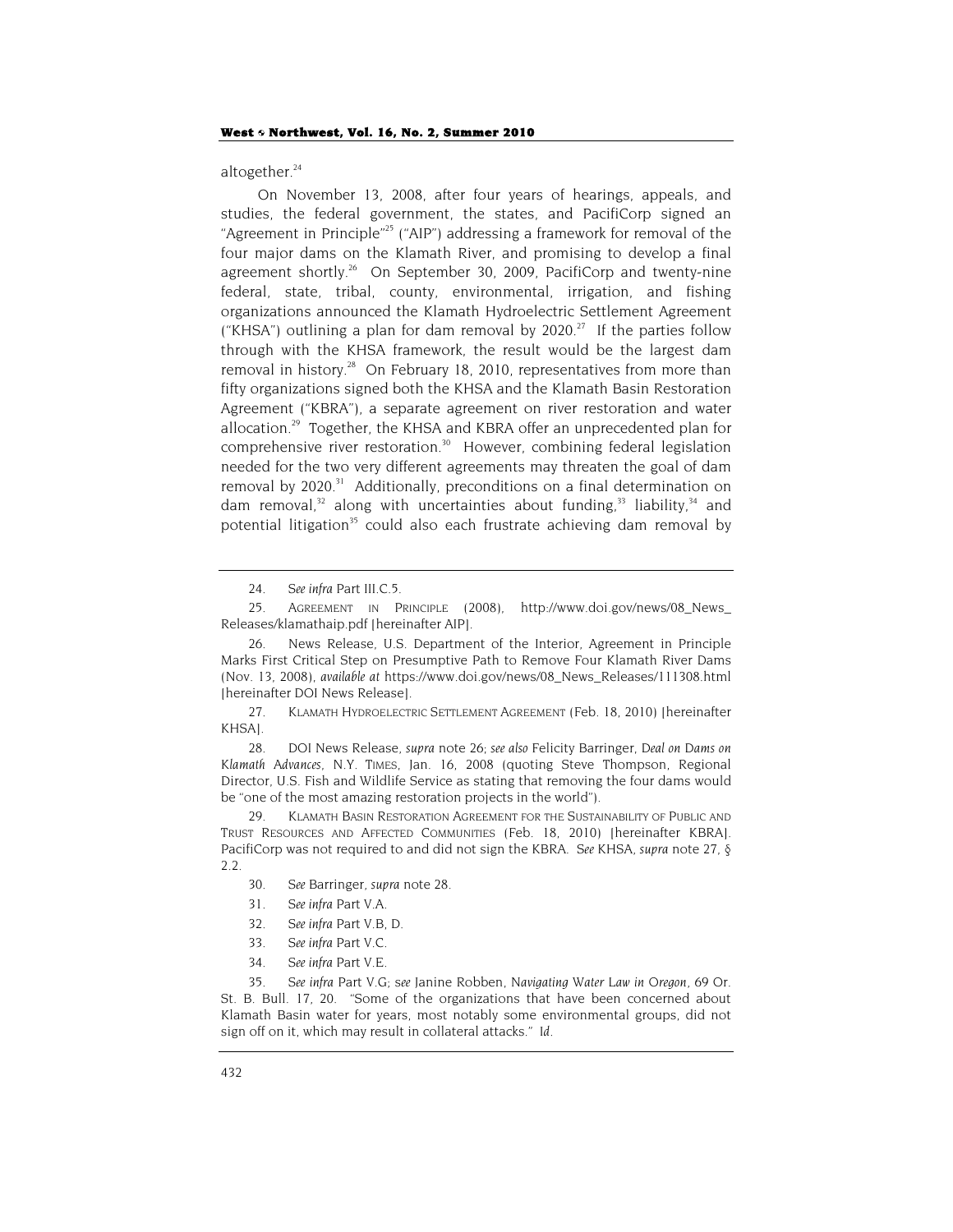altogether. $24$ 

On November 13, 2008, after four years of hearings, appeals, and studies, the federal government, the states, and PacifiCorp signed an "Agreement in Principle"25 ("AIP") addressing a framework for removal of the four major dams on the Klamath River, and promising to develop a final agreement shortly.<sup>26</sup> On September 30, 2009, PacifiCorp and twenty-nine federal, state, tribal, county, environmental, irrigation, and fishing organizations announced the Klamath Hydroelectric Settlement Agreement ("KHSA") outlining a plan for dam removal by  $2020$ .<sup>27</sup> If the parties follow through with the KHSA framework, the result would be the largest dam removal in history.<sup>28</sup> On February 18, 2010, representatives from more than fifty organizations signed both the KHSA and the Klamath Basin Restoration Agreement ("KBRA"), a separate agreement on river restoration and water allocation.<sup>29</sup> Together, the KHSA and KBRA offer an unprecedented plan for comprehensive river restoration.<sup>30</sup> However, combining federal legislation needed for the two very different agreements may threaten the goal of dam removal by 2020.<sup>31</sup> Additionally, preconditions on a final determination on dam removal,<sup>32</sup> along with uncertainties about funding,<sup>33</sup> liability,<sup>34</sup> and potential litigation<sup>35</sup> could also each frustrate achieving dam removal by

27. KLAMATH HYDROELECTRIC SETTLEMENT AGREEMENT (Feb. 18, 2010) [hereinafter KHSA].

28. DOI News Release, *supra* note 26; *see also* Felicity Barringer, *Deal on Dams on Klamath Advances*, N.Y. TIMES, Jan. 16, 2008 (quoting Steve Thompson, Regional Director, U.S. Fish and Wildlife Service as stating that removing the four dams would be "one of the most amazing restoration projects in the world").

29. KLAMATH BASIN RESTORATION AGREEMENT FOR THE SUSTAINABILITY OF PUBLIC AND TRUST RESOURCES AND AFFECTED COMMUNITIES (Feb. 18, 2010) [hereinafter KBRA]. PacifiCorp was not required to and did not sign the KBRA. *See* KHSA, *supra* note 27, § 2.2.

- 30*. See* Barringer, *supra* note 28.
- 31*. See infra* Part V.A.
- 32*. See infra* Part V.B, D.
- 33*. See infra* Part V.C.
- 34*. See infra* Part V.E.

35*. See infra* Part V.G; s*ee* Janine Robben, *Navigating Water Law in Oregon*, 69 Or. St. B. Bull. 17, 20. "Some of the organizations that have been concerned about Klamath Basin water for years, most notably some environmental groups, did not sign off on it, which may result in collateral attacks." *Id.*

<sup>24</sup>*. See infra* Part III.C.5.

<sup>25.</sup> AGREEMENT IN PRINCIPLE (2008), http://www.doi.gov/news/08\_News\_ Releases/klamathaip.pdf [hereinafter AIP].

<sup>26.</sup> News Release, U.S. Department of the Interior, Agreement in Principle Marks First Critical Step on Presumptive Path to Remove Four Klamath River Dams (Nov. 13, 2008), *available at* https://www.doi.gov/news/08\_News\_Releases/111308.html [hereinafter DOI News Release].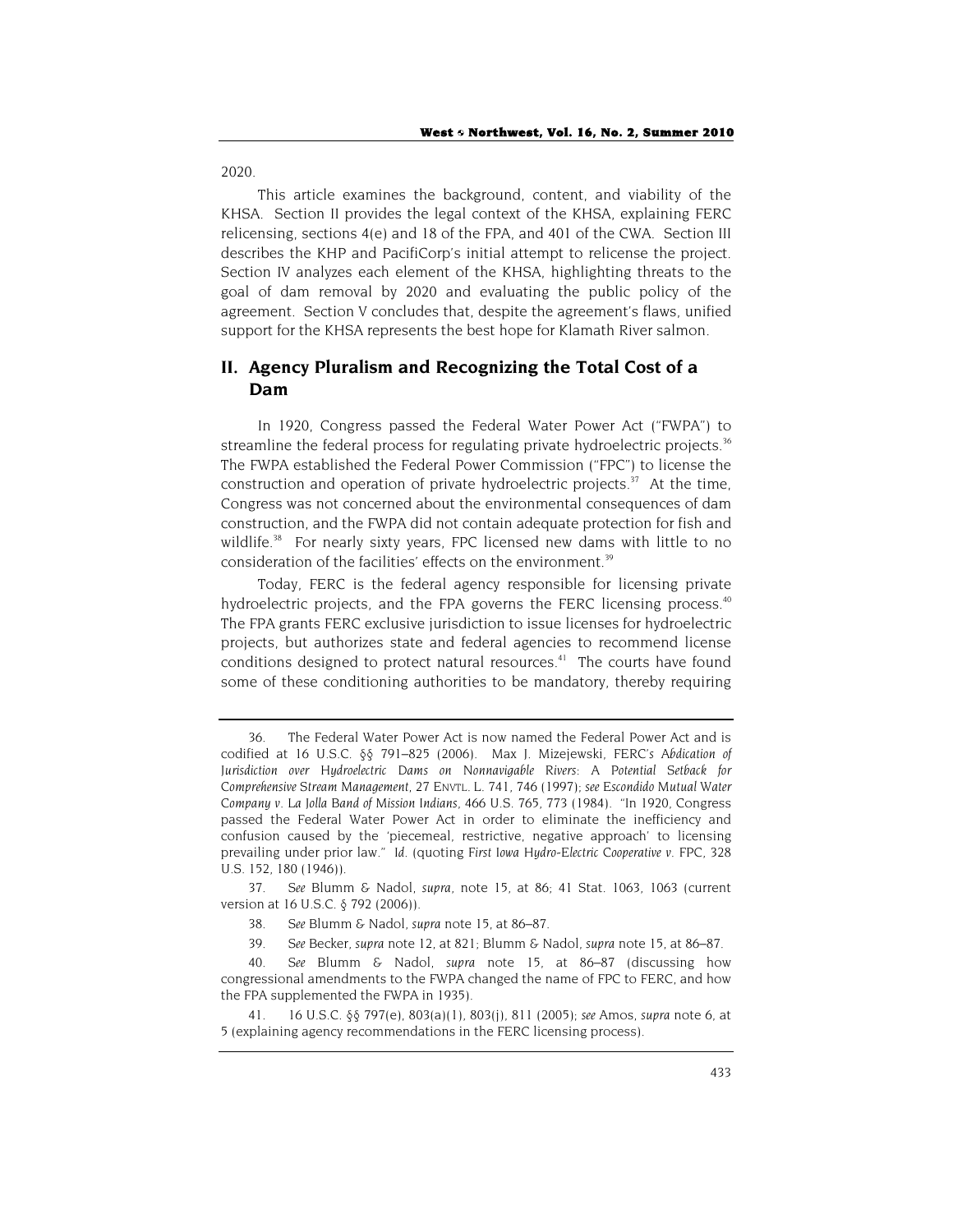2020.

This article examines the background, content, and viability of the KHSA. Section II provides the legal context of the KHSA, explaining FERC relicensing, sections 4(e) and 18 of the FPA, and 401 of the CWA. Section III describes the KHP and PacifiCorp's initial attempt to relicense the project. Section IV analyzes each element of the KHSA, highlighting threats to the goal of dam removal by 2020 and evaluating the public policy of the agreement. Section V concludes that, despite the agreement's flaws, unified support for the KHSA represents the best hope for Klamath River salmon.

# **II. Agency Pluralism and Recognizing the Total Cost of a Dam**

In 1920, Congress passed the Federal Water Power Act ("FWPA") to streamline the federal process for regulating private hydroelectric projects.<sup>36</sup> The FWPA established the Federal Power Commission ("FPC") to license the construction and operation of private hydroelectric projects. $37$  At the time, Congress was not concerned about the environmental consequences of dam construction, and the FWPA did not contain adequate protection for fish and wildlife.<sup>38</sup> For nearly sixty years, FPC licensed new dams with little to no consideration of the facilities' effects on the environment.<sup>39</sup>

Today, FERC is the federal agency responsible for licensing private hydroelectric projects, and the FPA governs the FERC licensing process.<sup>40</sup> The FPA grants FERC exclusive jurisdiction to issue licenses for hydroelectric projects, but authorizes state and federal agencies to recommend license conditions designed to protect natural resources.<sup>41</sup> The courts have found some of these conditioning authorities to be mandatory, thereby requiring

37*. See* Blumm & Nadol, *supra*, note 15, at 86; 41 Stat. 1063, 1063 (current version at 16 U.S.C. § 792 (2006)).

- 38*. See* Blumm & Nadol, *supra* note 15, at 86–87.
- 39*. See* Becker, *supra* note 12, at 821; Blumm & Nadol, *supra* note 15, at 86–87.

40*. See* Blumm & Nadol, *supra* note 15, at 86–87 (discussing how congressional amendments to the FWPA changed the name of FPC to FERC, and how the FPA supplemented the FWPA in 1935).

41. 16 U.S.C. §§ 797(e), 803(a)(1), 803(j), 811 (2005); *see* Amos, *supra* note 6, at 5 (explaining agency recommendations in the FERC licensing process).

<sup>36.</sup> The Federal Water Power Act is now named the Federal Power Act and is codified at 16 U.S.C. §§ 791–825 (2006). Max J. Mizejewski, *FERC's Abdication of Jurisdiction over Hydroelectric Dams on Nonnavigable Rivers: A Potential Setback for Comprehensive Stream Management*, 27 ENVTL. L. 741, 746 (1997); *see Escondido Mutual Water Company v. La Jolla Band of Mission Indians*, 466 U.S. 765, 773 (1984). "In 1920, Congress passed the Federal Water Power Act in order to eliminate the inefficiency and confusion caused by the 'piecemeal, restrictive, negative approach' to licensing prevailing under prior law." *Id.* (quoting *First Iowa Hydro-Electric Cooperative v. FPC*, 328 U.S. 152, 180 (1946)).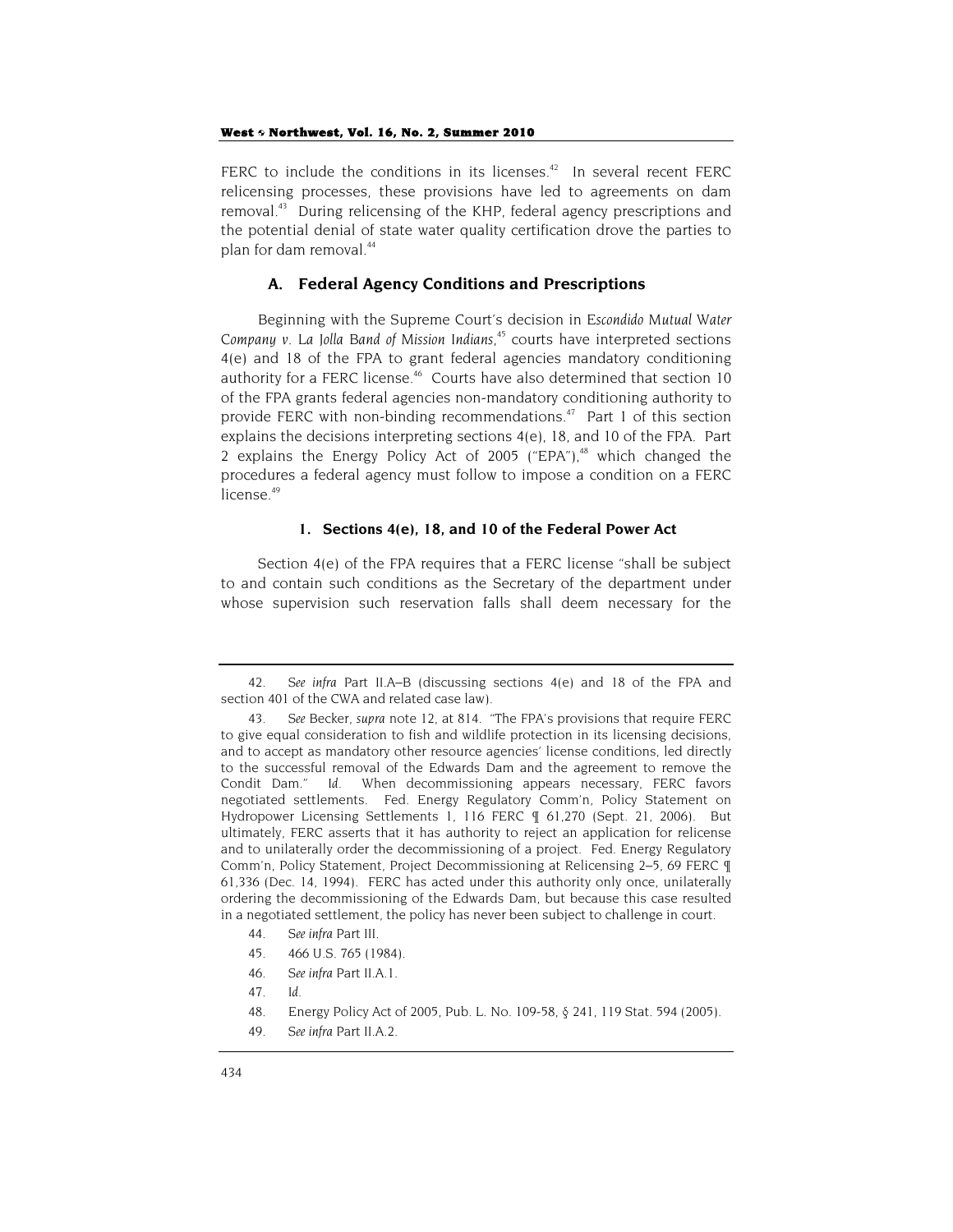FERC to include the conditions in its licenses.<sup>42</sup> In several recent FERC relicensing processes, these provisions have led to agreements on dam removal.<sup>43</sup> During relicensing of the KHP, federal agency prescriptions and the potential denial of state water quality certification drove the parties to plan for dam removal.<sup>44</sup>

## **A. Federal Agency Conditions and Prescriptions**

Beginning with the Supreme Court's decision in *Escondido Mutual Water Company v. La Jolla Band of Mission Indians*, 45 courts have interpreted sections 4(e) and 18 of the FPA to grant federal agencies mandatory conditioning authority for a FERC license.<sup>46</sup> Courts have also determined that section 10 of the FPA grants federal agencies non-mandatory conditioning authority to provide FERC with non-binding recommendations. $47$  Part 1 of this section explains the decisions interpreting sections 4(e), 18, and 10 of the FPA. Part 2 explains the Energy Policy Act of 2005 ("EPA"), $48$  which changed the procedures a federal agency must follow to impose a condition on a FERC license.<sup>49</sup>

#### **1. Sections 4(e), 18, and 10 of the Federal Power Act**

Section 4(e) of the FPA requires that a FERC license "shall be subject to and contain such conditions as the Secretary of the department under whose supervision such reservation falls shall deem necessary for the

<sup>42</sup>*. See infra* Part II.A–B (discussing sections 4(e) and 18 of the FPA and section 401 of the CWA and related case law).

<sup>43</sup>*. See* Becker, *supra* note 12, at 814. "The FPA's provisions that require FERC to give equal consideration to fish and wildlife protection in its licensing decisions, and to accept as mandatory other resource agencies' license conditions, led directly to the successful removal of the Edwards Dam and the agreement to remove the Condit Dam." *Id.* When decommissioning appears necessary, FERC favors negotiated settlements. Fed. Energy Regulatory Comm'n, Policy Statement on Hydropower Licensing Settlements 1, 116 FERC ¶ 61,270 (Sept. 21, 2006). But ultimately, FERC asserts that it has authority to reject an application for relicense and to unilaterally order the decommissioning of a project. Fed. Energy Regulatory Comm'n, Policy Statement, Project Decommissioning at Relicensing 2–5, 69 FERC ¶ 61,336 (Dec. 14, 1994). FERC has acted under this authority only once, unilaterally ordering the decommissioning of the Edwards Dam, but because this case resulted in a negotiated settlement, the policy has never been subject to challenge in court.

<sup>44</sup>*. See infra* Part III.

<sup>45. 466</sup> U.S. 765 (1984).

<sup>46</sup>*. See infra* Part II.A.1.

<sup>47</sup>*. Id.*

<sup>48.</sup> Energy Policy Act of 2005, Pub. L. No. 109-58, § 241, 119 Stat. 594 (2005).

<sup>49</sup>*. See infra* Part II.A.2.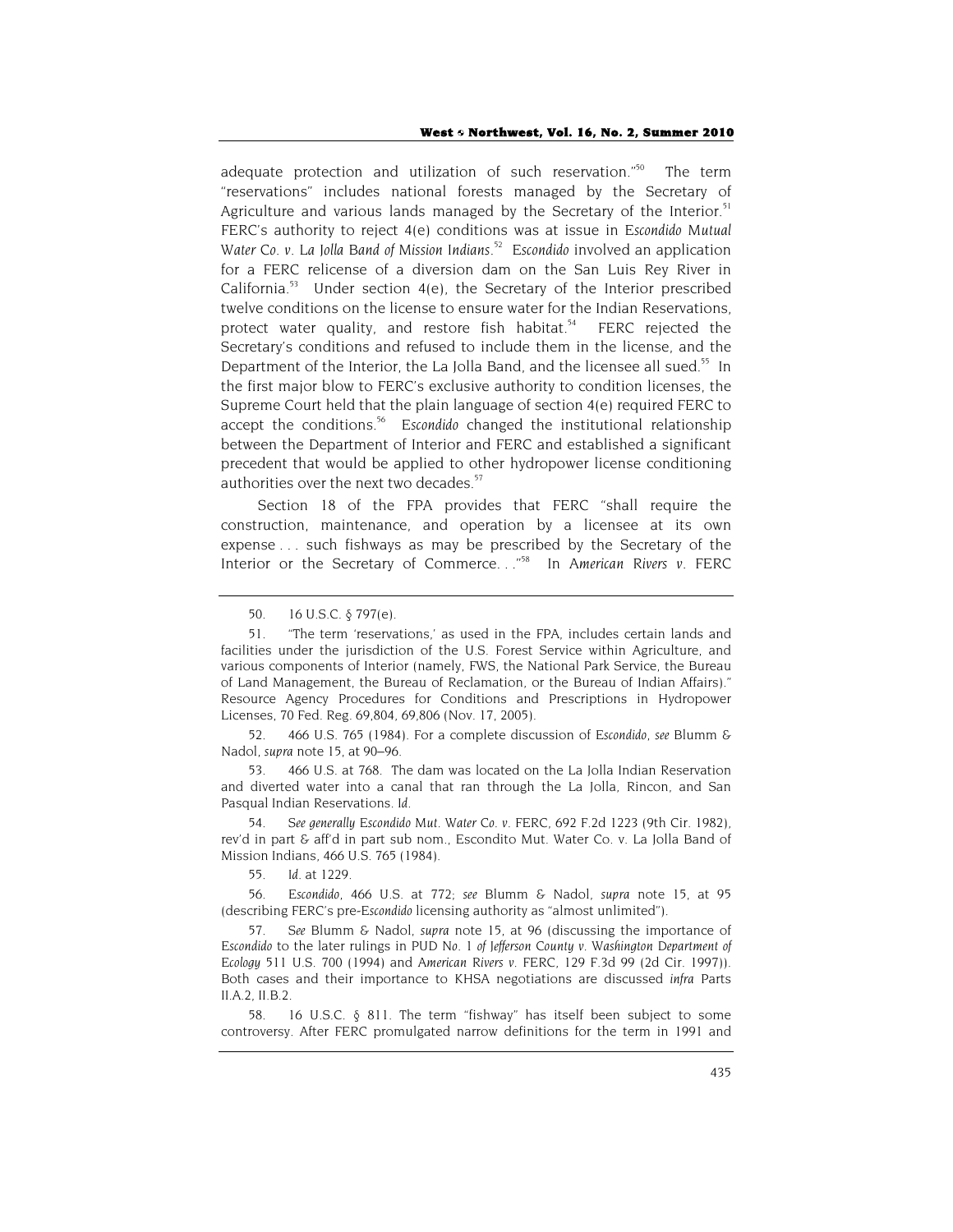adequate protection and utilization of such reservation."<sup>50</sup> The term "reservations" includes national forests managed by the Secretary of Agriculture and various lands managed by the Secretary of the Interior.<sup>51</sup> FERC's authority to reject 4(e) conditions was at issue in *Escondido Mutual Water Co. v. La Jolla Band of Mission Indians*. 52 *Escondido* involved an application for a FERC relicense of a diversion dam on the San Luis Rey River in California.<sup>53</sup> Under section  $4(e)$ , the Secretary of the Interior prescribed twelve conditions on the license to ensure water for the Indian Reservations, protect water quality, and restore fish habitat.<sup>54</sup> FERC rejected the Secretary's conditions and refused to include them in the license, and the Department of the Interior, the La Jolla Band, and the licensee all sued.<sup>55</sup> In the first major blow to FERC's exclusive authority to condition licenses, the Supreme Court held that the plain language of section 4(e) required FERC to accept the conditions.<sup>56</sup> Escondido changed the institutional relationship between the Department of Interior and FERC and established a significant precedent that would be applied to other hydropower license conditioning authorities over the next two decades.<sup>57</sup>

Section 18 of the FPA provides that FERC "shall require the construction, maintenance, and operation by a licensee at its own expense . . . such fishways as may be prescribed by the Secretary of the Interior or the Secretary of Commerce. . ."58 In *American Rivers v. FERC* 

53*.* 466 U.S. at 768. The dam was located on the La Jolla Indian Reservation and diverted water into a canal that ran through the La Jolla, Rincon, and San Pasqual Indian Reservations. *Id.*

54*. See generally Escondido Mut. Water Co. v. FERC*, 692 F.2d 1223 (9th Cir. 1982), rev'd in part & aff'd in part sub nom., Escondito Mut. Water Co. v. La Jolla Band of Mission Indians, 466 U.S. 765 (1984).

55*. Id.* at 1229.

56*. Escondido*, 466 U.S. at 772; *see* Blumm & Nadol, *supra* note 15, at 95 (describing FERC's pre-*Escondido* licensing authority as "almost unlimited").

57*. See* Blumm & Nadol, *supra* note 15, at 96 (discussing the importance of *Escondido* to the later rulings in *PUD No. 1 of Jefferson County v. Washington Department of Ecology* 511 U.S. 700 (1994) and *American Rivers v. FERC*, 129 F.3d 99 (2d Cir. 1997)). Both cases and their importance to KHSA negotiations are discussed *infra* Parts II.A.2, II.B.2.

58. 16 U.S.C. § 811. The term "fishway" has itself been subject to some controversy. After FERC promulgated narrow definitions for the term in 1991 and

<sup>50. 16</sup> U.S.C. § 797(e).

<sup>51.</sup> "The term 'reservations,' as used in the FPA, includes certain lands and facilities under the jurisdiction of the U.S. Forest Service within Agriculture, and various components of Interior (namely, FWS, the National Park Service, the Bureau of Land Management, the Bureau of Reclamation, or the Bureau of Indian Affairs)." Resource Agency Procedures for Conditions and Prescriptions in Hydropower Licenses, 70 Fed. Reg. 69,804, 69,806 (Nov. 17, 2005).

<sup>52. 466</sup> U.S. 765 (1984). For a complete discussion of *Escondido*, *see* Blumm & Nadol, *supra* note 15, at 90–96.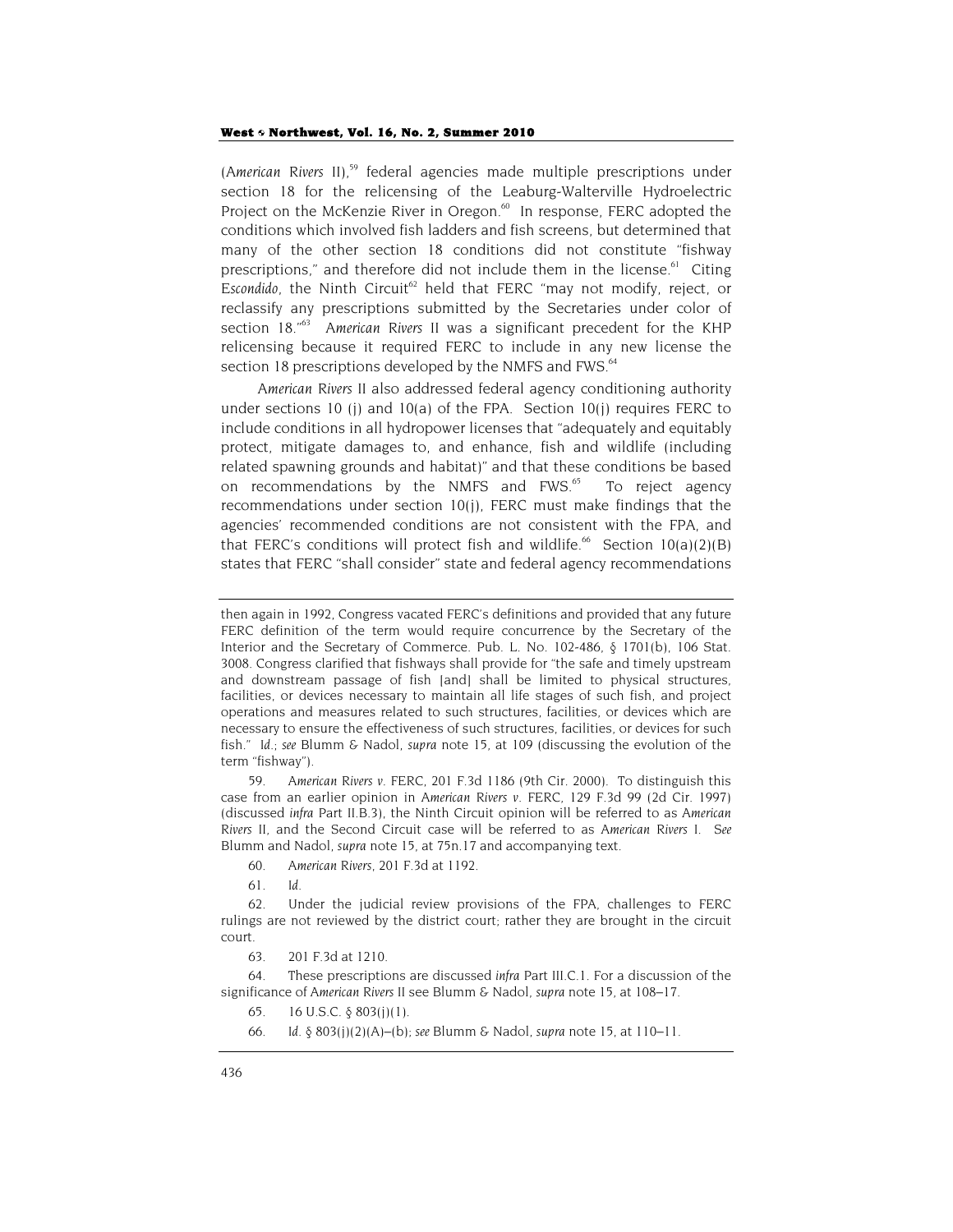*(American Rivers II)*, 59 federal agencies made multiple prescriptions under section 18 for the relicensing of the Leaburg-Walterville Hydroelectric Project on the McKenzie River in Oregon.<sup>60</sup> In response, FERC adopted the conditions which involved fish ladders and fish screens, but determined that many of the other section 18 conditions did not constitute "fishway prescriptions," and therefore did not include them in the license. $61$  Citing Escondido, the Ninth Circuit<sup>62</sup> held that FERC "may not modify, reject, or reclassify any prescriptions submitted by the Secretaries under color of section 18."63 *American Rivers II* was a significant precedent for the KHP relicensing because it required FERC to include in any new license the section 18 prescriptions developed by the NMFS and FWS.<sup>64</sup>

*American Rivers II* also addressed federal agency conditioning authority under sections 10 (j) and 10(a) of the FPA. Section 10(j) requires FERC to include conditions in all hydropower licenses that "adequately and equitably protect, mitigate damages to, and enhance, fish and wildlife (including related spawning grounds and habitat)" and that these conditions be based on recommendations by the NMFS and FWS.<sup>65</sup> To reject agency recommendations under section 10(j), FERC must make findings that the agencies' recommended conditions are not consistent with the FPA, and that FERC's conditions will protect fish and wildlife.<sup>66</sup> Section  $10(a)(2)(B)$ states that FERC "shall consider" state and federal agency recommendations

59*. American Rivers v. FERC*, 201 F.3d 1186 (9th Cir. 2000). To distinguish this case from an earlier opinion in *American Rivers v. FERC*, 129 F.3d 99 (2d Cir. 1997) (discussed *infra* Part II.B.3), the Ninth Circuit opinion will be referred to as *American Rivers II*, and the Second Circuit case will be referred to as *American Rivers I*. *See* Blumm and Nadol, *supra* note 15, at 75n.17 and accompanying text.

- 60*. American Rivers*, 201 F.3d at 1192.
- 61*. Id.*

62. Under the judicial review provisions of the FPA, challenges to FERC rulings are not reviewed by the district court; rather they are brought in the circuit court.

63. 201 F.3d at 1210.

64. These prescriptions are discussed *infra* Part III.C.1. For a discussion of the significance of *American Rivers II* see Blumm & Nadol, *supra* note 15, at 108–17.

- 65. 16 U.S.C. § 803(j)(1).
- 66*. Id.* § 803(j)(2)(A)–(b); *see* Blumm & Nadol, *supra* note 15, at 110–11.

then again in 1992, Congress vacated FERC's definitions and provided that any future FERC definition of the term would require concurrence by the Secretary of the Interior and the Secretary of Commerce. Pub. L. No. 102-486, § 1701(b), 106 Stat. 3008. Congress clarified that fishways shall provide for "the safe and timely upstream and downstream passage of fish [and] shall be limited to physical structures, facilities, or devices necessary to maintain all life stages of such fish, and project operations and measures related to such structures, facilities, or devices which are necessary to ensure the effectiveness of such structures, facilities, or devices for such fish." *Id*.; *see* Blumm & Nadol, *supra* note 15, at 109 (discussing the evolution of the term "fishway").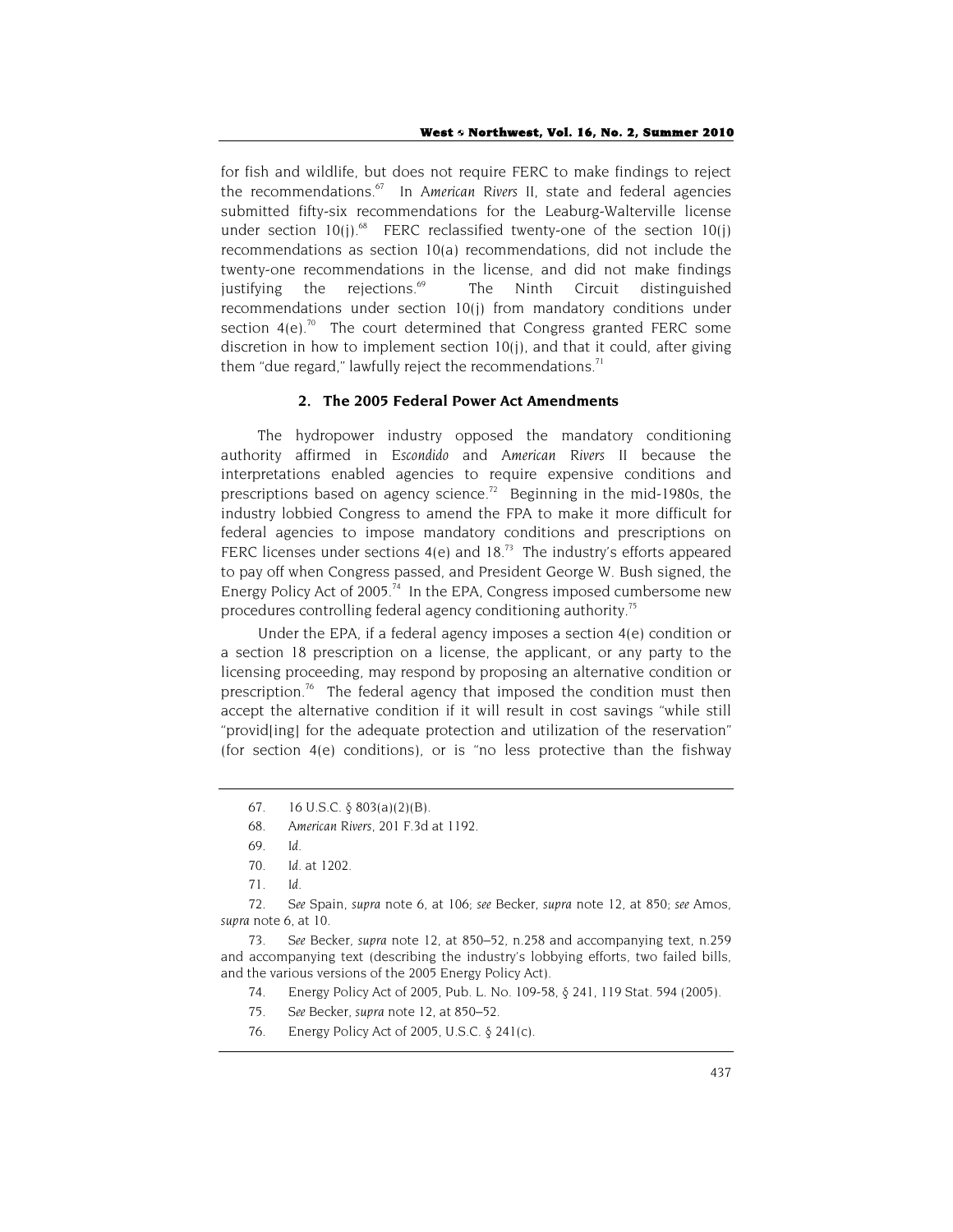for fish and wildlife, but does not require FERC to make findings to reject the recommendations.67 In *American Rivers II*, state and federal agencies submitted fifty-six recommendations for the Leaburg-Walterville license under section  $10(j)$ .<sup>68</sup> FERC reclassified twenty-one of the section  $10(j)$ recommendations as section 10(a) recommendations, did not include the twenty-one recommendations in the license, and did not make findings justifying the rejections. $69$  The Ninth Circuit distinguished recommendations under section 10(j) from mandatory conditions under section  $4(e)$ <sup>70</sup> The court determined that Congress granted FERC some discretion in how to implement section 10(j), and that it could, after giving them "due regard," lawfully reject the recommendations.<sup>71</sup>

## **2. The 2005 Federal Power Act Amendments**

The hydropower industry opposed the mandatory conditioning authority affirmed in *Escondido* and *American Rivers II* because the interpretations enabled agencies to require expensive conditions and prescriptions based on agency science.<sup>72</sup> Beginning in the mid-1980s, the industry lobbied Congress to amend the FPA to make it more difficult for federal agencies to impose mandatory conditions and prescriptions on FERC licenses under sections  $4(e)$  and  $18<sup>73</sup>$  The industry's efforts appeared to pay off when Congress passed, and President George W. Bush signed, the Energy Policy Act of 2005.<sup>74</sup> In the EPA, Congress imposed cumbersome new procedures controlling federal agency conditioning authority.75

Under the EPA, if a federal agency imposes a section 4(e) condition or a section 18 prescription on a license, the applicant, or any party to the licensing proceeding, may respond by proposing an alternative condition or prescription.<sup>76</sup> The federal agency that imposed the condition must then accept the alternative condition if it will result in cost savings "while still "provid(ing) for the adequate protection and utilization of the reservation" (for section 4(e) conditions), or is "no less protective than the fishway

68*. American Rivers*, 201 F.3d at 1192.

72*. See* Spain, *supra* note 6, at 106; *see* Becker, *supra* note 12, at 850; *see* Amos, *supra* note 6, at 10.

73*. See* Becker, *supra* note 12, at 850–52, n.258 and accompanying text, n.259 and accompanying text (describing the industry's lobbying efforts, two failed bills, and the various versions of the 2005 Energy Policy Act).

- 74. Energy Policy Act of 2005, Pub. L. No. 109-58, § 241, 119 Stat. 594 (2005).
- 75*. See* Becker, *supra* note 12, at 850–52.
- 76. Energy Policy Act of 2005, U.S.C. § 241(c).

<sup>67. 16</sup> U.S.C.  $\delta$  803(a)(2)(B).

<sup>69</sup>*. Id.*

<sup>70</sup>*. Id.* at 1202.

<sup>71</sup>*. Id.*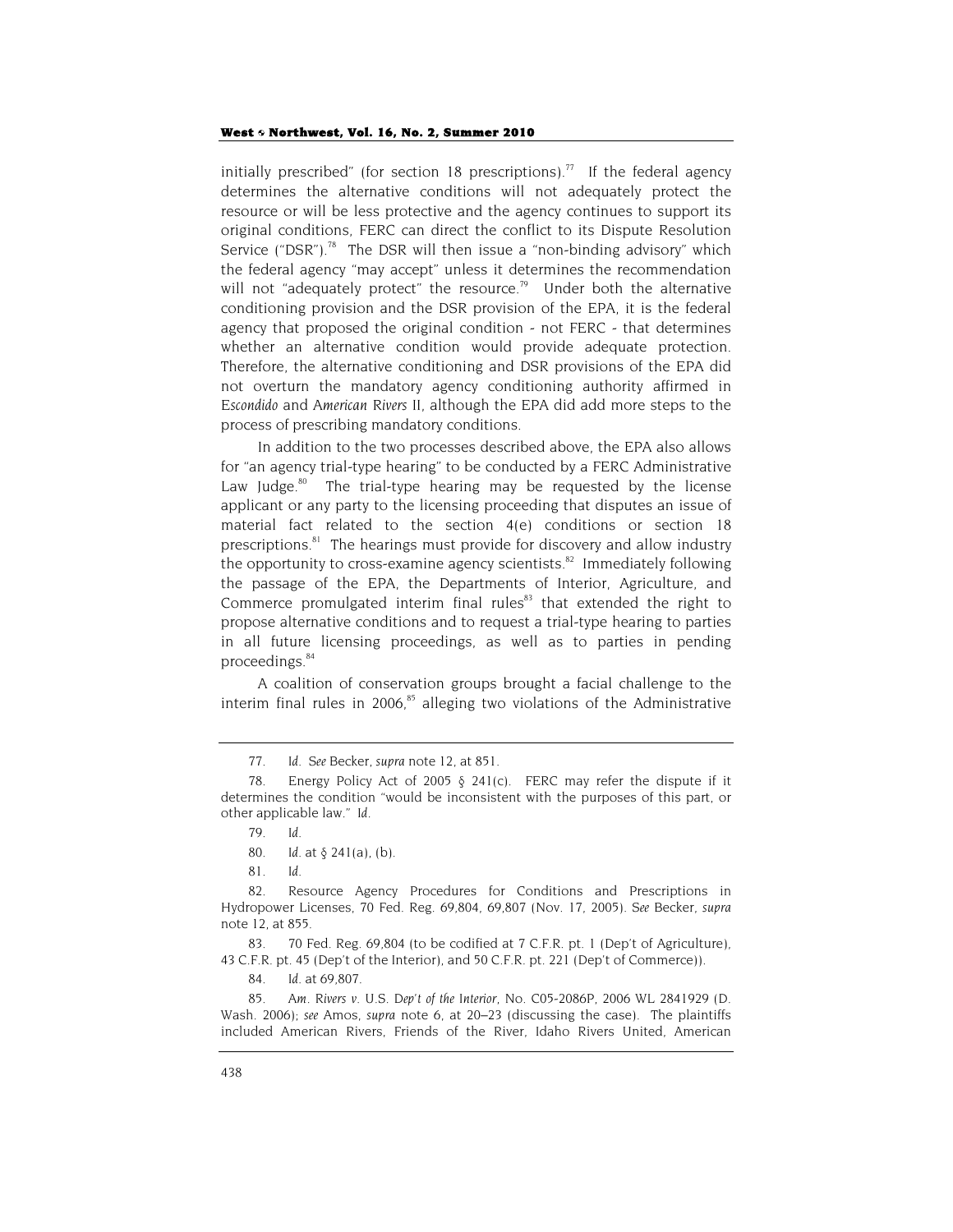initially prescribed" (for section 18 prescriptions).<sup>77</sup> If the federal agency determines the alternative conditions will not adequately protect the resource or will be less protective and the agency continues to support its original conditions, FERC can direct the conflict to its Dispute Resolution Service ("DSR").<sup>78</sup> The DSR will then issue a "non-binding advisory" which the federal agency "may accept" unless it determines the recommendation will not "adequately protect" the resource.<sup>79</sup> Under both the alternative conditioning provision and the DSR provision of the EPA, it is the federal agency that proposed the original condition - not FERC - that determines whether an alternative condition would provide adequate protection. Therefore, the alternative conditioning and DSR provisions of the EPA did not overturn the mandatory agency conditioning authority affirmed in *Escondido* and *American Rivers II*, although the EPA did add more steps to the process of prescribing mandatory conditions.

In addition to the two processes described above, the EPA also allows for "an agency trial-type hearing" to be conducted by a FERC Administrative Law Judge. $80$  The trial-type hearing may be requested by the license applicant or any party to the licensing proceeding that disputes an issue of material fact related to the section 4(e) conditions or section 18 prescriptions.<sup>81</sup> The hearings must provide for discovery and allow industry the opportunity to cross-examine agency scientists. $82$  Immediately following the passage of the EPA, the Departments of Interior, Agriculture, and Commerce promulgated interim final rules<sup>83</sup> that extended the right to propose alternative conditions and to request a trial-type hearing to parties in all future licensing proceedings, as well as to parties in pending proceedings.<sup>84</sup>

A coalition of conservation groups brought a facial challenge to the interim final rules in 2006, $85$  alleging two violations of the Administrative

83. 70 Fed. Reg. 69,804 (to be codified at 7 C.F.R. pt. 1 (Dep't of Agriculture), 43 C.F.R. pt. 45 (Dep't of the Interior), and 50 C.F.R. pt. 221 (Dep't of Commerce)).

84*. Id.* at 69,807.

85*. Am. Rivers v. U.S. Dep't of the Interior*, No. C05-2086P, 2006 WL 2841929 (D. Wash. 2006); *see* Amos, *supra* note 6, at 20–23 (discussing the case). The plaintiffs included American Rivers, Friends of the River, Idaho Rivers United, American

<sup>77</sup>*. Id.* S*ee* Becker, *supra* note 12, at 851.

<sup>78.</sup> Energy Policy Act of 2005  $\delta$  241(c). FERC may refer the dispute if it determines the condition "would be inconsistent with the purposes of this part, or other applicable law." *Id.*

<sup>79</sup>*. Id.*

<sup>80</sup>*. Id.* at § 241(a), (b).

<sup>81</sup>*. Id.*

<sup>82.</sup> Resource Agency Procedures for Conditions and Prescriptions in Hydropower Licenses, 70 Fed. Reg. 69,804, 69,807 (Nov. 17, 2005). *See* Becker, *supra* note 12, at 855.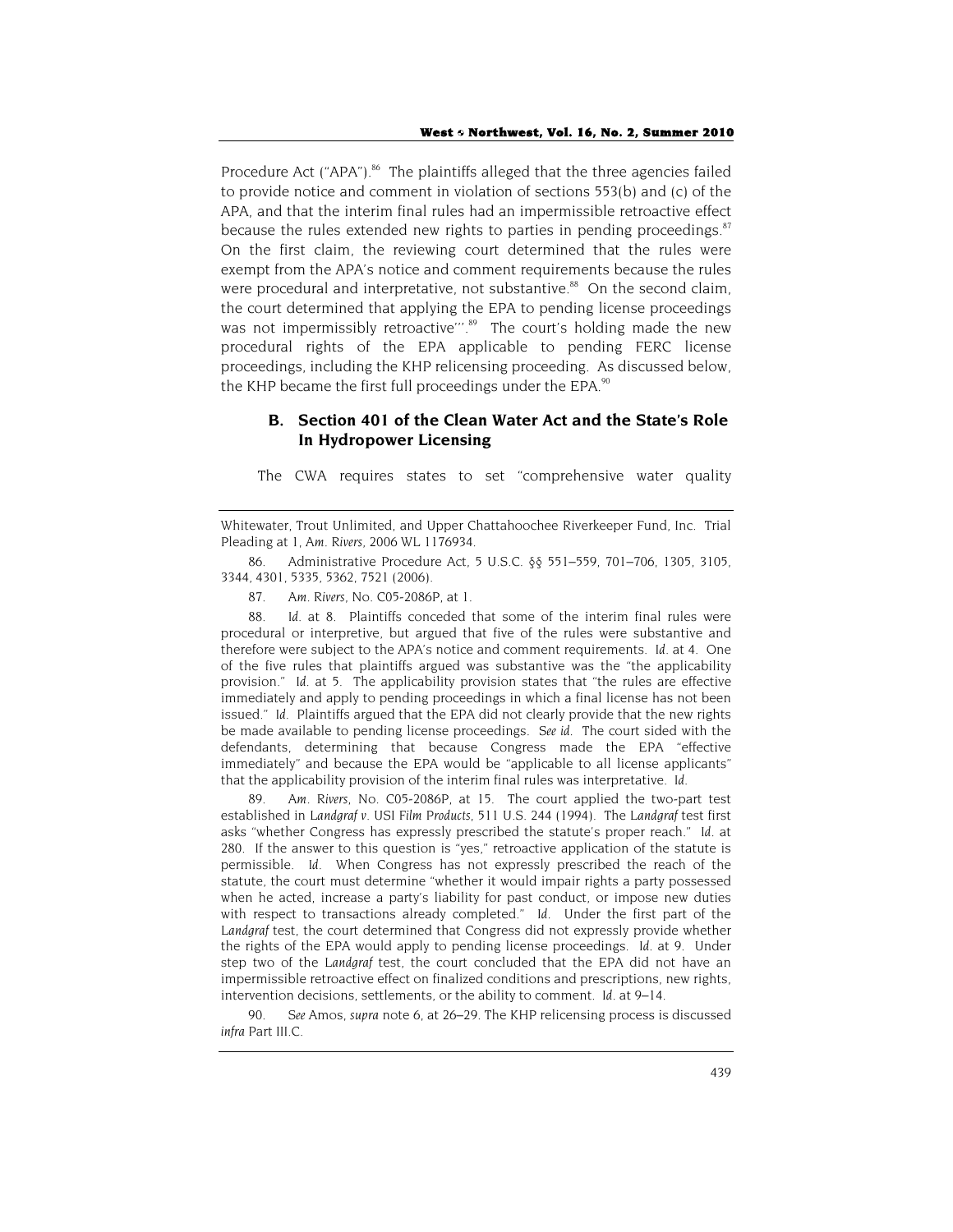Procedure Act ("APA").<sup>86</sup> The plaintiffs alleged that the three agencies failed to provide notice and comment in violation of sections 553(b) and (c) of the APA, and that the interim final rules had an impermissible retroactive effect because the rules extended new rights to parties in pending proceedings. $87$ On the first claim, the reviewing court determined that the rules were exempt from the APA's notice and comment requirements because the rules were procedural and interpretative, not substantive.<sup>88</sup> On the second claim, the court determined that applying the EPA to pending license proceedings was not impermissibly retroactive"'.<sup>89</sup> The court's holding made the new procedural rights of the EPA applicable to pending FERC license proceedings, including the KHP relicensing proceeding. As discussed below, the KHP became the first full proceedings under the EPA. $^{90}$ 

# **B. Section 401 of the Clean Water Act and the State's Role In Hydropower Licensing**

The CWA requires states to set "comprehensive water quality

86. Administrative Procedure Act, 5 U.S.C. §§ 551–559, 701–706, 1305, 3105, 3344, 4301, 5335, 5362, 7521 (2006).

87*. Am. Rivers*, No. C05-2086P, at 1.

88*. Id.* at 8. Plaintiffs conceded that some of the interim final rules were procedural or interpretive, but argued that five of the rules were substantive and therefore were subject to the APA's notice and comment requirements. *Id.* at 4. One of the five rules that plaintiffs argued was substantive was the "the applicability provision." *Id.* at 5. The applicability provision states that "the rules are effective immediately and apply to pending proceedings in which a final license has not been issued." *Id*. Plaintiffs argued that the EPA did not clearly provide that the new rights be made available to pending license proceedings. *See id*. The court sided with the defendants, determining that because Congress made the EPA "effective immediately" and because the EPA would be "applicable to all license applicants" that the applicability provision of the interim final rules was interpretative. *Id.*

89*. Am. Rivers*, No. C05-2086P, at 15. The court applied the two-part test established in *Landgraf v. USI Film Products*, 511 U.S. 244 (1994). The *Landgraf* test first asks "whether Congress has expressly prescribed the statute's proper reach." *Id.* at 280. If the answer to this question is "yes," retroactive application of the statute is permissible. *Id.* When Congress has not expressly prescribed the reach of the statute, the court must determine "whether it would impair rights a party possessed when he acted, increase a party's liability for past conduct, or impose new duties with respect to transactions already completed." *Id.* Under the first part of the *Landgraf* test, the court determined that Congress did not expressly provide whether the rights of the EPA would apply to pending license proceedings. *Id.* at 9. Under step two of the *Landgraf* test, the court concluded that the EPA did not have an impermissible retroactive effect on finalized conditions and prescriptions, new rights, intervention decisions, settlements, or the ability to comment. *Id*. at 9–14.

90*. See* Amos, *supra* note 6, at 26–29. The KHP relicensing process is discussed *infra* Part III.C.

Whitewater, Trout Unlimited, and Upper Chattahoochee Riverkeeper Fund, Inc. Trial Pleading at 1, *Am. Rivers*, 2006 WL 1176934.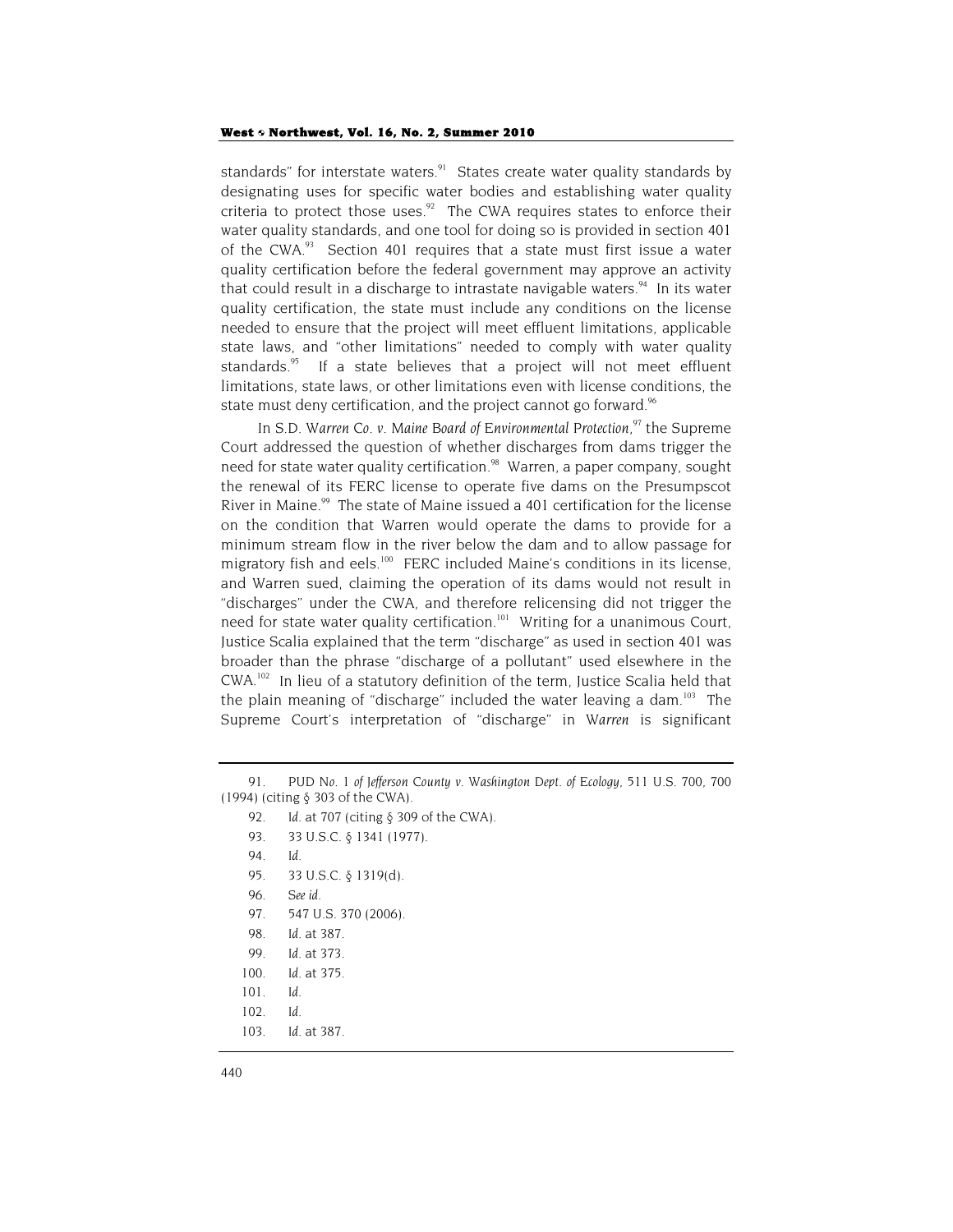standards" for interstate waters.<sup>91</sup> States create water quality standards by designating uses for specific water bodies and establishing water quality criteria to protect those uses. $92$  The CWA requires states to enforce their water quality standards, and one tool for doing so is provided in section 401 of the CWA.<sup>93</sup> Section 401 requires that a state must first issue a water quality certification before the federal government may approve an activity that could result in a discharge to intrastate navigable waters.<sup>94</sup> In its water quality certification, the state must include any conditions on the license needed to ensure that the project will meet effluent limitations, applicable state laws, and "other limitations" needed to comply with water quality standards.<sup>95</sup> If a state believes that a project will not meet effluent limitations, state laws, or other limitations even with license conditions, the state must deny certification, and the project cannot go forward.<sup>96</sup>

In S.D. Warren Co. v. Maine Board of Environmental Protection,<sup>97</sup> the Supreme Court addressed the question of whether discharges from dams trigger the need for state water quality certification.<sup>98</sup> Warren, a paper company, sought the renewal of its FERC license to operate five dams on the Presumpscot River in Maine. $99$  The state of Maine issued a 401 certification for the license on the condition that Warren would operate the dams to provide for a minimum stream flow in the river below the dam and to allow passage for migratory fish and eels.<sup>100</sup> FERC included Maine's conditions in its license, and Warren sued, claiming the operation of its dams would not result in "discharges" under the CWA, and therefore relicensing did not trigger the need for state water quality certification.<sup>101</sup> Writing for a unanimous Court, Justice Scalia explained that the term "discharge" as used in section 401 was broader than the phrase "discharge of a pollutant" used elsewhere in the CWA.102 In lieu of a statutory definition of the term, Justice Scalia held that the plain meaning of "discharge" included the water leaving a dam. $103$  The Supreme Court's interpretation of "discharge" in *Warren* is significant

- 96*. See id.*
- 97. 547 U.S. 370 (2006).
- 98*. Id.* at 387.
- 99*. Id.* at 373.
- 100*. Id.* at 375.
- 101*. Id.*
- 102*. Id.*
- 103*. Id*. at 387.

<sup>91</sup>*. PUD No. 1 of Jefferson County v. Washington Dept. of Ecology*, 511 U.S. 700, 700 (1994) (citing § 303 of the CWA).

<sup>92</sup>*. Id*. at 707 (citing § 309 of the CWA).

<sup>93. 33</sup> U.S.C. § 1341 (1977).

<sup>94</sup>*. Id.*

<sup>95. 33</sup> U.S.C. § 1319(d).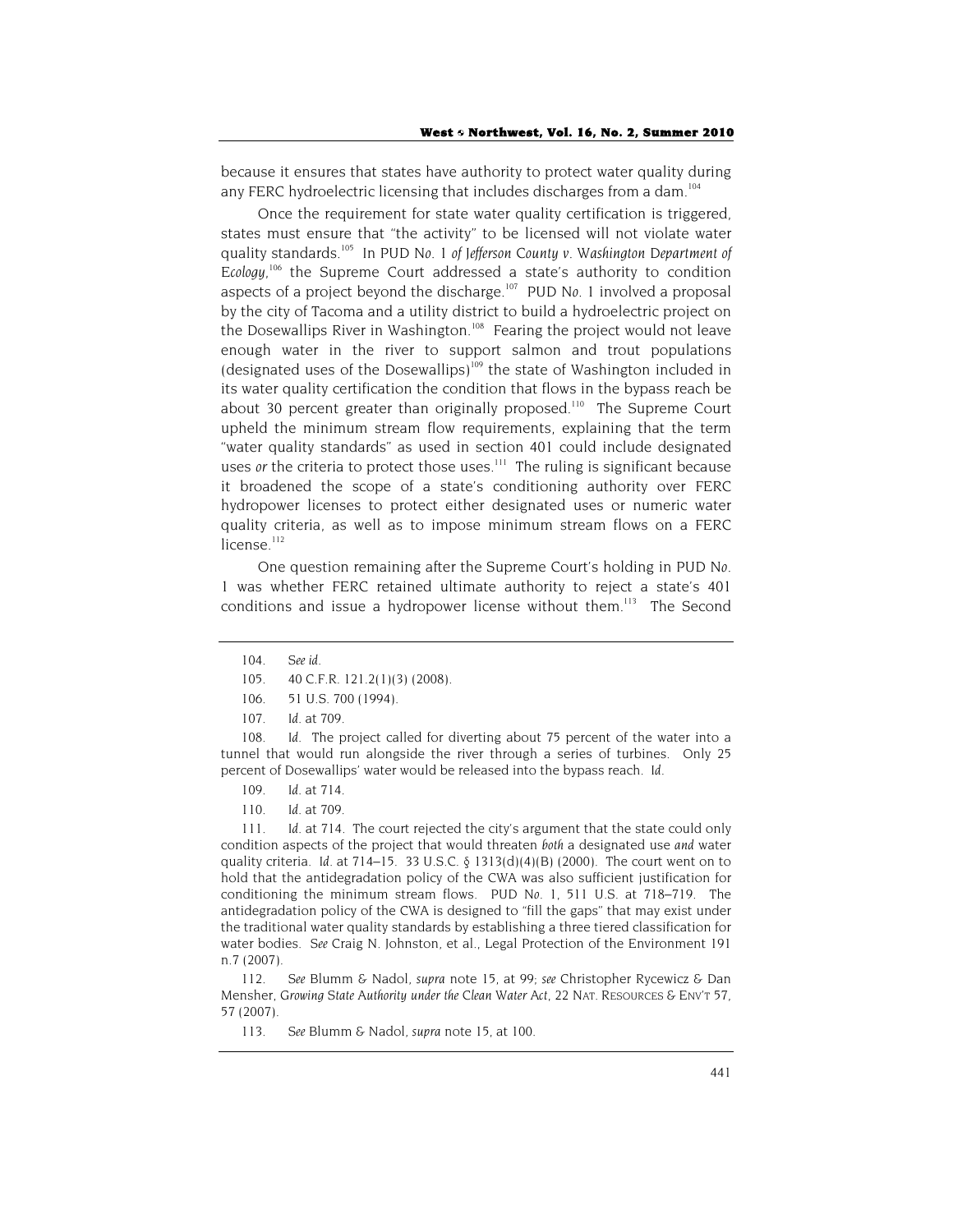because it ensures that states have authority to protect water quality during any FERC hydroelectric licensing that includes discharges from a dam.<sup>104</sup>

Once the requirement for state water quality certification is triggered, states must ensure that "the activity" to be licensed will not violate water quality standards.105 In *PUD No. 1 of Jefferson County v. Washington Department of*  Ecology,<sup>106</sup> the Supreme Court addressed a state's authority to condition aspects of a project beyond the discharge.107 *PUD No. 1* involved a proposal by the city of Tacoma and a utility district to build a hydroelectric project on the Dosewallips River in Washington.<sup>108</sup> Fearing the project would not leave enough water in the river to support salmon and trout populations (designated uses of the Dosewallips)<sup>109</sup> the state of Washington included in its water quality certification the condition that flows in the bypass reach be about 30 percent greater than originally proposed.<sup>110</sup> The Supreme Court upheld the minimum stream flow requirements, explaining that the term "water quality standards" as used in section 401 could include designated uses *or* the criteria to protect those uses.<sup>111</sup> The ruling is significant because it broadened the scope of a state's conditioning authority over FERC hydropower licenses to protect either designated uses or numeric water quality criteria, as well as to impose minimum stream flows on a FERC  $license.<sup>112</sup>$ 

One question remaining after the Supreme Court's holding in *PUD No. 1* was whether FERC retained ultimate authority to reject a state's 401 conditions and issue a hydropower license without them.<sup>113</sup> The Second

- 109*. Id*. at 714.
- 110*. Id*. at 709.

111*. Id*. at 714. The court rejected the city's argument that the state could only condition aspects of the project that would threaten *both* a designated use *and* water quality criteria. *Id.* at 714–15. 33 U.S.C. § 1313(d)(4)(B) (2000). The court went on to hold that the antidegradation policy of the CWA was also sufficient justification for conditioning the minimum stream flows. *PUD No. 1*, 511 U.S. at 718–719. The antidegradation policy of the CWA is designed to "fill the gaps" that may exist under the traditional water quality standards by establishing a three tiered classification for water bodies. *See* Craig N. Johnston, et al., Legal Protection of the Environment 191 n.7 (2007).

112*. See* Blumm & Nadol, *supra* note 15, at 99; *see* Christopher Rycewicz & Dan Mensher, *Growing State Authority under the Clean Water Act*, 22 NAT. RESOURCES & ENV'T 57, 57 (2007).

113*. See* Blumm & Nadol, *supra* note 15, at 100.

<sup>104</sup>*. See id.*

<sup>105. 40</sup> C.F.R. 121.2(1)(3) (2008).

<sup>106. 51</sup> U.S. 700 (1994).

<sup>107</sup>*. Id.* at 709.

<sup>108</sup>*. Id.* The project called for diverting about 75 percent of the water into a tunnel that would run alongside the river through a series of turbines. Only 25 percent of Dosewallips' water would be released into the bypass reach. *Id.*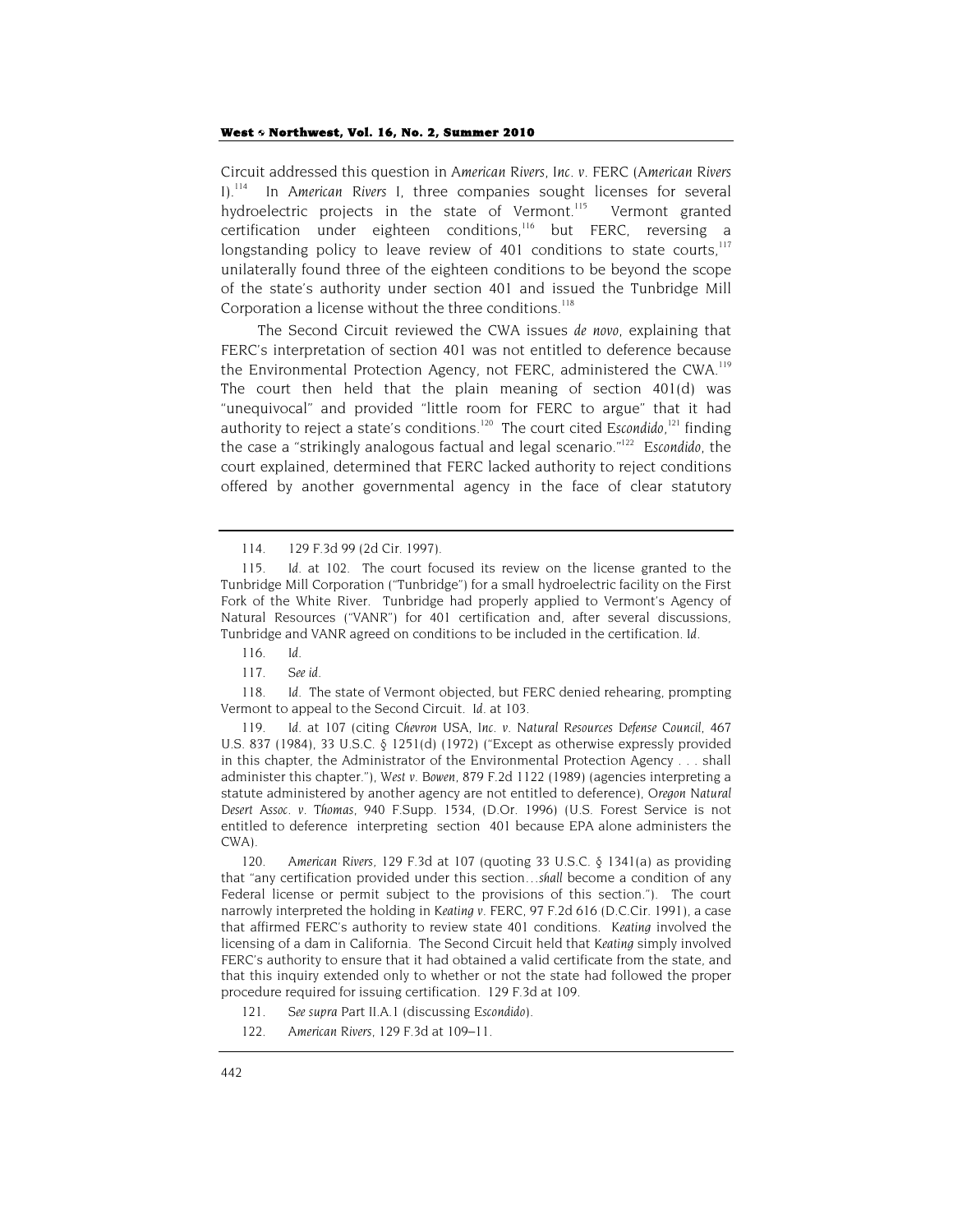Circuit addressed this question in *American Rivers, Inc. v. FERC* (*American Rivers I*).114 In *American Rivers I*, three companies sought licenses for several hydroelectric projects in the state of Vermont.<sup>115</sup> Vermont granted certification under eighteen conditions,<sup>116</sup> but FERC, reversing a longstanding policy to leave review of 401 conditions to state courts, $117$ unilaterally found three of the eighteen conditions to be beyond the scope of the state's authority under section 401 and issued the Tunbridge Mill Corporation a license without the three conditions.<sup>118</sup>

The Second Circuit reviewed the CWA issues *de novo*, explaining that FERC's interpretation of section 401 was not entitled to deference because the Environmental Protection Agency, not FERC, administered the CWA.<sup>119</sup> The court then held that the plain meaning of section 401(d) was "unequivocal" and provided "little room for FERC to argue" that it had authority to reject a state's conditions.120 The court cited *Escondido,*121 finding the case a "strikingly analogous factual and legal scenario."122 *Escondido,* the court explained, determined that FERC lacked authority to reject conditions offered by another governmental agency in the face of clear statutory

117*. See id.*

118*. Id.* The state of Vermont objected, but FERC denied rehearing, prompting Vermont to appeal to the Second Circuit. *Id*. at 103.

119*. Id.* at 107 (citing *Chevron USA, Inc. v. Natural Resources Defense Council,* 467 U.S. 837 (1984), 33 U.S.C. § 1251(d) (1972) ("Except as otherwise expressly provided in this chapter, the Administrator of the Environmental Protection Agency . . . shall administer this chapter."), *West v. Bowen,* 879 F.2d 1122 (1989) (agencies interpreting a statute administered by another agency are not entitled to deference), *Oregon Natural Desert Assoc. v. Thomas,* 940 F.Supp. 1534, (D.Or. 1996) (U.S. Forest Service is not entitled to deference interpreting section 401 because EPA alone administers the CWA).

120*. American Rivers*, 129 F.3d at 107 (quoting 33 U.S.C. § 1341(a) as providing that "any certification provided under this section…*shall* become a condition of any Federal license or permit subject to the provisions of this section."). The court narrowly interpreted the holding in *Keating v. FERC*, 97 F.2d 616 (D.C.Cir. 1991), a case that affirmed FERC's authority to review state 401 conditions. *Keating* involved the licensing of a dam in California. The Second Circuit held that *Keating* simply involved FERC's authority to ensure that it had obtained a valid certificate from the state, and that this inquiry extended only to whether or not the state had followed the proper procedure required for issuing certification. 129 F.3d at 109.

121*. See supra* Part II.A.1 (discussing *Escondido*).

122*. American Rivers*, 129 F.3d at 109–11.

<sup>114. 129</sup> F.3d 99 (2d Cir. 1997).

<sup>115</sup>*. Id.* at 102. The court focused its review on the license granted to the Tunbridge Mill Corporation ("Tunbridge") for a small hydroelectric facility on the First Fork of the White River. Tunbridge had properly applied to Vermont's Agency of Natural Resources ("VANR") for 401 certification and, after several discussions, Tunbridge and VANR agreed on conditions to be included in the certification. *Id.*

<sup>116</sup>*. Id.*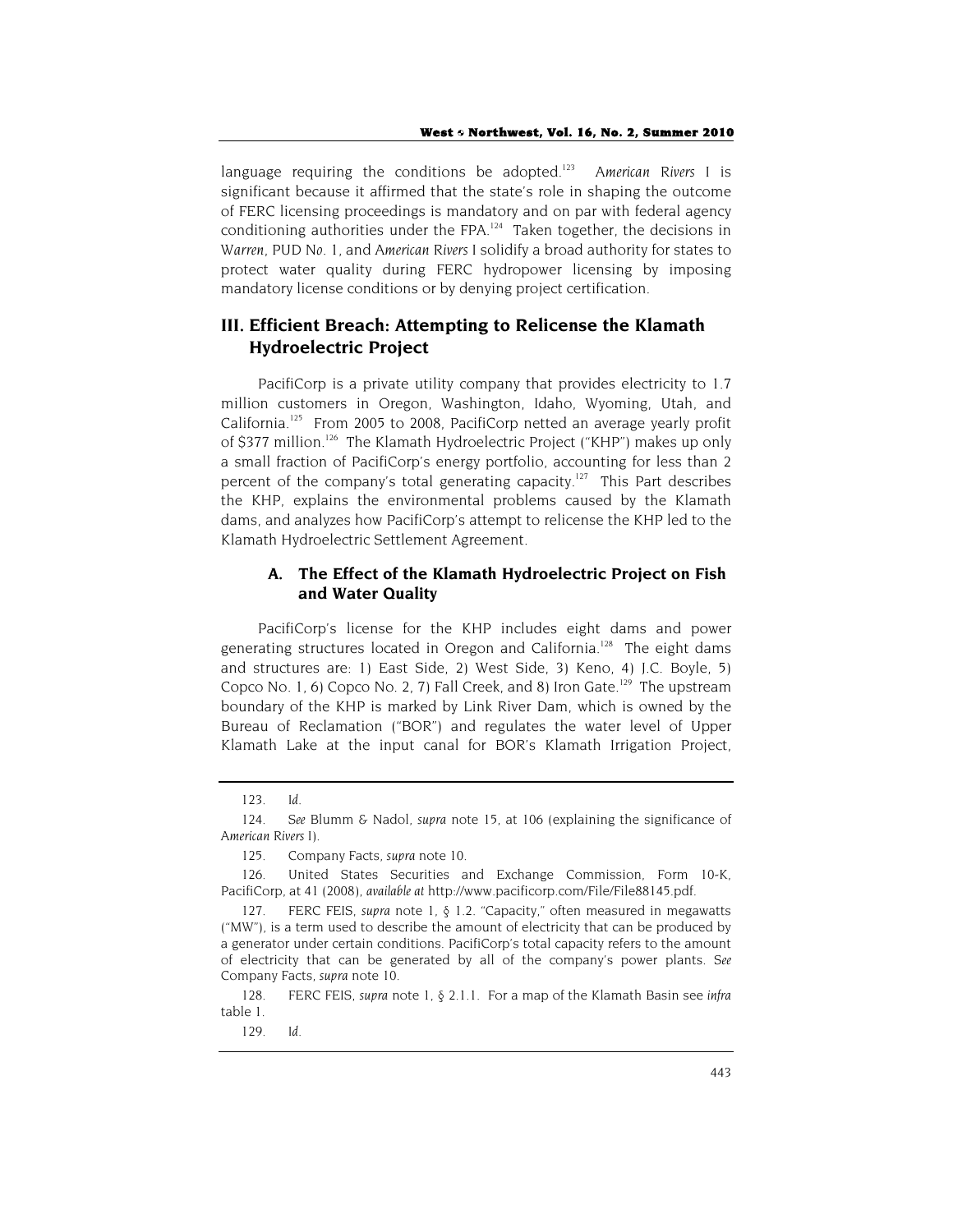language requiring the conditions be adopted.<sup>123</sup> American Rivers I is significant because it affirmed that the state's role in shaping the outcome of FERC licensing proceedings is mandatory and on par with federal agency conditioning authorities under the FPA. $124$  Taken together, the decisions in *Warren*, *PUD No. 1*, and *American Rivers I* solidify a broad authority for states to protect water quality during FERC hydropower licensing by imposing mandatory license conditions or by denying project certification.

# **III. Efficient Breach: Attempting to Relicense the Klamath Hydroelectric Project**

PacifiCorp is a private utility company that provides electricity to 1.7 million customers in Oregon, Washington, Idaho, Wyoming, Utah, and California.<sup>125</sup> From 2005 to 2008, PacifiCorp netted an average yearly profit of \$377 million.<sup>126</sup> The Klamath Hydroelectric Project ("KHP") makes up only a small fraction of PacifiCorp's energy portfolio, accounting for less than 2 percent of the company's total generating capacity.<sup>127</sup> This Part describes the KHP, explains the environmental problems caused by the Klamath dams, and analyzes how PacifiCorp's attempt to relicense the KHP led to the Klamath Hydroelectric Settlement Agreement.

# **A. The Effect of the Klamath Hydroelectric Project on Fish and Water Quality**

PacifiCorp's license for the KHP includes eight dams and power generating structures located in Oregon and California.<sup>128</sup> The eight dams and structures are: 1) East Side, 2) West Side, 3) Keno, 4) J.C. Boyle, 5) Copco No. 1, 6) Copco No. 2, 7) Fall Creek, and 8) Iron Gate.<sup>129</sup> The upstream boundary of the KHP is marked by Link River Dam, which is owned by the Bureau of Reclamation ("BOR") and regulates the water level of Upper Klamath Lake at the input canal for BOR's Klamath Irrigation Project,

<sup>123</sup>*. Id.*

<sup>124</sup>*. See* Blumm & Nadol, *supra* note 15, at 106 (explaining the significance of *American Rivers I*).

<sup>125.</sup> Company Facts, *supra* note 10.

<sup>126.</sup> United States Securities and Exchange Commission, Form 10-K, PacifiCorp, at 41 (2008), *available at* http://www.pacificorp.com/File/File88145.pdf.

<sup>127.</sup> FERC FEIS, *supra* note 1, § 1.2. "Capacity," often measured in megawatts ("MW"), is a term used to describe the amount of electricity that can be produced by a generator under certain conditions. PacifiCorp's total capacity refers to the amount of electricity that can be generated by all of the company's power plants. *See* Company Facts, *supra* note 10.

<sup>128.</sup> FERC FEIS, *supra* note 1, § 2.1.1. For a map of the Klamath Basin see *infra* table 1.

<sup>129</sup>*. Id.*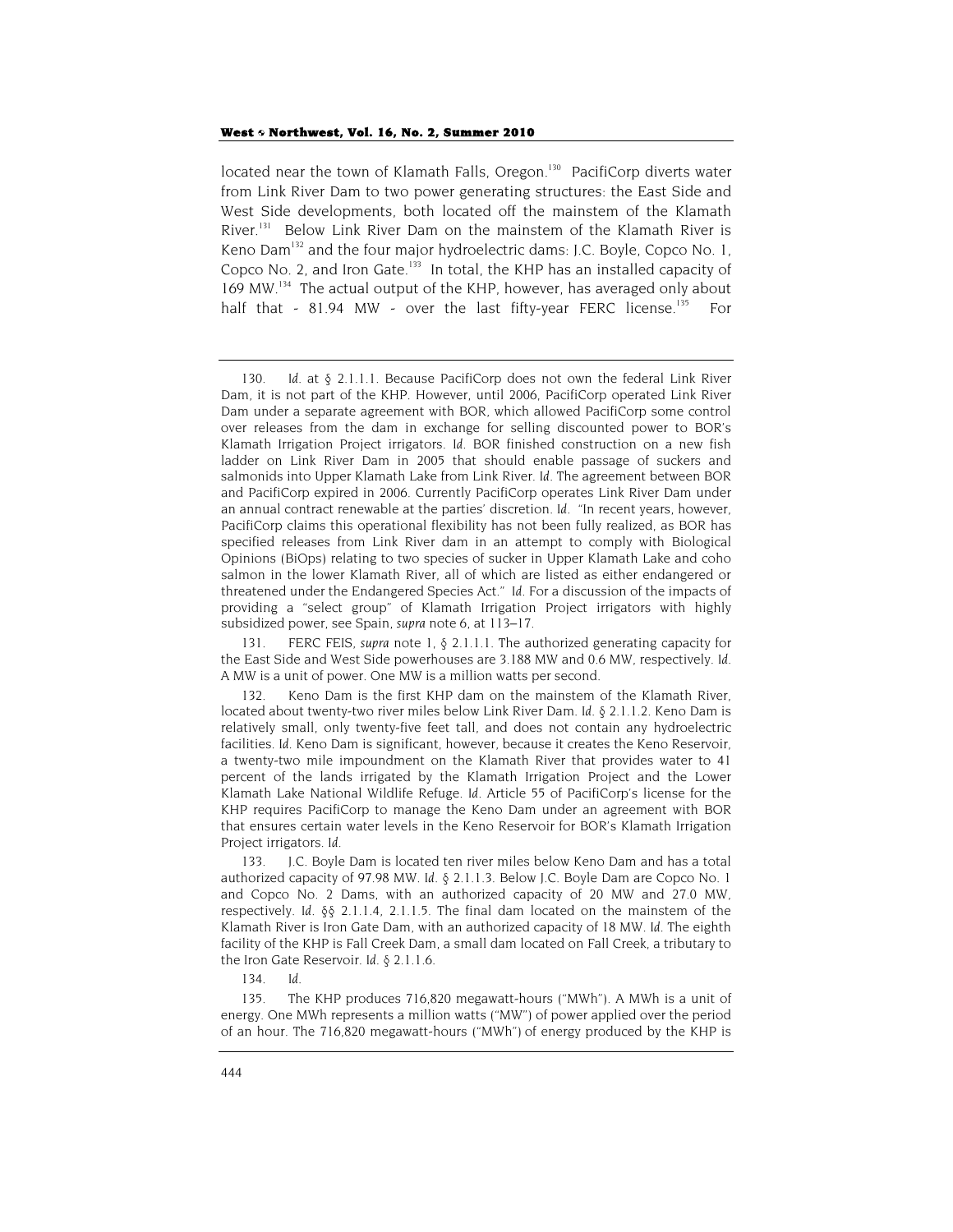located near the town of Klamath Falls, Oregon.<sup>130</sup> PacifiCorp diverts water from Link River Dam to two power generating structures: the East Side and West Side developments, both located off the mainstem of the Klamath River.<sup>131</sup> Below Link River Dam on the mainstem of the Klamath River is Keno Dam<sup>132</sup> and the four major hydroelectric dams: J.C. Boyle, Copco No. 1, Copco No. 2, and Iron Gate.<sup>133</sup> In total, the KHP has an installed capacity of 169 MW.<sup>134</sup> The actual output of the KHP, however, has averaged only about half that - 81.94 MW - over the last fifty-year FERC license.<sup>135</sup> For

134*. Id.*

135. The KHP produces 716,820 megawatt-hours ("MWh"). A MWh is a unit of energy. One MWh represents a million watts ("MW") of power applied over the period of an hour. The 716,820 megawatt-hours ("MWh") of energy produced by the KHP is

<sup>130</sup>*. Id.* at § 2.1.1.1. Because PacifiCorp does not own the federal Link River Dam, it is not part of the KHP. However, until 2006, PacifiCorp operated Link River Dam under a separate agreement with BOR, which allowed PacifiCorp some control over releases from the dam in exchange for selling discounted power to BOR's Klamath Irrigation Project irrigators. *Id.* BOR finished construction on a new fish ladder on Link River Dam in 2005 that should enable passage of suckers and salmonids into Upper Klamath Lake from Link River. *Id*. The agreement between BOR and PacifiCorp expired in 2006. Currently PacifiCorp operates Link River Dam under an annual contract renewable at the parties' discretion. *Id.* "In recent years, however, PacifiCorp claims this operational flexibility has not been fully realized, as BOR has specified releases from Link River dam in an attempt to comply with Biological Opinions (BiOps) relating to two species of sucker in Upper Klamath Lake and coho salmon in the lower Klamath River, all of which are listed as either endangered or threatened under the Endangered Species Act." *Id.* For a discussion of the impacts of providing a "select group" of Klamath Irrigation Project irrigators with highly subsidized power, see Spain, *supra* note 6, at 113–17.

<sup>131.</sup> FERC FEIS, *supra* note 1, § 2.1.1.1. The authorized generating capacity for the East Side and West Side powerhouses are 3.188 MW and 0.6 MW, respectively. *Id.* A MW is a unit of power. One MW is a million watts per second.

<sup>132.</sup> Keno Dam is the first KHP dam on the mainstem of the Klamath River, located about twenty-two river miles below Link River Dam. *Id*. § 2.1.1.2. Keno Dam is relatively small, only twenty-five feet tall, and does not contain any hydroelectric facilities. *Id.* Keno Dam is significant, however, because it creates the Keno Reservoir, a twenty-two mile impoundment on the Klamath River that provides water to 41 percent of the lands irrigated by the Klamath Irrigation Project and the Lower Klamath Lake National Wildlife Refuge. *Id.* Article 55 of PacifiCorp's license for the KHP requires PacifiCorp to manage the Keno Dam under an agreement with BOR that ensures certain water levels in the Keno Reservoir for BOR's Klamath Irrigation Project irrigators. *Id.*

<sup>133.</sup> J.C. Boyle Dam is located ten river miles below Keno Dam and has a total authorized capacity of 97.98 MW. *Id.* § 2.1.1.3. Below J.C. Boyle Dam are Copco No. 1 and Copco No. 2 Dams, with an authorized capacity of 20 MW and 27.0 MW, respectively. *Id.* §§ 2.1.1.4, 2.1.1.5. The final dam located on the mainstem of the Klamath River is Iron Gate Dam, with an authorized capacity of 18 MW. *Id.* The eighth facility of the KHP is Fall Creek Dam, a small dam located on Fall Creek, a tributary to the Iron Gate Reservoir. *Id.* § 2.1.1.6.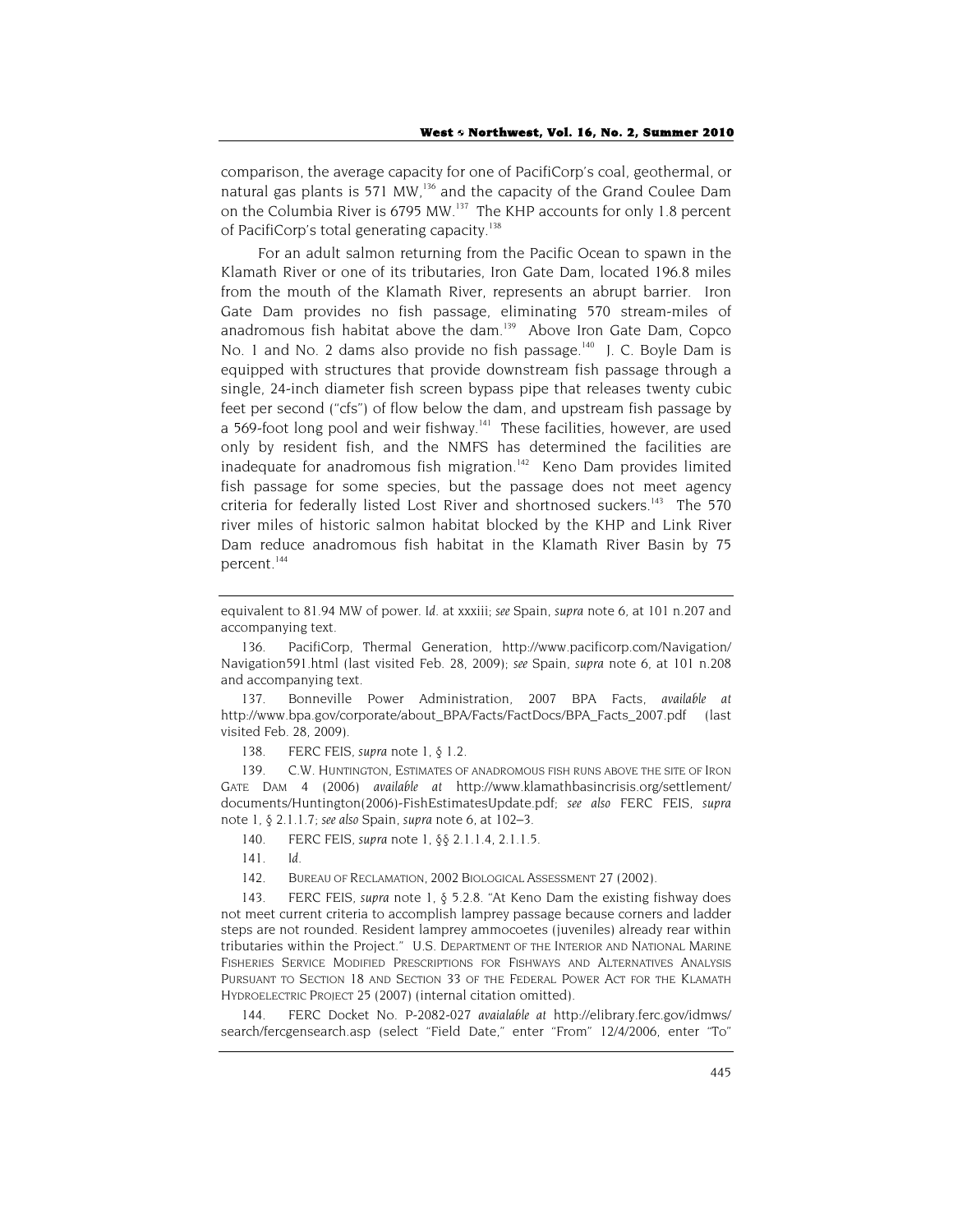comparison, the average capacity for one of PacifiCorp's coal, geothermal, or natural gas plants is 571 MW,<sup>136</sup> and the capacity of the Grand Coulee Dam on the Columbia River is 6795 MW.<sup>137</sup> The KHP accounts for only 1.8 percent of PacifiCorp's total generating capacity.<sup>138</sup>

For an adult salmon returning from the Pacific Ocean to spawn in the Klamath River or one of its tributaries, Iron Gate Dam, located 196.8 miles from the mouth of the Klamath River, represents an abrupt barrier. Iron Gate Dam provides no fish passage, eliminating 570 stream-miles of anadromous fish habitat above the dam.<sup>139</sup> Above Iron Gate Dam, Copco No. 1 and No. 2 dams also provide no fish passage.<sup>140</sup> J. C. Boyle Dam is equipped with structures that provide downstream fish passage through a single, 24-inch diameter fish screen bypass pipe that releases twenty cubic feet per second ("cfs") of flow below the dam, and upstream fish passage by a 569-foot long pool and weir fishway.<sup>141</sup> These facilities, however, are used only by resident fish, and the NMFS has determined the facilities are inadequate for anadromous fish migration.<sup>142</sup> Keno Dam provides limited fish passage for some species, but the passage does not meet agency criteria for federally listed Lost River and shortnosed suckers.<sup>143</sup> The 570 river miles of historic salmon habitat blocked by the KHP and Link River Dam reduce anadromous fish habitat in the Klamath River Basin by 75 percent.<sup>144</sup>

136. PacifiCorp, Thermal Generation, http://www.pacificorp.com/Navigation/ Navigation591.html (last visited Feb. 28, 2009); *see* Spain, *supra* note 6, at 101 n.208 and accompanying text.

137. Bonneville Power Administration, 2007 BPA Facts, *available at* http://www.bpa.gov/corporate/about\_BPA/Facts/FactDocs/BPA\_Facts\_2007.pdf (last visited Feb. 28, 2009).

138. FERC FEIS, *supra* note 1, § 1.2.

139. C.W. HUNTINGTON, ESTIMATES OF ANADROMOUS FISH RUNS ABOVE THE SITE OF IRON GATE DAM 4 (2006) *available at* http://www.klamathbasincrisis.org/settlement/ documents/Huntington(2006)-FishEstimatesUpdate.pdf; *see also* FERC FEIS, *supra* note 1, § 2.1.1.7; *see also* Spain, *supra* note 6, at 102–3.

140. FERC FEIS, *supra* note 1, §§ 2.1.1.4, 2.1.1.5.

141*. Id.*

142. BUREAU OF RECLAMATION, 2002 BIOLOGICAL ASSESSMENT 27 (2002).

143. FERC FEIS, *supra* note 1, § 5.2.8. "At Keno Dam the existing fishway does not meet current criteria to accomplish lamprey passage because corners and ladder steps are not rounded. Resident lamprey ammocoetes (juveniles) already rear within tributaries within the Project." U.S. DEPARTMENT OF THE INTERIOR AND NATIONAL MARINE FISHERIES SERVICE MODIFIED PRESCRIPTIONS FOR FISHWAYS AND ALTERNATIVES ANALYSIS PURSUANT TO SECTION 18 AND SECTION 33 OF THE FEDERAL POWER ACT FOR THE KLAMATH HYDROELECTRIC PROJECT 25 (2007) (internal citation omitted).

144. FERC Docket No. P-2082-027 *avaialable at* http://elibrary.ferc.gov/idmws/ search/fercgensearch.asp (select "Field Date," enter "From" 12/4/2006, enter "To"

equivalent to 81.94 MW of power. *Id.* at xxxiii; *see* Spain, *supra* note 6, at 101 n.207 and accompanying text.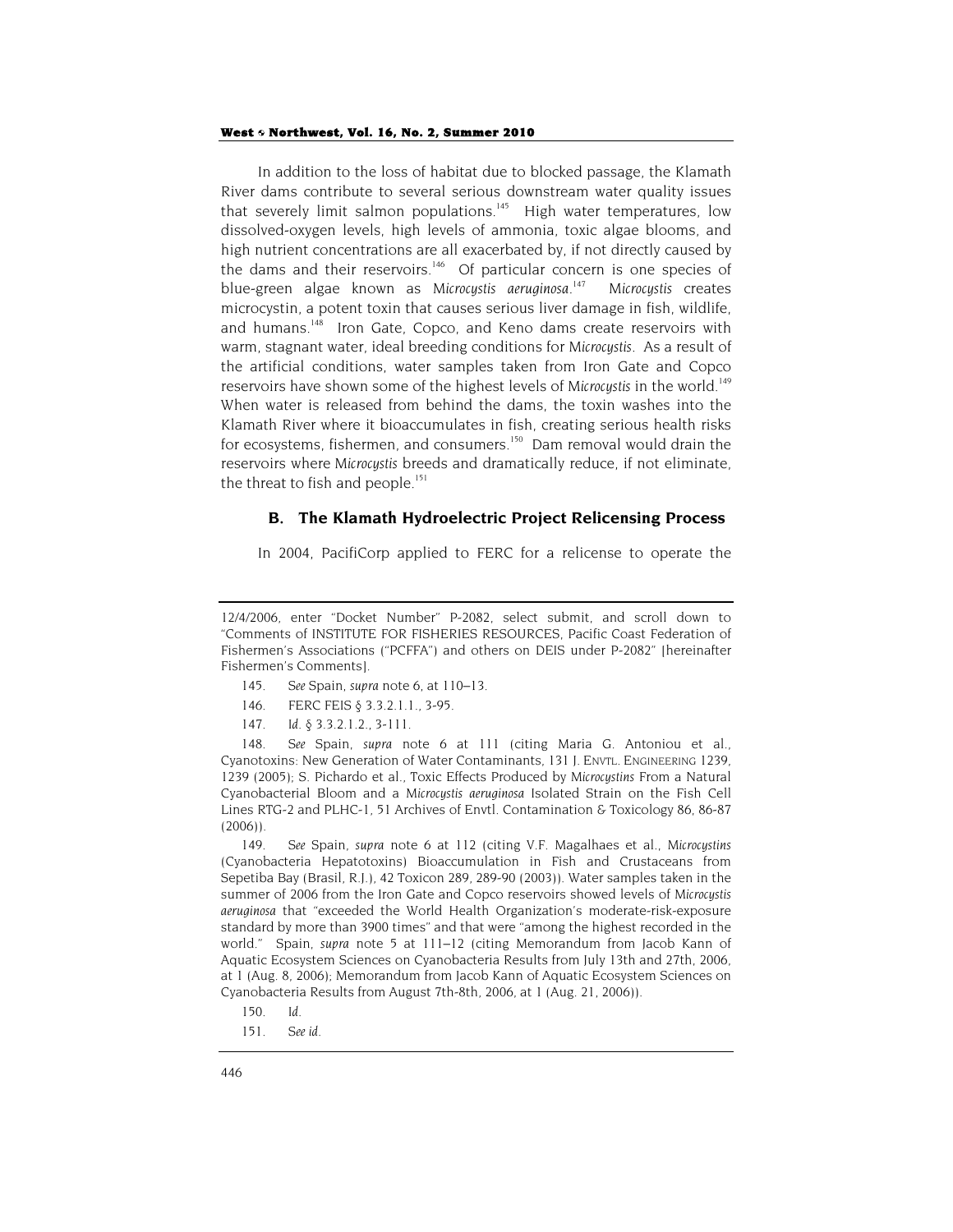In addition to the loss of habitat due to blocked passage, the Klamath River dams contribute to several serious downstream water quality issues that severely limit salmon populations.<sup>145</sup> High water temperatures, low dissolved-oxygen levels, high levels of ammonia, toxic algae blooms, and high nutrient concentrations are all exacerbated by, if not directly caused by the dams and their reservoirs.<sup>146</sup> Of particular concern is one species of blue-green algae known as *Microcystis aeruginosa*. 147 *Microcystis* creates microcystin, a potent toxin that causes serious liver damage in fish, wildlife, and humans.<sup>148</sup> Iron Gate, Copco, and Keno dams create reservoirs with warm, stagnant water, ideal breeding conditions for *Microcystis*. As a result of the artificial conditions, water samples taken from Iron Gate and Copco reservoirs have shown some of the highest levels of Microcystis in the world.<sup>149</sup> When water is released from behind the dams, the toxin washes into the Klamath River where it bioaccumulates in fish, creating serious health risks for ecosystems, fishermen, and consumers.<sup>150</sup> Dam removal would drain the reservoirs where *Microcystis* breeds and dramatically reduce, if not eliminate, the threat to fish and people.<sup>151</sup>

## **B. The Klamath Hydroelectric Project Relicensing Process**

In 2004, PacifiCorp applied to FERC for a relicense to operate the

- 145*. See* Spain, *supra* note 6, at 110–13.
- 146. FERC FEIS § 3.3.2.1.1., 3-95.
- 147*. Id.* § 3.3.2.1.2., 3-111.

148*. See* Spain, *supra* note 6 at 111 (citing Maria G. Antoniou et al., Cyanotoxins: New Generation of Water Contaminants, 131 J. ENVTL. ENGINEERING 1239, 1239 (2005); S. Pichardo et al., Toxic Effects Produced by *Microcystins* From a Natural Cyanobacterial Bloom and a *Microcystis aeruginosa* Isolated Strain on the Fish Cell Lines RTG-2 and PLHC-1, 51 Archives of Envtl. Contamination & Toxicology 86, 86-87 (2006)).

149*. See* Spain, *supra* note 6 at 112 (citing V.F. Magalhaes et al., *Microcystins* (Cyanobacteria Hepatotoxins) Bioaccumulation in Fish and Crustaceans from Sepetiba Bay (Brasil, R.J.), 42 Toxicon 289, 289-90 (2003)). Water samples taken in the summer of 2006 from the Iron Gate and Copco reservoirs showed levels of *Microcystis aeruginosa* that "exceeded the World Health Organization's moderate-risk-exposure standard by more than 3900 times" and that were "among the highest recorded in the world." Spain, *supra* note 5 at 111–12 (citing Memorandum from Jacob Kann of Aquatic Ecosystem Sciences on Cyanobacteria Results from July 13th and 27th, 2006, at 1 (Aug. 8, 2006); Memorandum from Jacob Kann of Aquatic Ecosystem Sciences on Cyanobacteria Results from August 7th-8th, 2006, at 1 (Aug. 21, 2006)).

151*. See id.*

<sup>12/4/2006,</sup> enter "Docket Number" P-2082, select submit, and scroll down to "Comments of INSTITUTE FOR FISHERIES RESOURCES, Pacific Coast Federation of Fishermen's Associations ("PCFFA") and others on DEIS under P-2082" [hereinafter Fishermen's Comments].

<sup>150</sup>*. Id.*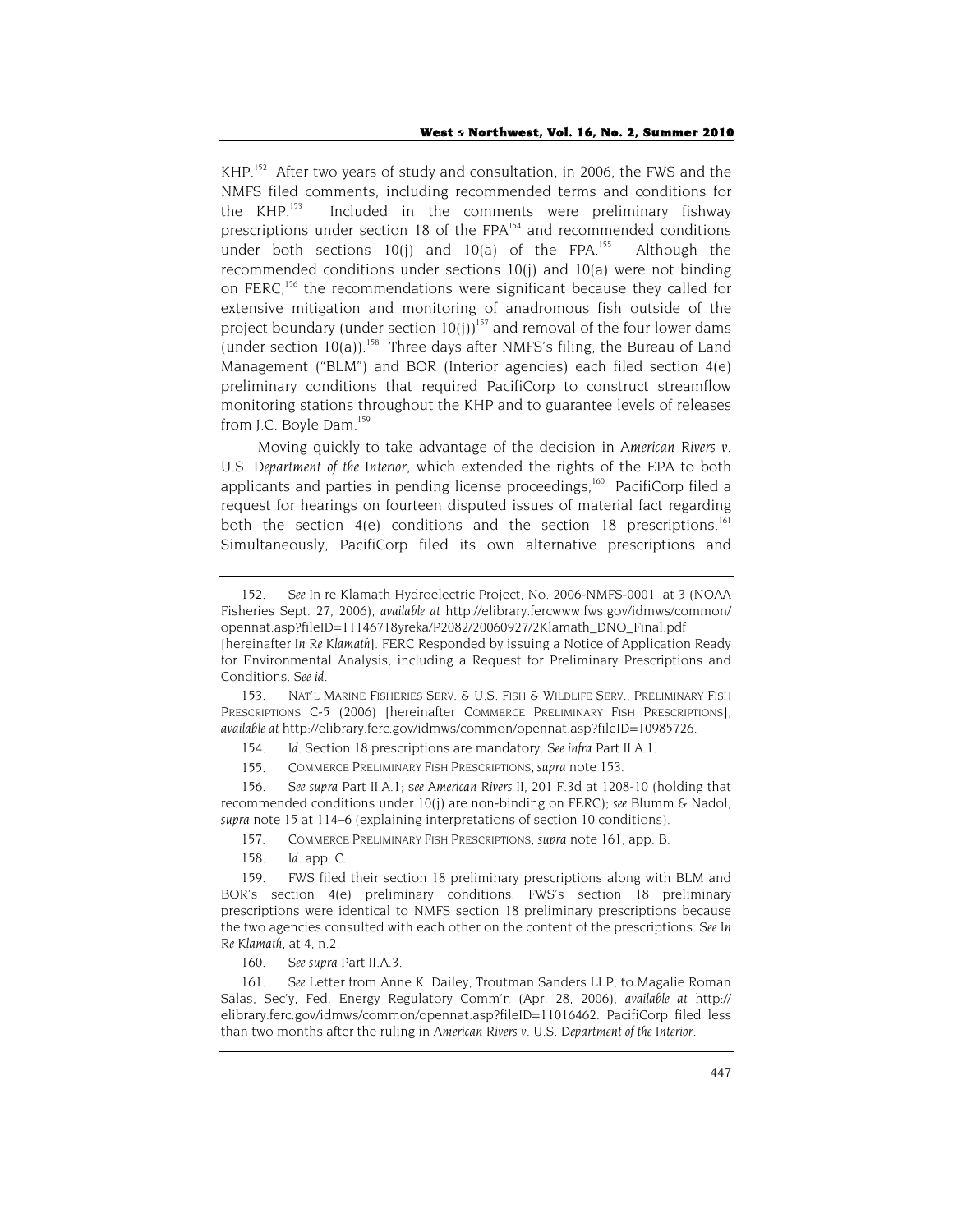KHP.<sup>152</sup> After two years of study and consultation, in 2006, the FWS and the NMFS filed comments, including recommended terms and conditions for the KHP.<sup>153</sup> Included in the comments were preliminary fishwav Included in the comments were preliminary fishway prescriptions under section 18 of the FPA<sup>154</sup> and recommended conditions under both sections  $10(i)$  and  $10(a)$  of the FPA.<sup>155</sup> Although the recommended conditions under sections 10(j) and 10(a) were not binding on FERC,<sup>156</sup> the recommendations were significant because they called for extensive mitigation and monitoring of anadromous fish outside of the project boundary (under section  $10(i)$ )<sup>157</sup> and removal of the four lower dams (under section  $10(a)$ ).<sup>158</sup> Three days after NMFS's filing, the Bureau of Land Management ("BLM") and BOR (Interior agencies) each filed section 4(e) preliminary conditions that required PacifiCorp to construct streamflow monitoring stations throughout the KHP and to guarantee levels of releases from J.C. Boyle Dam.<sup>159</sup>

Moving quickly to take advantage of the decision in *American Rivers v. U.S. Department of the Interior*, which extended the rights of the EPA to both applicants and parties in pending license proceedings,<sup>160</sup> PacifiCorp filed a request for hearings on fourteen disputed issues of material fact regarding both the section  $4(e)$  conditions and the section 18 prescriptions.<sup>161</sup> Simultaneously, PacifiCorp filed its own alternative prescriptions and

153. NAT'L MARINE FISHERIES SERV. & U.S. FISH & WILDLIFE SERV., PRELIMINARY FISH PRESCRIPTIONS C-5 (2006) [hereinafter COMMERCE PRELIMINARY FISH PRESCRIPTIONS], *available at* http://elibrary.ferc.gov/idmws/common/opennat.asp?fileID=10985726.

154*. Id.* Section 18 prescriptions are mandatory. *See infra* Part II.A.1.

155. COMMERCE PRELIMINARY FISH PRESCRIPTIONS, *supra* note 153.

156*. See supra* Part II.A.1; s*ee American Rivers II*, 201 F.3d at 1208-10 (holding that recommended conditions under 10(j) are non-binding on FERC); *see* Blumm & Nadol, *supra* note 15 at 114–6 (explaining interpretations of section 10 conditions).

157. COMMERCE PRELIMINARY FISH PRESCRIPTIONS, *supra* note 161, app. B.

158*. Id.* app. C.

160*. See supra* Part II.A.3.

161*. See* Letter from Anne K. Dailey, Troutman Sanders LLP, to Magalie Roman Salas, Sec'y, Fed. Energy Regulatory Comm'n (Apr. 28, 2006), *available at* http:// elibrary.ferc.gov/idmws/common/opennat.asp?fileID=11016462. PacifiCorp filed less than two months after the ruling in *American Rivers v. U.S. Department of the Interior*.

<sup>152</sup>*. See* In re Klamath Hydroelectric Project, No. 2006-NMFS-0001 at 3 (NOAA Fisheries Sept. 27, 2006), *available at* http://elibrary.fercwww.fws.gov/idmws/common/ opennat.asp?fileID=11146718yreka/P2082/20060927/2Klamath\_DNO\_Final.pdf [hereinafter *In Re Klamath*]. FERC Responded by issuing a Notice of Application Ready for Environmental Analysis, including a Request for Preliminary Prescriptions and Conditions. *See id.*

<sup>159.</sup> FWS filed their section 18 preliminary prescriptions along with BLM and BOR's section 4(e) preliminary conditions. FWS's section 18 preliminary prescriptions were identical to NMFS section 18 preliminary prescriptions because the two agencies consulted with each other on the content of the prescriptions. *See In Re Klamath*, at 4, n.2.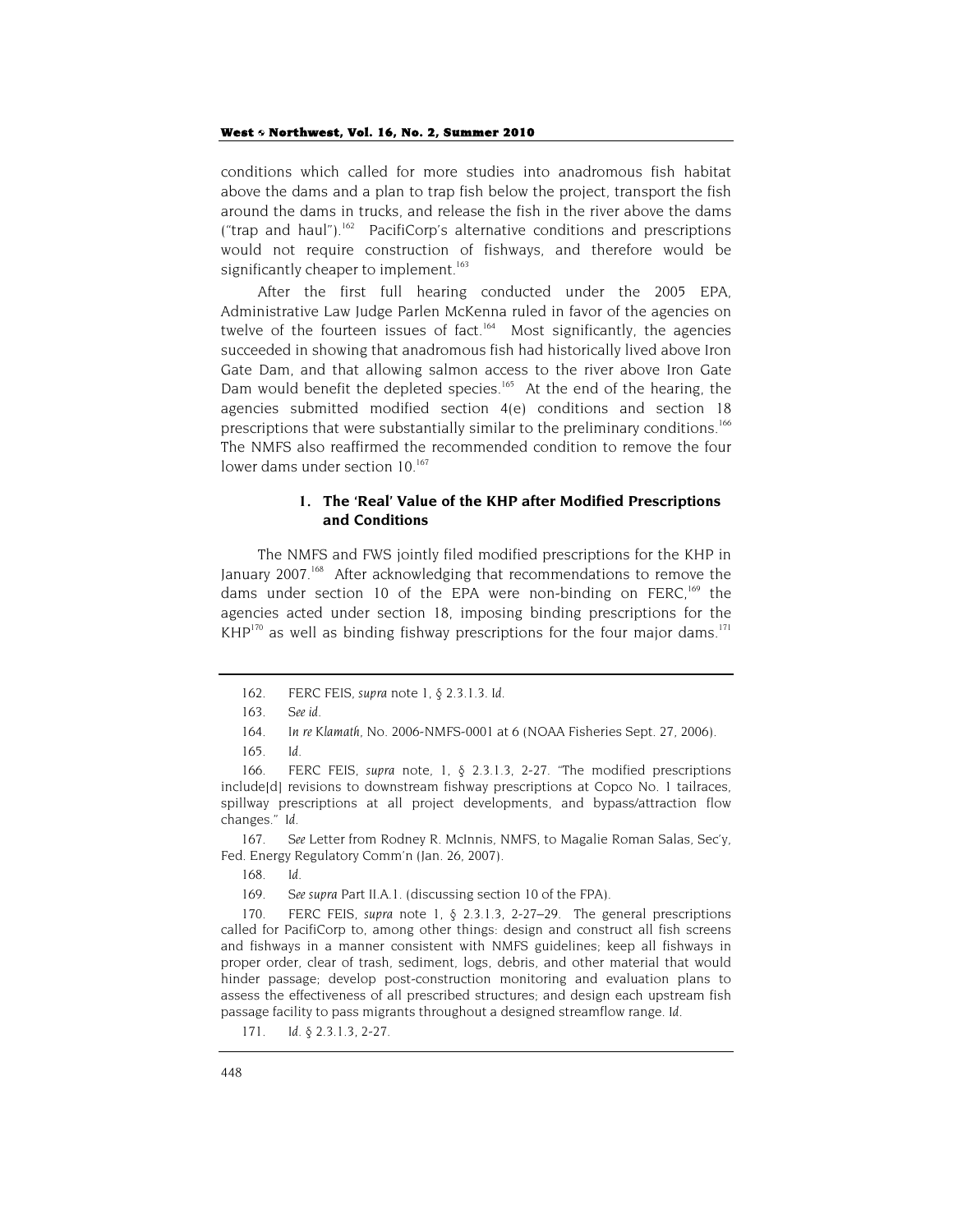conditions which called for more studies into anadromous fish habitat above the dams and a plan to trap fish below the project, transport the fish around the dams in trucks, and release the fish in the river above the dams ("trap and haul").<sup>162</sup> PacifiCorp's alternative conditions and prescriptions would not require construction of fishways, and therefore would be significantly cheaper to implement.<sup>163</sup>

After the first full hearing conducted under the 2005 EPA, Administrative Law Judge Parlen McKenna ruled in favor of the agencies on twelve of the fourteen issues of fact.<sup>164</sup> Most significantly, the agencies succeeded in showing that anadromous fish had historically lived above Iron Gate Dam, and that allowing salmon access to the river above Iron Gate Dam would benefit the depleted species.<sup>165</sup> At the end of the hearing, the agencies submitted modified section 4(e) conditions and section 18 prescriptions that were substantially similar to the preliminary conditions.<sup>166</sup> The NMFS also reaffirmed the recommended condition to remove the four lower dams under section 10.<sup>167</sup>

#### **1. The 'Real' Value of the KHP after Modified Prescriptions and Conditions**

The NMFS and FWS jointly filed modified prescriptions for the KHP in January 2007.<sup>168</sup> After acknowledging that recommendations to remove the dams under section 10 of the EPA were non-binding on FERC,  $169$  the agencies acted under section 18, imposing binding prescriptions for the  $KHP^{170}$  as well as binding fishway prescriptions for the four major dams.<sup>171</sup>

<sup>162.</sup> FERC FEIS, *supra* note 1, § 2.3.1.3. *Id*.

<sup>163</sup>*. See id.*

<sup>164</sup>*. In re Klamath*, No. 2006-NMFS-0001 at 6 (NOAA Fisheries Sept. 27, 2006).

<sup>165</sup>*. Id.*

<sup>166.</sup> FERC FEIS, *supra* note, 1, § 2.3.1.3, 2-27. "The modified prescriptions include[d] revisions to downstream fishway prescriptions at Copco No. 1 tailraces, spillway prescriptions at all project developments, and bypass/attraction flow changes." *Id.*

<sup>167</sup>*. See* Letter from Rodney R. McInnis, NMFS, to Magalie Roman Salas, Sec'y, Fed. Energy Regulatory Comm'n (Jan. 26, 2007).

<sup>168</sup>*. Id.*

<sup>169</sup>*. See supra* Part II.A.1. (discussing section 10 of the FPA).

<sup>170.</sup> FERC FEIS, *supra* note 1, § 2.3.1.3, 2-27–29. The general prescriptions called for PacifiCorp to, among other things: design and construct all fish screens and fishways in a manner consistent with NMFS guidelines; keep all fishways in proper order, clear of trash, sediment, logs, debris, and other material that would hinder passage; develop post-construction monitoring and evaluation plans to assess the effectiveness of all prescribed structures; and design each upstream fish passage facility to pass migrants throughout a designed streamflow range. *Id.*

<sup>171</sup>*. Id.* § 2.3.1.3, 2-27.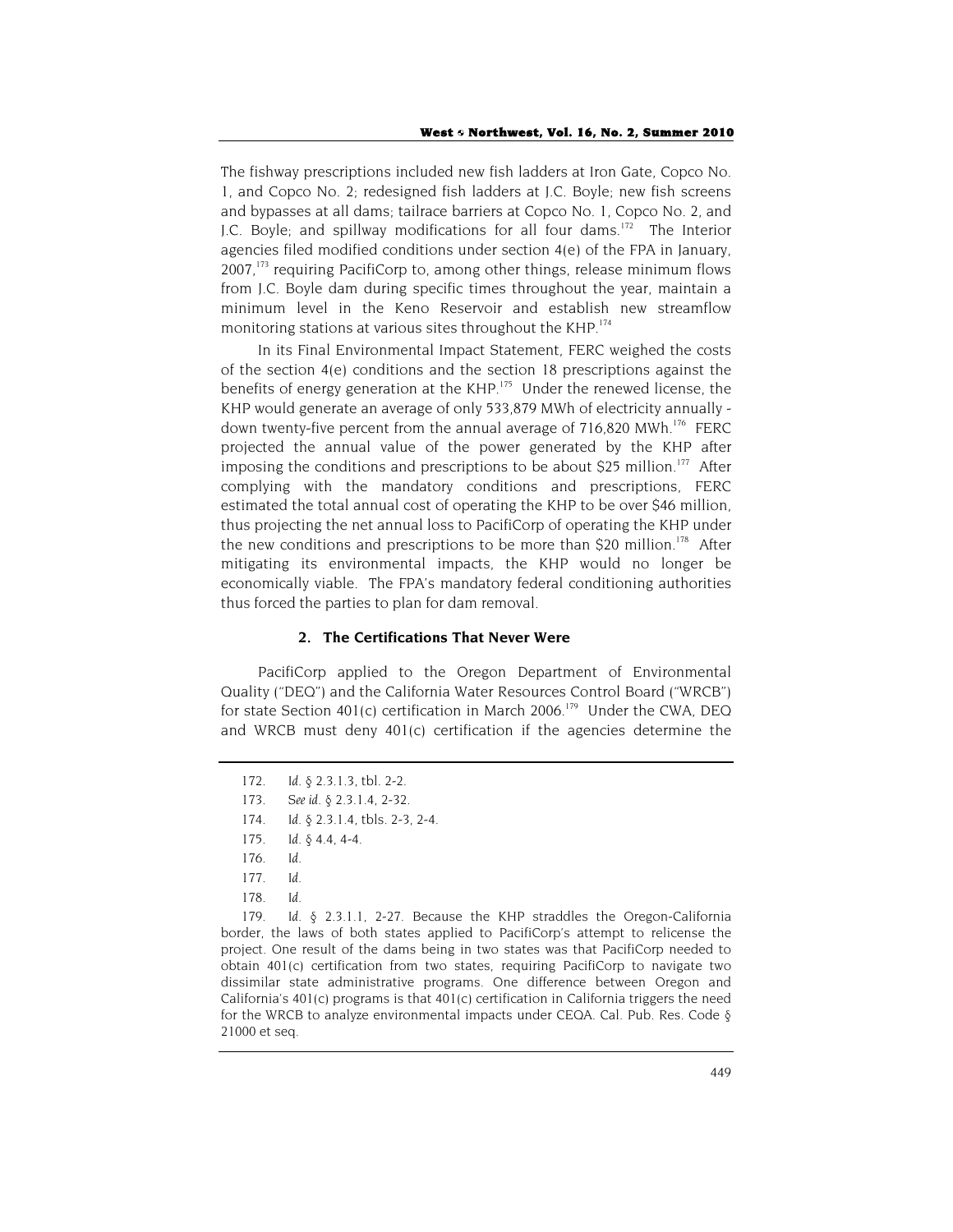The fishway prescriptions included new fish ladders at Iron Gate, Copco No. 1, and Copco No. 2; redesigned fish ladders at J.C. Boyle; new fish screens and bypasses at all dams; tailrace barriers at Copco No. 1, Copco No. 2, and J.C. Boyle; and spillway modifications for all four dams.<sup>172</sup> The Interior agencies filed modified conditions under section 4(e) of the FPA in January,  $2007$ ,<sup>173</sup> requiring PacifiCorp to, among other things, release minimum flows from J.C. Boyle dam during specific times throughout the year, maintain a minimum level in the Keno Reservoir and establish new streamflow monitoring stations at various sites throughout the KHP.<sup>174</sup>

In its Final Environmental Impact Statement, FERC weighed the costs of the section 4(e) conditions and the section 18 prescriptions against the benefits of energy generation at the KHP.<sup>175</sup> Under the renewed license, the KHP would generate an average of only 533,879 MWh of electricity annually down twenty-five percent from the annual average of  $716,820$  MWh.<sup>176</sup> FERC projected the annual value of the power generated by the KHP after imposing the conditions and prescriptions to be about \$25 million.<sup>177</sup> After complying with the mandatory conditions and prescriptions, FERC estimated the total annual cost of operating the KHP to be over \$46 million, thus projecting the net annual loss to PacifiCorp of operating the KHP under the new conditions and prescriptions to be more than \$20 million.<sup>178</sup> After mitigating its environmental impacts, the KHP would no longer be economically viable. The FPA's mandatory federal conditioning authorities thus forced the parties to plan for dam removal.

#### **2. The Certifications That Never Were**

PacifiCorp applied to the Oregon Department of Environmental Quality ("DEQ") and the California Water Resources Control Board ("WRCB") for state Section 401(c) certification in March 2006.<sup>179</sup> Under the CWA, DEQ and WRCB must deny 401(c) certification if the agencies determine the

178*. Id.*

179. *Id.* § 2.3.1.1, 2-27. Because the KHP straddles the Oregon-California border, the laws of both states applied to PacifiCorp's attempt to relicense the project. One result of the dams being in two states was that PacifiCorp needed to obtain 401(c) certification from two states, requiring PacifiCorp to navigate two dissimilar state administrative programs. One difference between Oregon and California's  $401(c)$  programs is that  $401(c)$  certification in California triggers the need for the WRCB to analyze environmental impacts under CEQA. Cal. Pub. Res. Code § 21000 et seq.

<sup>172</sup>*. Id.* § 2.3.1.3, tbl. 2-2.

<sup>173</sup>*. See id*. § 2.3.1.4, 2-32.

<sup>174</sup>*. Id*. § 2.3.1.4, tbls. 2-3, 2-4.

<sup>175</sup>*. Id.* § 4.4, 4-4.

<sup>176</sup>*. Id.*

<sup>177</sup>*. Id.*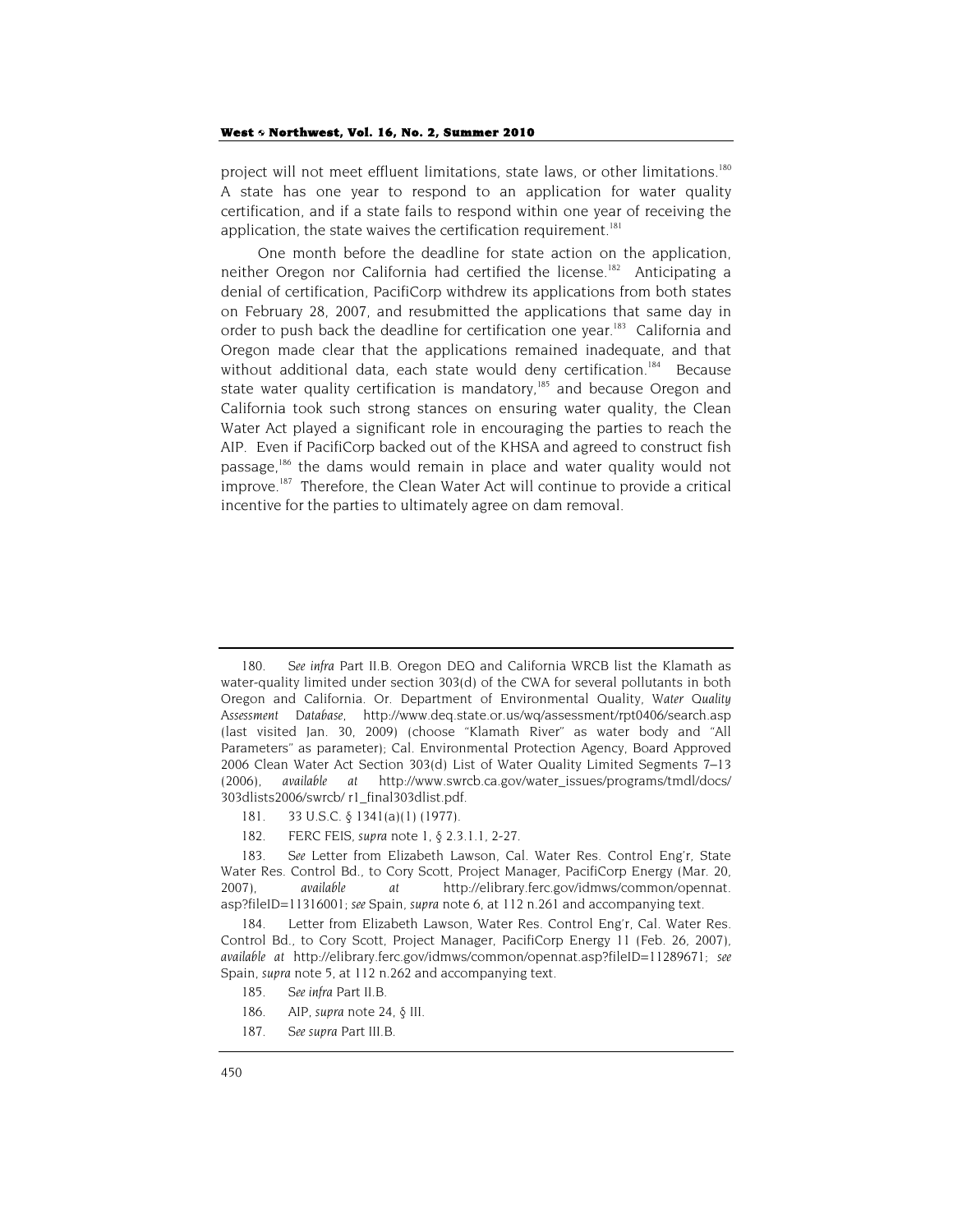project will not meet effluent limitations, state laws, or other limitations.<sup>180</sup> A state has one year to respond to an application for water quality certification, and if a state fails to respond within one year of receiving the application, the state waives the certification requirement.<sup>181</sup>

One month before the deadline for state action on the application, neither Oregon nor California had certified the license.<sup>182</sup> Anticipating a denial of certification, PacifiCorp withdrew its applications from both states on February 28, 2007, and resubmitted the applications that same day in order to push back the deadline for certification one year.<sup>183</sup> California and Oregon made clear that the applications remained inadequate, and that without additional data, each state would deny certification.<sup>184</sup> Because state water quality certification is mandatory, $185$  and because Oregon and California took such strong stances on ensuring water quality, the Clean Water Act played a significant role in encouraging the parties to reach the AIP. Even if PacifiCorp backed out of the KHSA and agreed to construct fish passage,186 the dams would remain in place and water quality would not improve.<sup>187</sup> Therefore, the Clean Water Act will continue to provide a critical incentive for the parties to ultimately agree on dam removal.

- 181. 33 U.S.C. § 1341(a)(1) (1977).
- 182. FERC FEIS, *supra* note 1, § 2.3.1.1, 2-27.

- 185*. See infra* Part II.B.
- 186. AIP, *supra* note 24, § III.
- 187*. See supra* Part III.B.

<sup>180</sup>*. See infra* Part II.B. Oregon DEQ and California WRCB list the Klamath as water-quality limited under section 303(d) of the CWA for several pollutants in both Oregon and California. Or. Department of Environmental Quality, *Water Quality Assessment Database*, http://www.deq.state.or.us/wq/assessment/rpt0406/search.asp (last visited Jan. 30, 2009) (choose "Klamath River" as water body and "All Parameters" as parameter); Cal. Environmental Protection Agency, Board Approved 2006 Clean Water Act Section 303(d) List of Water Quality Limited Segments 7–13 (2006), *available at* http://www.swrcb.ca.gov/water\_issues/programs/tmdl/docs/ 303dlists2006/swrcb/ r1\_final303dlist.pdf.

<sup>183</sup>*. See* Letter from Elizabeth Lawson, Cal. Water Res. Control Eng'r, State Water Res. Control Bd., to Cory Scott, Project Manager, PacifiCorp Energy (Mar. 20, 2007), *available at* http://elibrary.ferc.gov/idmws/common/opennat. asp?fileID=11316001; *see* Spain, *supra* note 6, at 112 n.261 and accompanying text.

<sup>184.</sup> Letter from Elizabeth Lawson, Water Res. Control Eng'r, Cal. Water Res. Control Bd., to Cory Scott, Project Manager, PacifiCorp Energy 11 (Feb. 26, 2007), *available at* http://elibrary.ferc.gov/idmws/common/opennat.asp?fileID=11289671; *see* Spain, *supra* note 5, at 112 n.262 and accompanying text.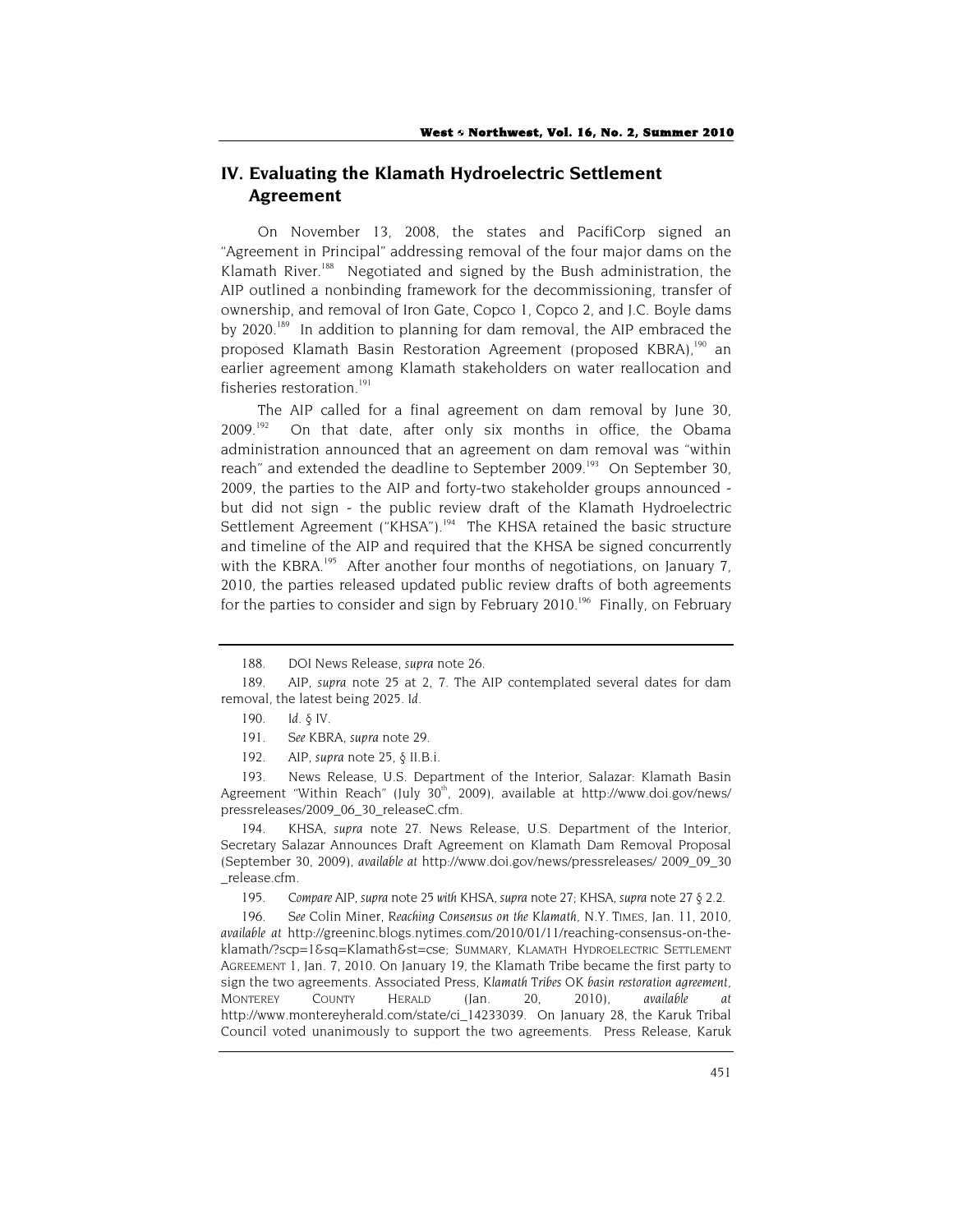# **IV. Evaluating the Klamath Hydroelectric Settlement Agreement**

On November 13, 2008, the states and PacifiCorp signed an "Agreement in Principal" addressing removal of the four major dams on the Klamath River.<sup>188</sup> Negotiated and signed by the Bush administration, the AIP outlined a nonbinding framework for the decommissioning, transfer of ownership, and removal of Iron Gate, Copco 1, Copco 2, and J.C. Boyle dams by 2020.<sup>189</sup> In addition to planning for dam removal, the AIP embraced the proposed Klamath Basin Restoration Agreement (proposed KBRA),<sup>190</sup> an earlier agreement among Klamath stakeholders on water reallocation and fisheries restoration.<sup>191</sup>

The AIP called for a final agreement on dam removal by June 30,  $2009$ <sup>192</sup> On that date, after only six months in office, the Obama administration announced that an agreement on dam removal was "within reach" and extended the deadline to September 2009.<sup>193</sup> On September 30, 2009, the parties to the AIP and forty-two stakeholder groups announced but did not sign - the public review draft of the Klamath Hydroelectric Settlement Agreement ("KHSA").<sup>194</sup> The KHSA retained the basic structure and timeline of the AIP and required that the KHSA be signed concurrently with the KBRA.<sup>195</sup> After another four months of negotiations, on January 7, 2010, the parties released updated public review drafts of both agreements for the parties to consider and sign by February  $2010^{196}$  Finally, on February

193. News Release, U.S. Department of the Interior, Salazar: Klamath Basin Agreement "Within Reach" (July 30<sup>th</sup>, 2009), available at http://www.doi.gov/news/ pressreleases/2009\_06\_30\_releaseC.cfm.

194. KHSA, *supra* note 27. News Release, U.S. Department of the Interior, Secretary Salazar Announces Draft Agreement on Klamath Dam Removal Proposal (September 30, 2009), *available at* http://www.doi.gov/news/pressreleases/ 2009\_09\_30 \_release.cfm.

195*. Compare* AIP, *supra* note 25 *with* KHSA, *supra* note 27; KHSA, *supra* note 27 § 2.2.

196*. See* Colin Miner, *Reaching Consensus on the Klamath*, N.Y. TIMES, Jan. 11, 2010, *available at* http://greeninc.blogs.nytimes.com/2010/01/11/reaching-consensus-on-theklamath/?scp=1&sq=Klamath&st=cse; SUMMARY, KLAMATH HYDROELECTRIC SETTLEMENT AGREEMENT 1, Jan. 7, 2010. On January 19, the Klamath Tribe became the first party to sign the two agreements. Associated Press, *Klamath Tribes OK basin restoration agreement*, MONTEREY COUNTY HERALD (Jan. 20, 2010), *available at* http://www.montereyherald.com/state/ci\_14233039. On January 28, the Karuk Tribal Council voted unanimously to support the two agreements. Press Release, Karuk

<sup>188.</sup> DOI News Release, *supra* note 26.

<sup>189.</sup> AIP, *supra* note 25 at 2, 7. The AIP contemplated several dates for dam removal, the latest being 2025. *Id.*

<sup>190</sup>*. Id.* § IV.

<sup>191</sup>*. See* KBRA, *supra* note 29.

<sup>192.</sup> AIP, *supra* note 25, § II.B.i.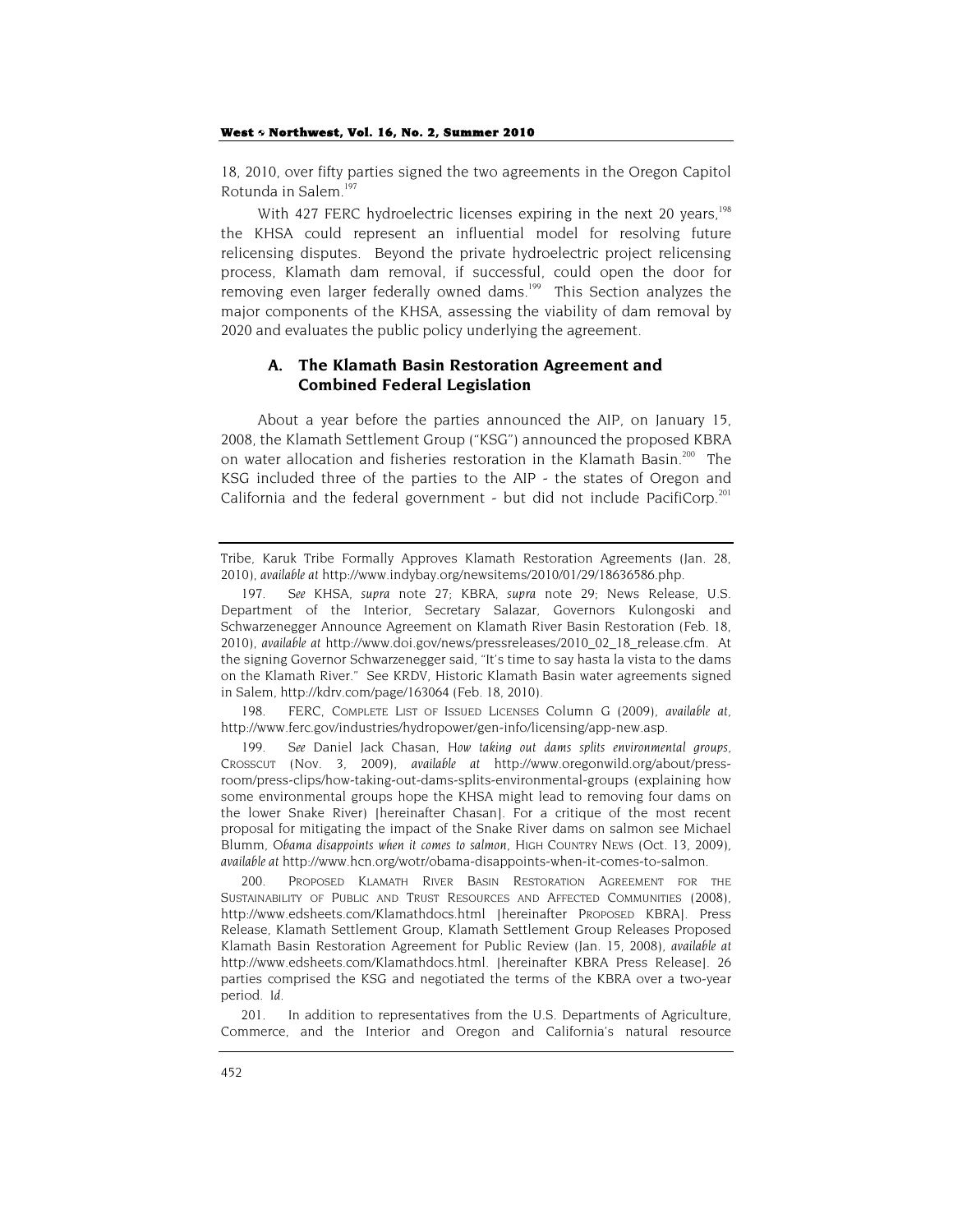18, 2010, over fifty parties signed the two agreements in the Oregon Capitol Rotunda in Salem.197

With 427 FERC hydroelectric licenses expiring in the next 20 vears.<sup>198</sup> the KHSA could represent an influential model for resolving future relicensing disputes. Beyond the private hydroelectric project relicensing process, Klamath dam removal, if successful, could open the door for removing even larger federally owned dams.<sup>199</sup> This Section analyzes the major components of the KHSA, assessing the viability of dam removal by 2020 and evaluates the public policy underlying the agreement.

## **A. The Klamath Basin Restoration Agreement and Combined Federal Legislation**

About a year before the parties announced the AIP, on January 15, 2008, the Klamath Settlement Group ("KSG") announced the proposed KBRA on water allocation and fisheries restoration in the Klamath Basin.<sup>200</sup> The KSG included three of the parties to the AIP - the states of Oregon and California and the federal government - but did not include PacifiCorp.<sup>201</sup>

198. FERC, COMPLETE LIST OF ISSUED LICENSES Column G (2009), *available at*, http://www.ferc.gov/industries/hydropower/gen-info/licensing/app-new.asp.

199*. See* Daniel Jack Chasan, *How taking out dams splits environmental groups*, CROSSCUT (Nov. 3, 2009), *available at* http://www.oregonwild.org/about/pressroom/press-clips/how-taking-out-dams-splits-environmental-groups (explaining how some environmental groups hope the KHSA might lead to removing four dams on the lower Snake River) [hereinafter Chasan]. For a critique of the most recent proposal for mitigating the impact of the Snake River dams on salmon see Michael Blumm, *Obama disappoints when it comes to salmon*, HIGH COUNTRY NEWS (Oct. 13, 2009), *available at* http://www.hcn.org/wotr/obama-disappoints-when-it-comes-to-salmon.

200. PROPOSED KLAMATH RIVER BASIN RESTORATION AGREEMENT FOR THE SUSTAINABILITY OF PUBLIC AND TRUST RESOURCES AND AFFECTED COMMUNITIES (2008), http://www.edsheets.com/Klamathdocs.html [hereinafter PROPOSED KBRA]. Press Release, Klamath Settlement Group, Klamath Settlement Group Releases Proposed Klamath Basin Restoration Agreement for Public Review (Jan. 15, 2008), *available at* http://www.edsheets.com/Klamathdocs.html. [hereinafter KBRA Press Release]. 26 parties comprised the KSG and negotiated the terms of the KBRA over a two-year period. *Id.*

201. In addition to representatives from the U.S. Departments of Agriculture, Commerce, and the Interior and Oregon and California's natural resource

Tribe, Karuk Tribe Formally Approves Klamath Restoration Agreements (Jan. 28, 2010), *available at* http://www.indybay.org/newsitems/2010/01/29/18636586.php.

<sup>197</sup>*. See* KHSA, *supra* note 27; KBRA, *supra* note 29; News Release, U.S. Department of the Interior, Secretary Salazar, Governors Kulongoski and Schwarzenegger Announce Agreement on Klamath River Basin Restoration (Feb. 18, 2010), *available at* http://www.doi.gov/news/pressreleases/2010\_02\_18\_release.cfm. At the signing Governor Schwarzenegger said, "It's time to say hasta la vista to the dams on the Klamath River." See KRDV, Historic Klamath Basin water agreements signed in Salem, http://kdrv.com/page/163064 (Feb. 18, 2010).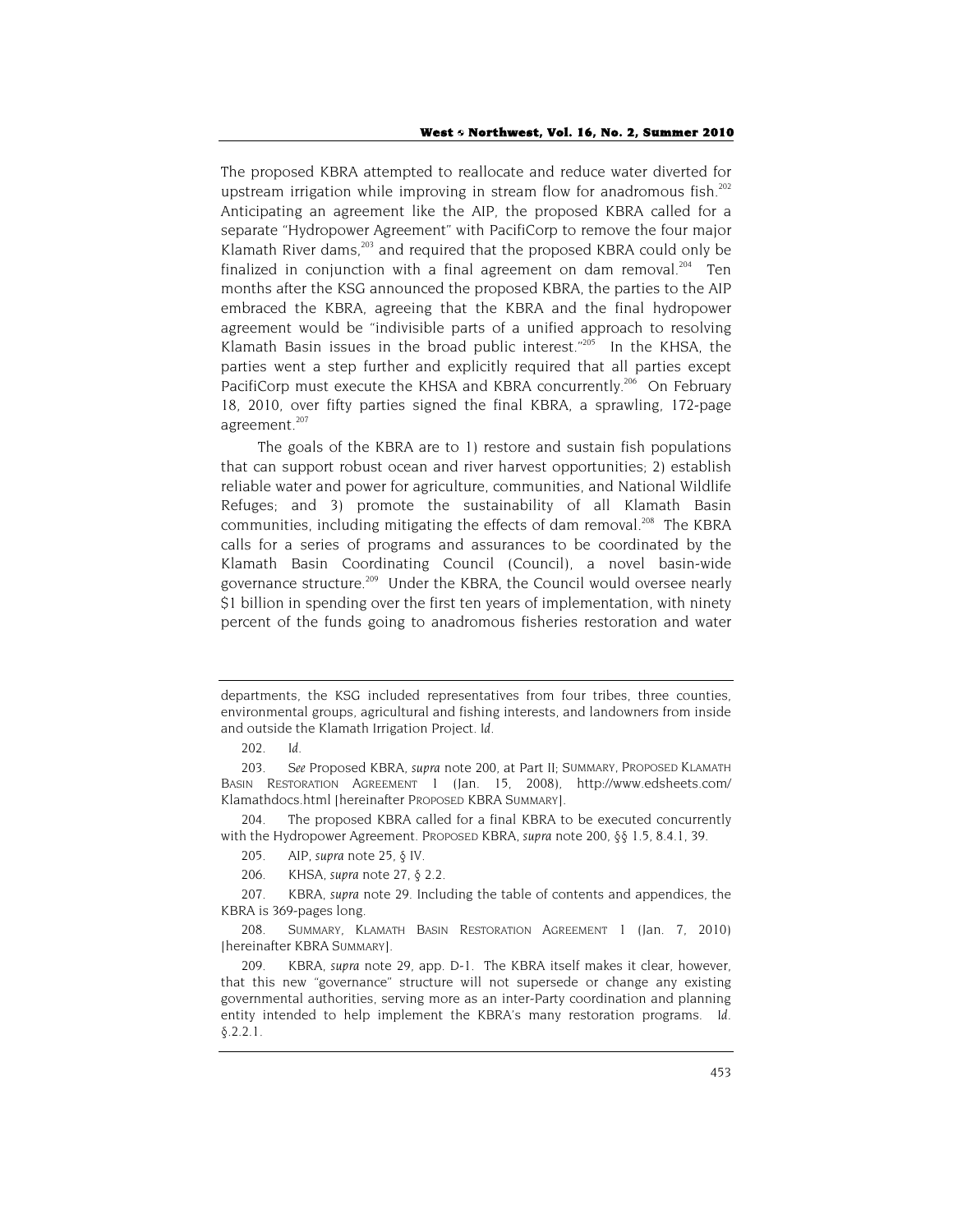The proposed KBRA attempted to reallocate and reduce water diverted for upstream irrigation while improving in stream flow for anadromous fish.<sup>202</sup> Anticipating an agreement like the AIP, the proposed KBRA called for a separate "Hydropower Agreement" with PacifiCorp to remove the four major Klamath River dams, $^{203}$  and required that the proposed KBRA could only be finalized in conjunction with a final agreement on dam removal.<sup>204</sup> Ten months after the KSG announced the proposed KBRA, the parties to the AIP embraced the KBRA, agreeing that the KBRA and the final hydropower agreement would be "indivisible parts of a unified approach to resolving Klamath Basin issues in the broad public interest." $205$  In the KHSA, the parties went a step further and explicitly required that all parties except PacifiCorp must execute the KHSA and KBRA concurrently.<sup>206</sup> On February 18, 2010, over fifty parties signed the final KBRA, a sprawling, 172-page agreement.<sup>207</sup>

The goals of the KBRA are to 1) restore and sustain fish populations that can support robust ocean and river harvest opportunities; 2) establish reliable water and power for agriculture, communities, and National Wildlife Refuges; and 3) promote the sustainability of all Klamath Basin communities, including mitigating the effects of dam removal.<sup>208</sup> The KBRA calls for a series of programs and assurances to be coordinated by the Klamath Basin Coordinating Council (Council), a novel basin-wide governance structure.<sup>209</sup> Under the KBRA, the Council would oversee nearly \$1 billion in spending over the first ten years of implementation, with ninety percent of the funds going to anadromous fisheries restoration and water

departments, the KSG included representatives from four tribes, three counties, environmental groups, agricultural and fishing interests, and landowners from inside and outside the Klamath Irrigation Project. *Id.*

<sup>202</sup>*. Id.*

<sup>203</sup>*. See* Proposed KBRA, *supra* note 200, at Part II; SUMMARY, PROPOSED KLAMATH BASIN RESTORATION AGREEMENT 1 (Jan. 15, 2008), http://www.edsheets.com/ Klamathdocs.html [hereinafter PROPOSED KBRA SUMMARY].

<sup>204.</sup> The proposed KBRA called for a final KBRA to be executed concurrently with the Hydropower Agreement. PROPOSED KBRA, *supra* note 200, §§ 1.5, 8.4.1, 39.

<sup>205.</sup> AIP, *supra* note 25, § IV.

<sup>206.</sup> KHSA, *supra* note 27, § 2.2.

<sup>207.</sup> KBRA, *supra* note 29. Including the table of contents and appendices, the KBRA is 369-pages long.

<sup>208.</sup> SUMMARY, KLAMATH BASIN RESTORATION AGREEMENT 1 (Jan. 7, 2010) [hereinafter KBRA SUMMARY].

<sup>209.</sup> KBRA, *supra* note 29, app. D-1. The KBRA itself makes it clear, however, that this new "governance" structure will not supersede or change any existing governmental authorities, serving more as an inter-Party coordination and planning entity intended to help implement the KBRA's many restoration programs. *Id.*   $§.2.2.1.$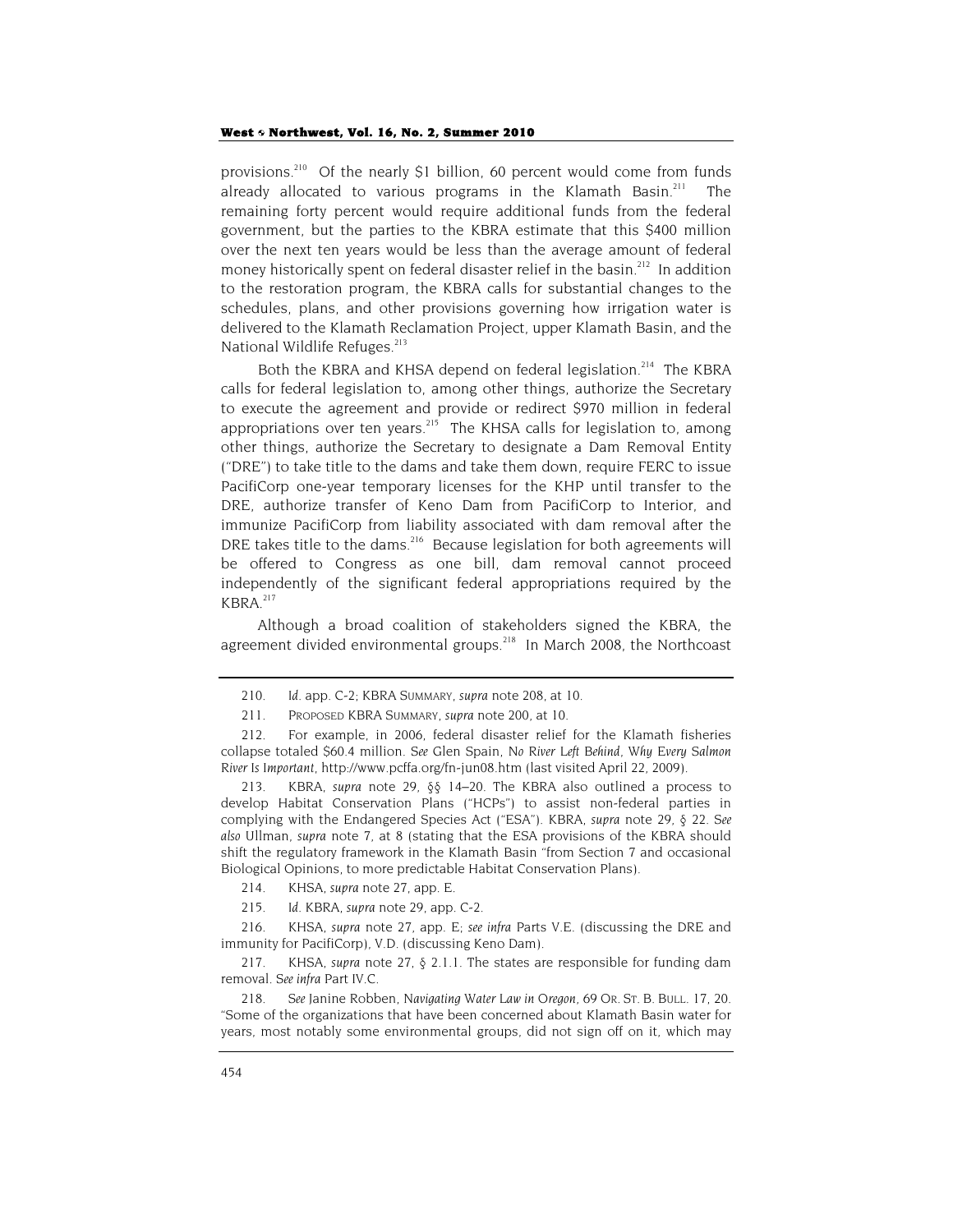provisions.210 Of the nearly \$1 billion, 60 percent would come from funds already allocated to various programs in the Klamath Basin.<sup>211</sup> The remaining forty percent would require additional funds from the federal government, but the parties to the KBRA estimate that this \$400 million over the next ten years would be less than the average amount of federal money historically spent on federal disaster relief in the basin.<sup>212</sup> In addition to the restoration program, the KBRA calls for substantial changes to the schedules, plans, and other provisions governing how irrigation water is delivered to the Klamath Reclamation Project, upper Klamath Basin, and the National Wildlife Refuges.<sup>213</sup>

Both the KBRA and KHSA depend on federal legislation.<sup>214</sup> The KBRA calls for federal legislation to, among other things, authorize the Secretary to execute the agreement and provide or redirect \$970 million in federal appropriations over ten years.<sup>215</sup> The KHSA calls for legislation to, among other things, authorize the Secretary to designate a Dam Removal Entity ("DRE") to take title to the dams and take them down, require FERC to issue PacifiCorp one-year temporary licenses for the KHP until transfer to the DRE, authorize transfer of Keno Dam from PacifiCorp to Interior, and immunize PacifiCorp from liability associated with dam removal after the DRE takes title to the dams.<sup>216</sup> Because legislation for both agreements will be offered to Congress as one bill, dam removal cannot proceed independently of the significant federal appropriations required by the KBRA.217

Although a broad coalition of stakeholders signed the KBRA, the agreement divided environmental groups.<sup>218</sup> In March 2008, the Northcoast

213. KBRA, *supra* note 29, §§ 14–20. The KBRA also outlined a process to develop Habitat Conservation Plans ("HCPs") to assist non-federal parties in complying with the Endangered Species Act ("ESA"). KBRA, *supra* note 29, § 22. *See also* Ullman, *supra* note 7, at 8 (stating that the ESA provisions of the KBRA should shift the regulatory framework in the Klamath Basin "from Section 7 and occasional Biological Opinions, to more predictable Habitat Conservation Plans).

214. KHSA, *supra* note 27, app. E.

215*. Id.* KBRA, *supra* note 29, app. C-2.

216. KHSA, *supra* note 27, app. E; *see infra* Parts V.E. (discussing the DRE and immunity for PacifiCorp), V.D. (discussing Keno Dam).

217. KHSA, *supra* note 27, § 2.1.1. The states are responsible for funding dam removal. *See infra* Part IV.C.

218*. See* Janine Robben, *Navigating Water Law in Oregon*, 69 OR. ST. B. BULL. 17, 20. "Some of the organizations that have been concerned about Klamath Basin water for years, most notably some environmental groups, did not sign off on it, which may

<sup>210</sup>*. Id.* app. C-2; KBRA SUMMARY, *supra* note 208, at 10.

<sup>211.</sup> PROPOSED KBRA SUMMARY, *supra* note 200, at 10.

<sup>212.</sup> For example, in 2006, federal disaster relief for the Klamath fisheries collapse totaled \$60.4 million. *See* Glen Spain, *No River Left Behind, Why Every Salmon River Is Important*, http://www.pcffa.org/fn-jun08.htm (last visited April 22, 2009).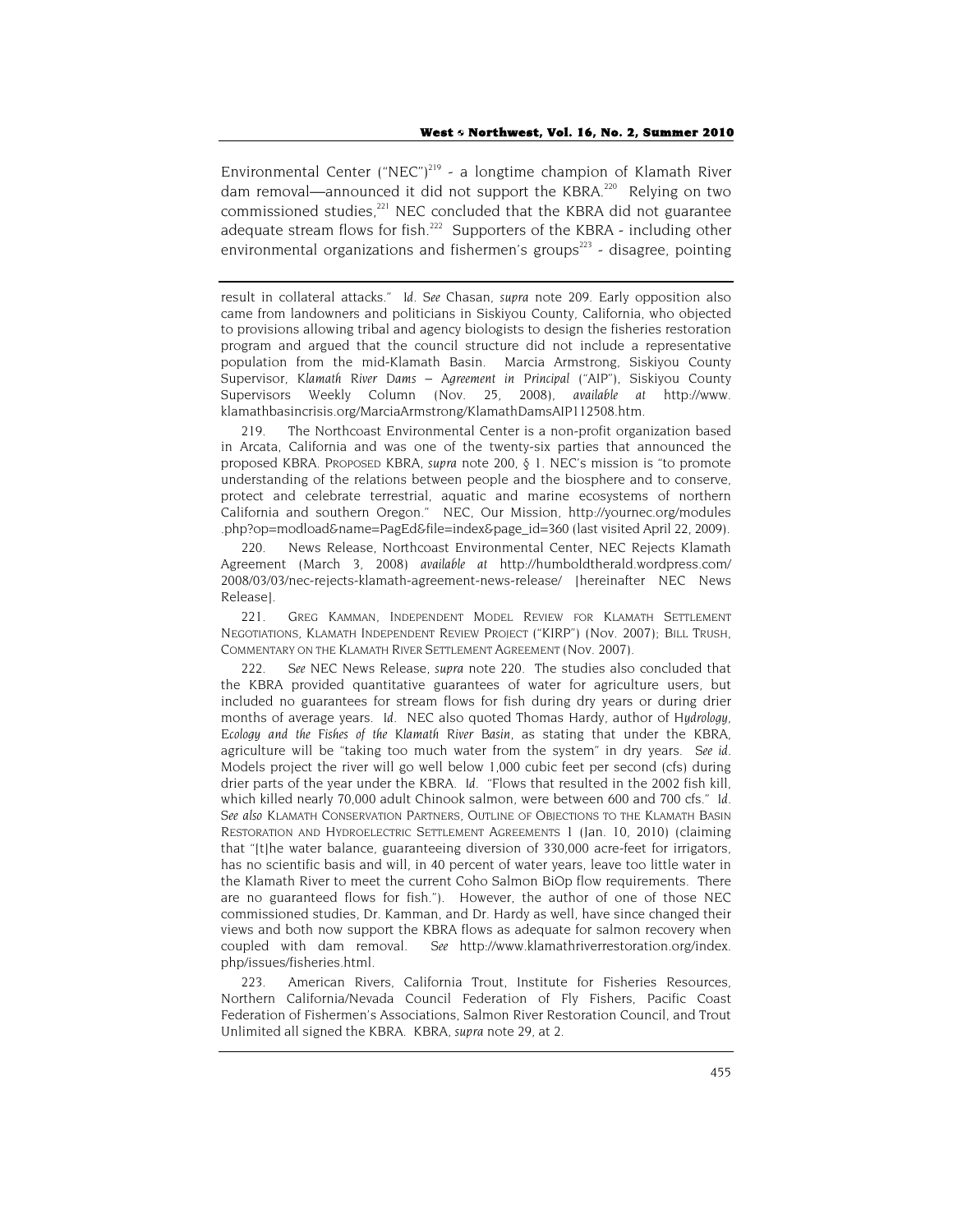Environmental Center ("NEC")<sup>219</sup> - a longtime champion of Klamath River dam removal—announced it did not support the KBRA.<sup>220</sup> Relying on two commissioned studies,<sup>221</sup> NEC concluded that the KBRA did not guarantee adequate stream flows for fish.<sup>222</sup> Supporters of the KBRA - including other environmental organizations and fishermen's groups<sup>223</sup> - disagree, pointing

result in collateral attacks." *Id. See* Chasan, *supra* note 209. Early opposition also came from landowners and politicians in Siskiyou County, California, who objected to provisions allowing tribal and agency biologists to design the fisheries restoration program and argued that the council structure did not include a representative population from the mid-Klamath Basin. Marcia Armstrong, Siskiyou County Supervisor, *Klamath River Dams – Agreement in Principal ("AIP")*, Siskiyou County Supervisors Weekly Column (Nov. 25, 2008), *available at* http://www. klamathbasincrisis.org/MarciaArmstrong/KlamathDamsAIP112508.htm.

219. The Northcoast Environmental Center is a non-profit organization based in Arcata, California and was one of the twenty-six parties that announced the proposed KBRA. PROPOSED KBRA, *supra* note 200, § 1. NEC's mission is "to promote understanding of the relations between people and the biosphere and to conserve, protect and celebrate terrestrial, aquatic and marine ecosystems of northern California and southern Oregon." NEC, Our Mission, http://yournec.org/modules .php?op=modload&name=PagEd&file=index&page\_id=360 (last visited April 22, 2009).

220. News Release, Northcoast Environmental Center, NEC Rejects Klamath Agreement (March 3, 2008) *available at* http://humboldtherald.wordpress.com/ 2008/03/03/nec-rejects-klamath-agreement-news-release/ [hereinafter NEC News Release].

221. GREG KAMMAN, INDEPENDENT MODEL REVIEW FOR KLAMATH SETTLEMENT NEGOTIATIONS, KLAMATH INDEPENDENT REVIEW PROJECT ("KIRP") (Nov. 2007); BILL TRUSH, COMMENTARY ON THE KLAMATH RIVER SETTLEMENT AGREEMENT (Nov. 2007).

222*. See* NEC News Release, *supra* note 220. The studies also concluded that the KBRA provided quantitative guarantees of water for agriculture users, but included no guarantees for stream flows for fish during dry years or during drier months of average years. *Id.* NEC also quoted Thomas Hardy, author of *Hydrology, Ecology and the Fishes of the Klamath River Basin*, as stating that under the KBRA, agriculture will be "taking too much water from the system" in dry years. *See id.* Models project the river will go well below 1,000 cubic feet per second (cfs) during drier parts of the year under the KBRA. *Id.* "Flows that resulted in the 2002 fish kill, which killed nearly 70,000 adult Chinook salmon, were between 600 and 700 cfs." *Id. See also* KLAMATH CONSERVATION PARTNERS, OUTLINE OF OBJECTIONS TO THE KLAMATH BASIN RESTORATION AND HYDROELECTRIC SETTLEMENT AGREEMENTS 1 (Jan. 10, 2010) (claiming that "[t]he water balance, guaranteeing diversion of 330,000 acre-feet for irrigators, has no scientific basis and will, in 40 percent of water years, leave too little water in the Klamath River to meet the current Coho Salmon BiOp flow requirements. There are no guaranteed flows for fish."). However, the author of one of those NEC commissioned studies, Dr. Kamman, and Dr. Hardy as well, have since changed their views and both now support the KBRA flows as adequate for salmon recovery when coupled with dam removal. *See* http://www.klamathriverrestoration.org/index. php/issues/fisheries.html.

223. American Rivers, California Trout, Institute for Fisheries Resources, Northern California/Nevada Council Federation of Fly Fishers, Pacific Coast Federation of Fishermen's Associations, Salmon River Restoration Council, and Trout Unlimited all signed the KBRA. KBRA, *supra* note 29, at 2.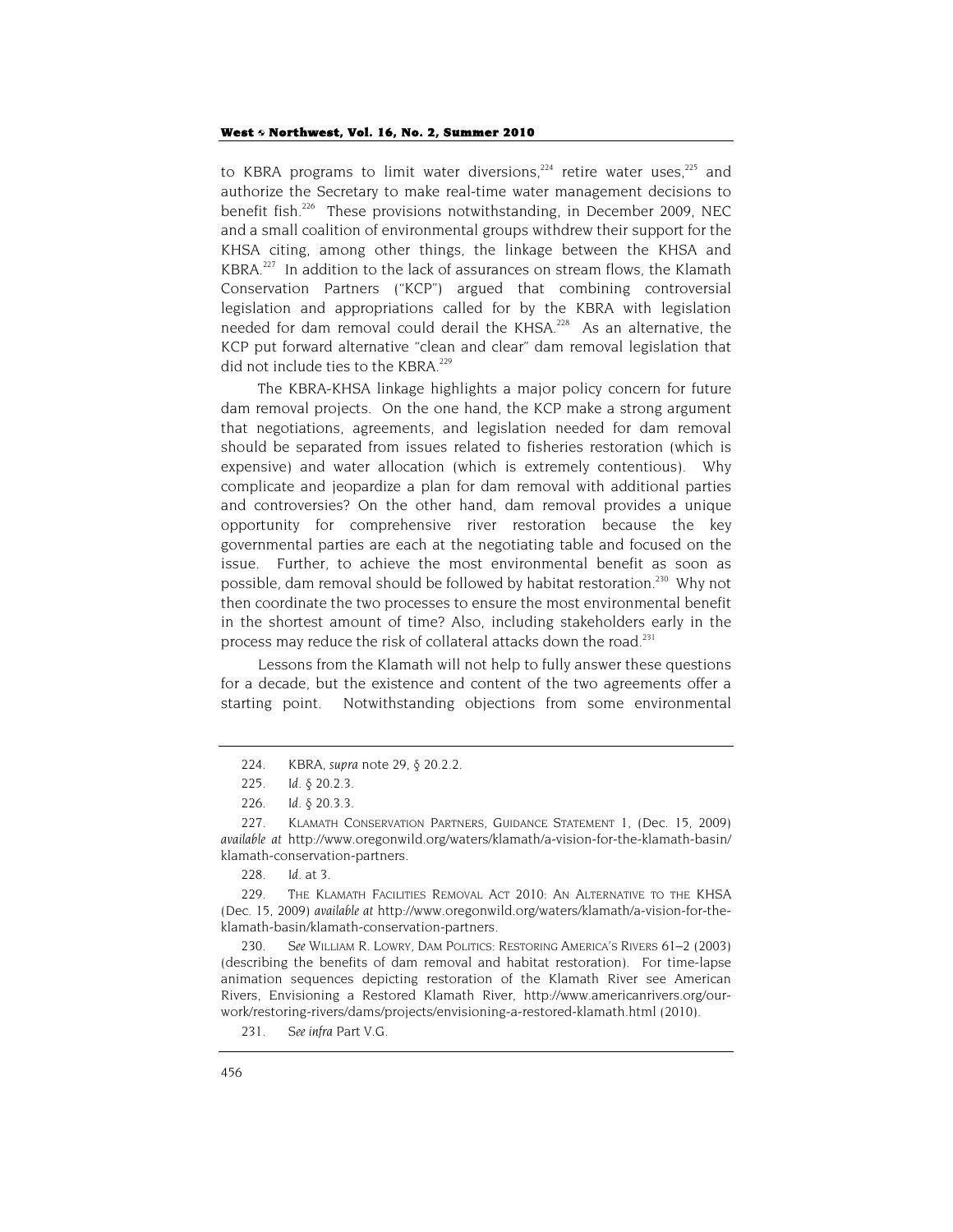to KBRA programs to limit water diversions,<sup>224</sup> retire water uses,<sup>225</sup> and authorize the Secretary to make real-time water management decisions to benefit fish.<sup>226</sup> These provisions notwithstanding, in December 2009, NEC and a small coalition of environmental groups withdrew their support for the KHSA citing, among other things, the linkage between the KHSA and KBRA.<sup>227</sup> In addition to the lack of assurances on stream flows, the Klamath Conservation Partners ("KCP") argued that combining controversial legislation and appropriations called for by the KBRA with legislation needed for dam removal could derail the KHSA.<sup>228</sup> As an alternative, the KCP put forward alternative "clean and clear" dam removal legislation that did not include ties to the KBRA.<sup>229</sup>

The KBRA-KHSA linkage highlights a major policy concern for future dam removal projects. On the one hand, the KCP make a strong argument that negotiations, agreements, and legislation needed for dam removal should be separated from issues related to fisheries restoration (which is expensive) and water allocation (which is extremely contentious). Why complicate and jeopardize a plan for dam removal with additional parties and controversies? On the other hand, dam removal provides a unique opportunity for comprehensive river restoration because the key governmental parties are each at the negotiating table and focused on the issue. Further, to achieve the most environmental benefit as soon as possible, dam removal should be followed by habitat restoration.<sup>230</sup> Why not then coordinate the two processes to ensure the most environmental benefit in the shortest amount of time? Also, including stakeholders early in the process may reduce the risk of collateral attacks down the road.<sup>231</sup>

Lessons from the Klamath will not help to fully answer these questions for a decade, but the existence and content of the two agreements offer a starting point. Notwithstanding objections from some environmental

230*. See* WILLIAM R. LOWRY, DAM POLITICS: RESTORING AMERICA'S RIVERS 61–2 (2003) (describing the benefits of dam removal and habitat restoration). For time-lapse animation sequences depicting restoration of the Klamath River see American Rivers, Envisioning a Restored Klamath River, http://www.americanrivers.org/ourwork/restoring-rivers/dams/projects/envisioning-a-restored-klamath.html (2010).

<sup>224.</sup> KBRA, *supra* note 29, § 20.2.2.

<sup>225</sup>*. Id.* § 20.2.3.

<sup>226</sup>*. Id.* § 20.3.3.

<sup>227.</sup> KLAMATH CONSERVATION PARTNERS, GUIDANCE STATEMENT 1, (Dec. 15, 2009) *available at* http://www.oregonwild.org/waters/klamath/a-vision-for-the-klamath-basin/ klamath-conservation-partners.

<sup>228</sup>*. Id.* at 3.

<sup>229.</sup> THE KLAMATH FACILITIES REMOVAL ACT 2010: AN ALTERNATIVE TO THE KHSA (Dec. 15, 2009) *available at* http://www.oregonwild.org/waters/klamath/a-vision-for-theklamath-basin/klamath-conservation-partners.

<sup>231</sup>*. See infra* Part V.G.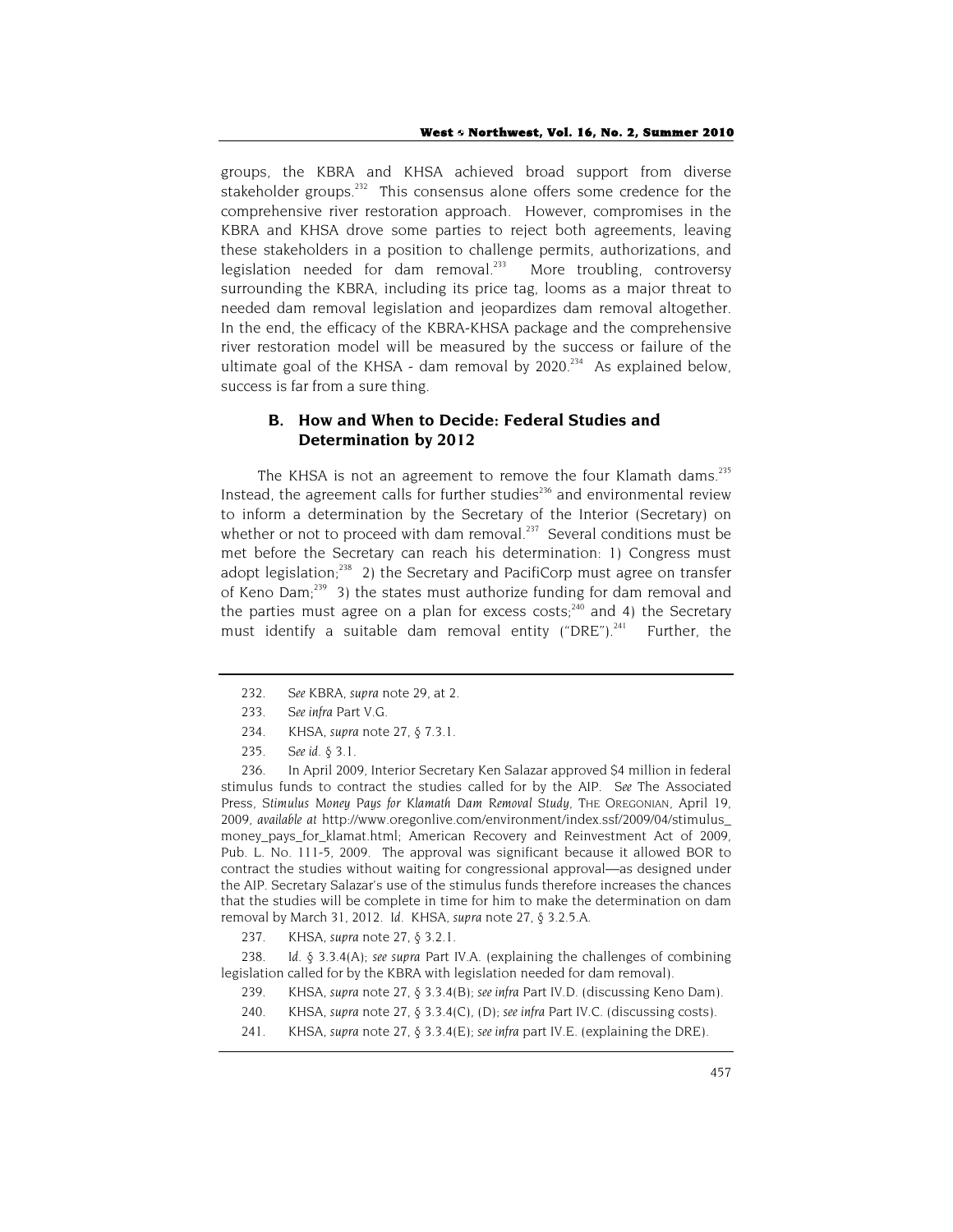groups, the KBRA and KHSA achieved broad support from diverse stakeholder groups.<sup>232</sup> This consensus alone offers some credence for the comprehensive river restoration approach. However, compromises in the KBRA and KHSA drove some parties to reject both agreements, leaving these stakeholders in a position to challenge permits, authorizations, and legislation needed for dam removal. $233$  More troubling, controversy surrounding the KBRA, including its price tag, looms as a major threat to needed dam removal legislation and jeopardizes dam removal altogether. In the end, the efficacy of the KBRA-KHSA package and the comprehensive river restoration model will be measured by the success or failure of the ultimate goal of the KHSA - dam removal by  $2020^{234}$  As explained below, success is far from a sure thing.

# **B. How and When to Decide: Federal Studies and Determination by 2012**

The KHSA is not an agreement to remove the four Klamath dams.<sup>235</sup> Instead, the agreement calls for further studies $^{236}$  and environmental review to inform a determination by the Secretary of the Interior (Secretary) on whether or not to proceed with dam removal.<sup>237</sup> Several conditions must be met before the Secretary can reach his determination: 1) Congress must adopt legislation; $^{238}$  2) the Secretary and PacifiCorp must agree on transfer of Keno Dam;239 3) the states must authorize funding for dam removal and the parties must agree on a plan for excess costs;<sup>240</sup> and 4) the Secretary must identify a suitable dam removal entity ("DRE").<sup>241</sup> Further, the

238*. Id.* § 3.3.4(A); *see supra* Part IV.A. (explaining the challenges of combining legislation called for by the KBRA with legislation needed for dam removal).

- 239. KHSA, *supra* note 27, § 3.3.4(B); *see infra* Part IV.D. (discussing Keno Dam).
- 240. KHSA, *supra* note 27, § 3.3.4(C), (D); *see infra* Part IV.C. (discussing costs).
- 241. KHSA, *supra* note 27, § 3.3.4(E); *see infra* part IV.E. (explaining the DRE).

<sup>232.</sup> *See* KBRA, *supra* note 29, at 2.

<sup>233</sup>*. See infra* Part V.G.

<sup>234.</sup> KHSA, *supra* note 27, § 7.3.1.

<sup>235</sup>*. See id*. § 3.1.

<sup>236.</sup> In April 2009, Interior Secretary Ken Salazar approved \$4 million in federal stimulus funds to contract the studies called for by the AIP. *See* The Associated Press, *Stimulus Money Pays for Klamath Dam Removal Study*, THE OREGONIAN, April 19, 2009, *available at* http://www.oregonlive.com/environment/index.ssf/2009/04/stimulus\_ money\_pays\_for\_klamat.html; American Recovery and Reinvestment Act of 2009, Pub. L. No. 111-5, 2009. The approval was significant because it allowed BOR to contract the studies without waiting for congressional approval—as designed under the AIP. Secretary Salazar's use of the stimulus funds therefore increases the chances that the studies will be complete in time for him to make the determination on dam removal by March 31, 2012. *Id*. KHSA, *supra* note 27, § 3.2.5.A.

<sup>237.</sup> KHSA, *supra* note 27, § 3.2.1.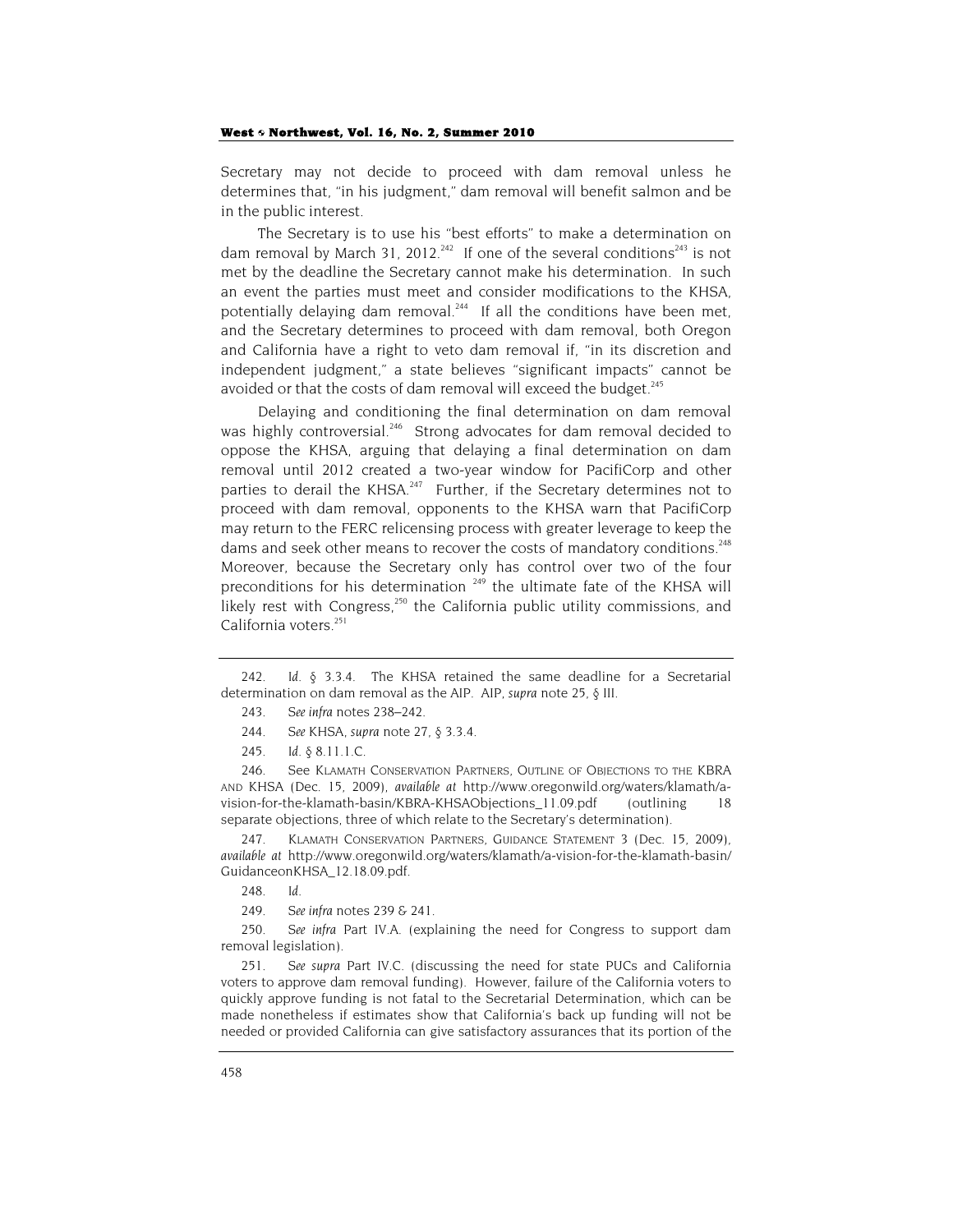Secretary may not decide to proceed with dam removal unless he determines that, "in his judgment," dam removal will benefit salmon and be in the public interest.

The Secretary is to use his "best efforts" to make a determination on dam removal by March 31, 2012.<sup>242</sup> If one of the several conditions<sup>243</sup> is not met by the deadline the Secretary cannot make his determination. In such an event the parties must meet and consider modifications to the KHSA, potentially delaying dam removal.<sup>244</sup> If all the conditions have been met, and the Secretary determines to proceed with dam removal, both Oregon and California have a right to veto dam removal if, "in its discretion and independent judgment," a state believes "significant impacts" cannot be avoided or that the costs of dam removal will exceed the budget.<sup>245</sup>

Delaying and conditioning the final determination on dam removal was highly controversial.<sup>246</sup> Strong advocates for dam removal decided to oppose the KHSA, arguing that delaying a final determination on dam removal until 2012 created a two-year window for PacifiCorp and other parties to derail the KHSA. $247$  Further, if the Secretary determines not to proceed with dam removal, opponents to the KHSA warn that PacifiCorp may return to the FERC relicensing process with greater leverage to keep the dams and seek other means to recover the costs of mandatory conditions.<sup>248</sup> Moreover, because the Secretary only has control over two of the four preconditions for his determination  $249$  the ultimate fate of the KHSA will likely rest with Congress,<sup>250</sup> the California public utility commissions, and California voters.<sup>251</sup>

246. See KLAMATH CONSERVATION PARTNERS, OUTLINE OF OBJECTIONS TO THE KBRA AND KHSA (Dec. 15, 2009), *available at* http://www.oregonwild.org/waters/klamath/avision-for-the-klamath-basin/KBRA-KHSAObjections\_11.09.pdf (outlining 18 separate objections, three of which relate to the Secretary's determination).

247. KLAMATH CONSERVATION PARTNERS, GUIDANCE STATEMENT 3 (Dec. 15, 2009), *available at* http://www.oregonwild.org/waters/klamath/a-vision-for-the-klamath-basin/ GuidanceonKHSA\_12.18.09.pdf.

248*. Id.*

249*. See infra* notes 239 & 241.

250*. See infra* Part IV.A. (explaining the need for Congress to support dam removal legislation).

251*. See supra* Part IV.C. (discussing the need for state PUCs and California voters to approve dam removal funding). However, failure of the California voters to quickly approve funding is not fatal to the Secretarial Determination, which can be made nonetheless if estimates show that California's back up funding will not be needed or provided California can give satisfactory assurances that its portion of the

<sup>242</sup>*. Id*. § 3.3.4. The KHSA retained the same deadline for a Secretarial determination on dam removal as the AIP. AIP, *supra* note 25, § III.

<sup>243</sup>*. See infra* notes 238–242.

<sup>244</sup>*. See* KHSA, *supra* note 27, § 3.3.4.

<sup>245</sup>*. Id*. § 8.11.1.C.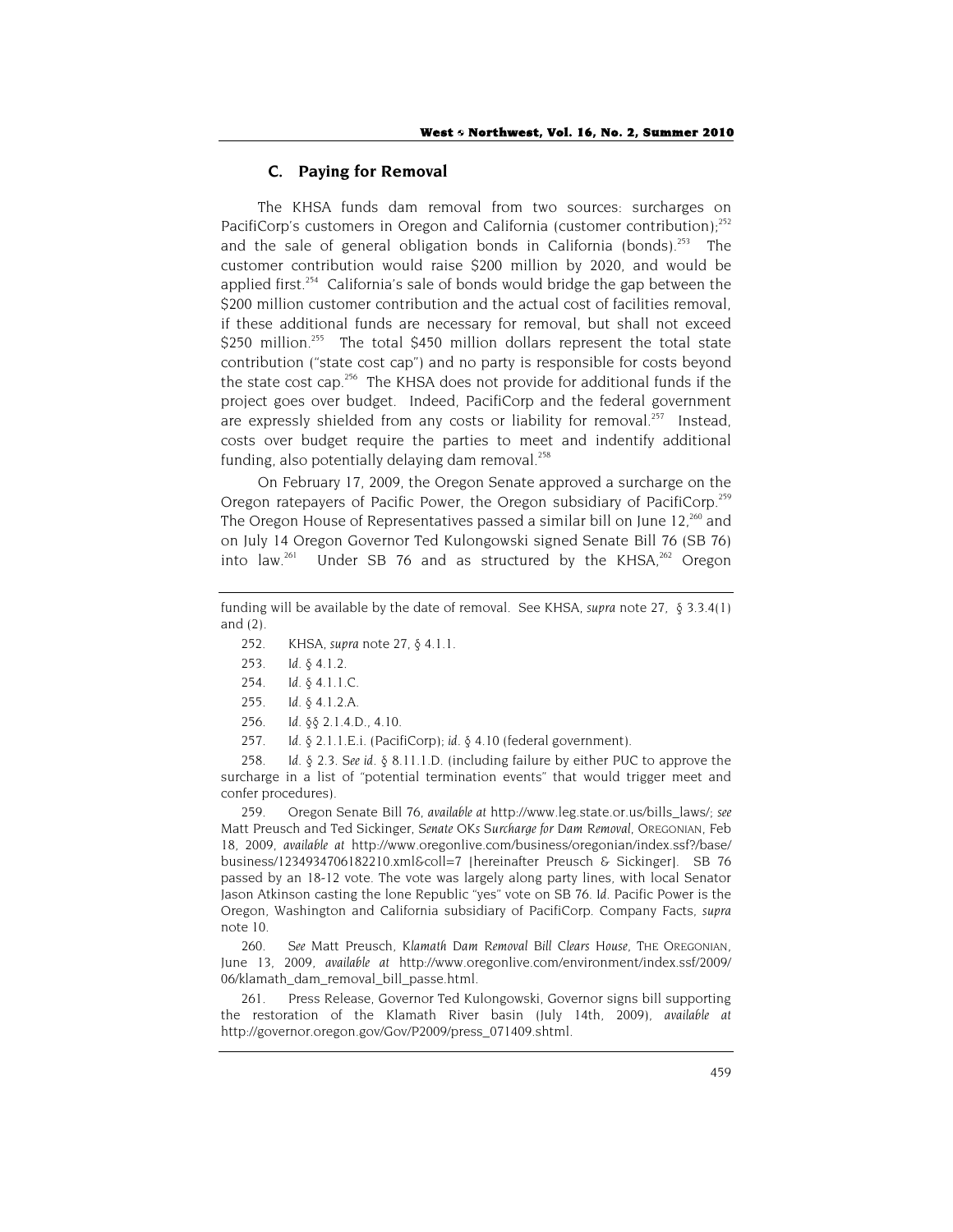## **C. Paying for Removal**

The KHSA funds dam removal from two sources: surcharges on PacifiCorp's customers in Oregon and California (customer contribution): $252$ and the sale of general obligation bonds in California (bonds).<sup>253</sup> The customer contribution would raise \$200 million by 2020, and would be applied first.<sup> $254$ </sup> California's sale of bonds would bridge the gap between the \$200 million customer contribution and the actual cost of facilities removal, if these additional funds are necessary for removal, but shall not exceed \$250 million.<sup>255</sup> The total \$450 million dollars represent the total state contribution ("state cost cap") and no party is responsible for costs beyond the state cost cap.<sup>256</sup> The KHSA does not provide for additional funds if the project goes over budget. Indeed, PacifiCorp and the federal government are expressly shielded from any costs or liability for removal.<sup>257</sup> Instead, costs over budget require the parties to meet and indentify additional funding, also potentially delaying dam removal. $^{258}$ 

On February 17, 2009, the Oregon Senate approved a surcharge on the Oregon ratepayers of Pacific Power, the Oregon subsidiary of PacifiCorp.<sup>259</sup> The Oregon House of Representatives passed a similar bill on June 12,<sup>260</sup> and on July 14 Oregon Governor Ted Kulongowski signed Senate Bill 76 (SB 76) into law.<sup>261</sup> Under SB 76 and as structured by the KHSA, $262$  Oregon

- 252. KHSA, *supra* note 27, § 4.1.1.
- 253*. Id.* § 4.1.2.
- 254*. Id.* § 4.1.1.C.
- 255*. Id.* § 4.1.2.A.
- 256*. Id.* §§ 2.1.4.D., 4.10.
- 257*. Id.* § 2.1.1.E.i. (PacifiCorp); *id.* § 4.10 (federal government).

258*. Id.* § 2.3. *See id.* § 8.11.1.D. (including failure by either PUC to approve the surcharge in a list of "potential termination events" that would trigger meet and confer procedures).

259. Oregon Senate Bill 76, *available at* http://www.leg.state.or.us/bills\_laws/; *see* Matt Preusch and Ted Sickinger, *Senate OKs Surcharge for Dam Removal*, OREGONIAN, Feb 18, 2009, *available at* http://www.oregonlive.com/business/oregonian/index.ssf?/base/ business/1234934706182210.xml&coll=7 [hereinafter Preusch & Sickinger]. SB 76 passed by an 18-12 vote. The vote was largely along party lines, with local Senator Jason Atkinson casting the lone Republic "yes" vote on SB 76. *Id.* Pacific Power is the Oregon, Washington and California subsidiary of PacifiCorp. Company Facts, *supra* note 10.

260*. See* Matt Preusch, *Klamath Dam Removal Bill Clears House*, THE OREGONIAN, June 13, 2009, *available at* http://www.oregonlive.com/environment/index.ssf/2009/ 06/klamath\_dam\_removal\_bill\_passe.html.

261. Press Release, Governor Ted Kulongowski, Governor signs bill supporting the restoration of the Klamath River basin (July 14th, 2009), *available at* http://governor.oregon.gov/Gov/P2009/press\_071409.shtml.

funding will be available by the date of removal. See KHSA, *supra* note 27, § 3.3.4(1) and (2).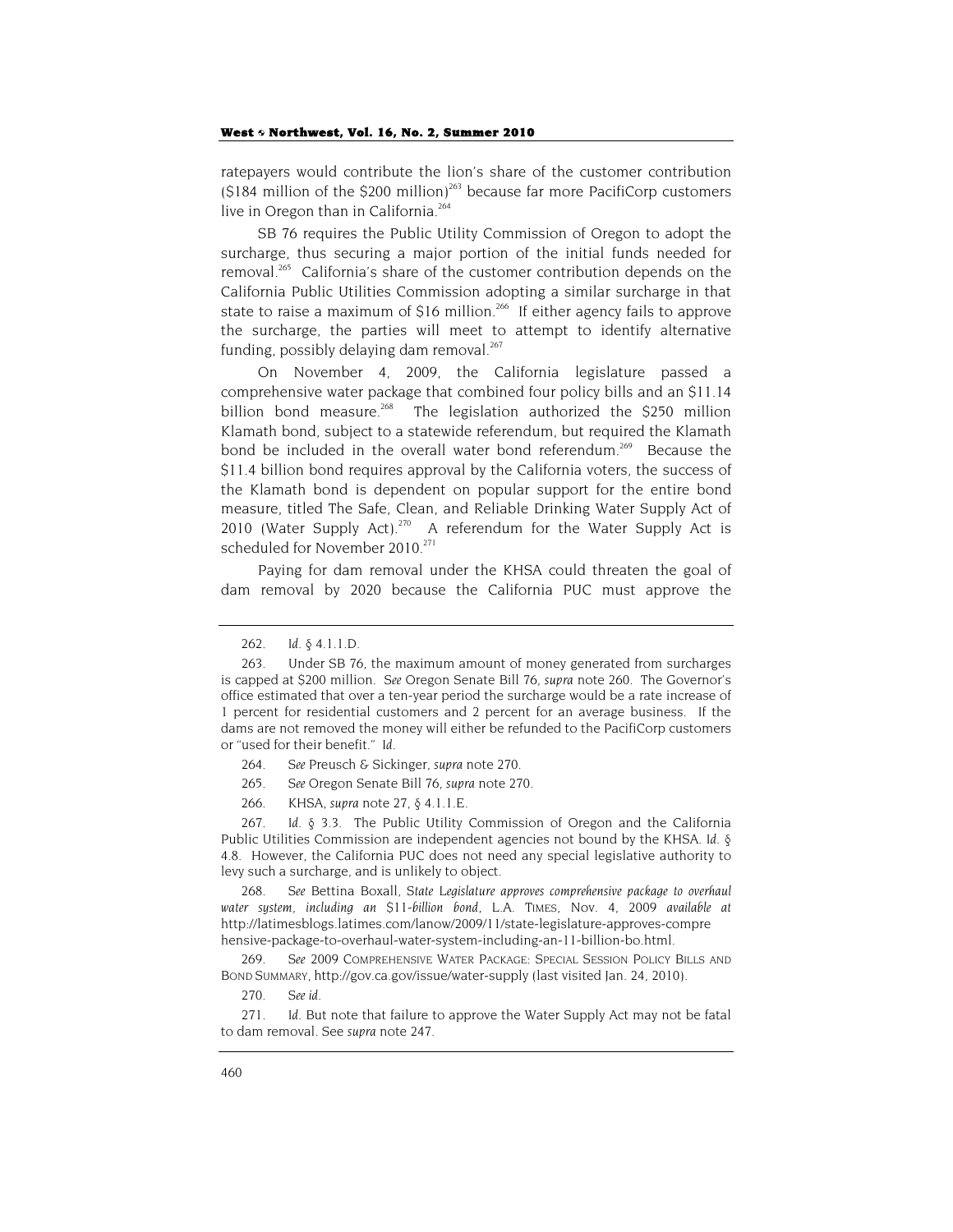ratepayers would contribute the lion's share of the customer contribution  $(S184$  million of the S200 million)<sup>263</sup> because far more PacifiCorp customers live in Oregon than in California.<sup>264</sup>

SB 76 requires the Public Utility Commission of Oregon to adopt the surcharge, thus securing a major portion of the initial funds needed for removal.<sup>265</sup> California's share of the customer contribution depends on the California Public Utilities Commission adopting a similar surcharge in that state to raise a maximum of \$16 million.<sup>266</sup> If either agency fails to approve the surcharge, the parties will meet to attempt to identify alternative funding, possibly delaying dam removal. $267$ 

On November 4, 2009, the California legislature passed a comprehensive water package that combined four policy bills and an \$11.14 billion bond measure.<sup>268</sup> The legislation authorized the \$250 million Klamath bond, subject to a statewide referendum, but required the Klamath bond be included in the overall water bond referendum.<sup>269</sup> Because the \$11.4 billion bond requires approval by the California voters, the success of the Klamath bond is dependent on popular support for the entire bond measure, titled The Safe, Clean, and Reliable Drinking Water Supply Act of 2010 (Water Supply Act). $270$  A referendum for the Water Supply Act is scheduled for November 2010.<sup>271</sup>

Paying for dam removal under the KHSA could threaten the goal of dam removal by 2020 because the California PUC must approve the

- 264*. See* Preusch & Sickinger, *supra* note 270*.*
- 265*. See* Oregon Senate Bill 76, *supra* note 270.
- 266. KHSA, *supra* note 27, § 4.1.1.E.

267*. Id.* § 3.3. The Public Utility Commission of Oregon and the California Public Utilities Commission are independent agencies not bound by the KHSA. *Id.* § 4.8. However, the California PUC does not need any special legislative authority to levy such a surcharge, and is unlikely to object.

268*. See* Bettina Boxall, *State Legislature approves comprehensive package to overhaul water system, including an \$11-billion bond*, L.A. TIMES, Nov. 4, 2009 *available at* http://latimesblogs.latimes.com/lanow/2009/11/state-legislature-approves-compre hensive-package-to-overhaul-water-system-including-an-11-billion-bo.html.

269*. See* 2009 COMPREHENSIVE WATER PACKAGE: SPECIAL SESSION POLICY BILLS AND BOND SUMMARY, http://gov.ca.gov/issue/water-supply (last visited Jan. 24, 2010).

270*. See id.*

271*. Id.* But note that failure to approve the Water Supply Act may not be fatal to dam removal. See *supra* note 247.

<sup>262</sup>*. Id.* § 4.1.1.D.

<sup>263.</sup> Under SB 76, the maximum amount of money generated from surcharges is capped at \$200 million. *See* Oregon Senate Bill 76, *supra* note 260*.* The Governor's office estimated that over a ten-year period the surcharge would be a rate increase of 1 percent for residential customers and 2 percent for an average business. If the dams are not removed the money will either be refunded to the PacifiCorp customers or "used for their benefit." *Id.*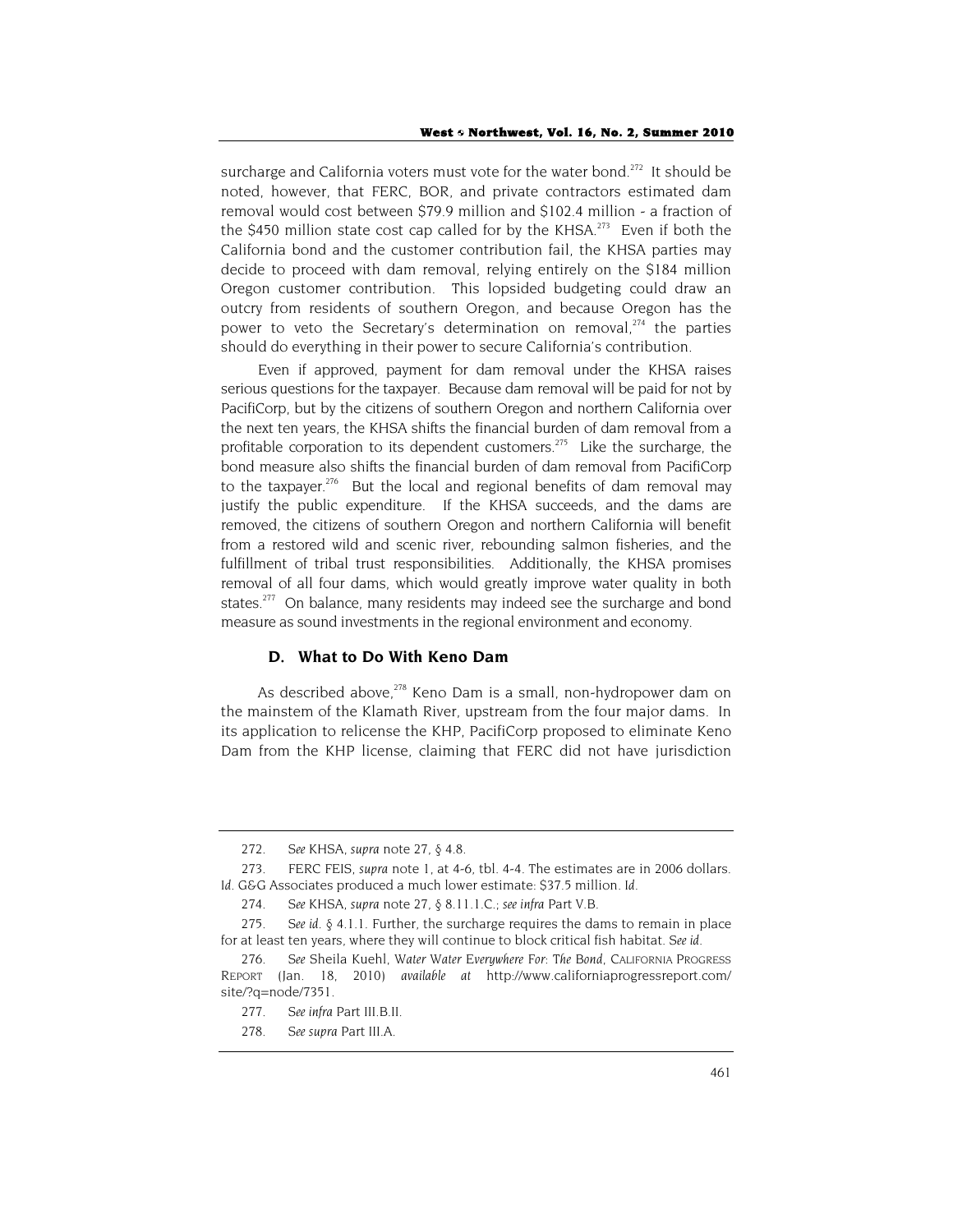surcharge and California voters must vote for the water bond.<sup>272</sup> It should be noted, however, that FERC, BOR, and private contractors estimated dam removal would cost between \$79.9 million and \$102.4 million - a fraction of the \$450 million state cost cap called for by the KHSA.<sup>273</sup> Even if both the California bond and the customer contribution fail, the KHSA parties may decide to proceed with dam removal, relying entirely on the \$184 million Oregon customer contribution. This lopsided budgeting could draw an outcry from residents of southern Oregon, and because Oregon has the power to veto the Secretary's determination on removal, $274$  the parties should do everything in their power to secure California's contribution.

Even if approved, payment for dam removal under the KHSA raises serious questions for the taxpayer. Because dam removal will be paid for not by PacifiCorp, but by the citizens of southern Oregon and northern California over the next ten years, the KHSA shifts the financial burden of dam removal from a profitable corporation to its dependent customers.<sup>275</sup> Like the surcharge, the bond measure also shifts the financial burden of dam removal from PacifiCorp to the taxpayer.<sup>276</sup> But the local and regional benefits of dam removal may justify the public expenditure. If the KHSA succeeds, and the dams are removed, the citizens of southern Oregon and northern California will benefit from a restored wild and scenic river, rebounding salmon fisheries, and the fulfillment of tribal trust responsibilities. Additionally, the KHSA promises removal of all four dams, which would greatly improve water quality in both states.<sup>277</sup> On balance, many residents may indeed see the surcharge and bond measure as sound investments in the regional environment and economy.

### **D. What to Do With Keno Dam**

As described above,<sup>278</sup> Keno Dam is a small, non-hydropower dam on the mainstem of the Klamath River, upstream from the four major dams. In its application to relicense the KHP, PacifiCorp proposed to eliminate Keno Dam from the KHP license, claiming that FERC did not have jurisdiction

<sup>272</sup>*. See* KHSA, *supra* note 27, § 4.8.

<sup>273.</sup> FERC FEIS, *supra* note 1, at 4-6, tbl. 4-4. The estimates are in 2006 dollars. *Id.* G&G Associates produced a much lower estimate: \$37.5 million*. Id.*

<sup>274</sup>*. See* KHSA, *supra* note 27, § 8.11.1.C.; *see infra* Part V.B.

<sup>275</sup>*. See id.* § 4.1.1. Further, the surcharge requires the dams to remain in place for at least ten years, where they will continue to block critical fish habitat. *See id.*

<sup>276</sup>*. See* Sheila Kuehl, *Water Water Everywhere For: The Bond*, CALIFORNIA PROGRESS REPORT (Jan. 18, 2010) *available at* http://www.californiaprogressreport.com/ site/?q=node/7351.

<sup>277</sup>*. See infra* Part III.B.II.

<sup>278</sup>*. See supra* Part III.A.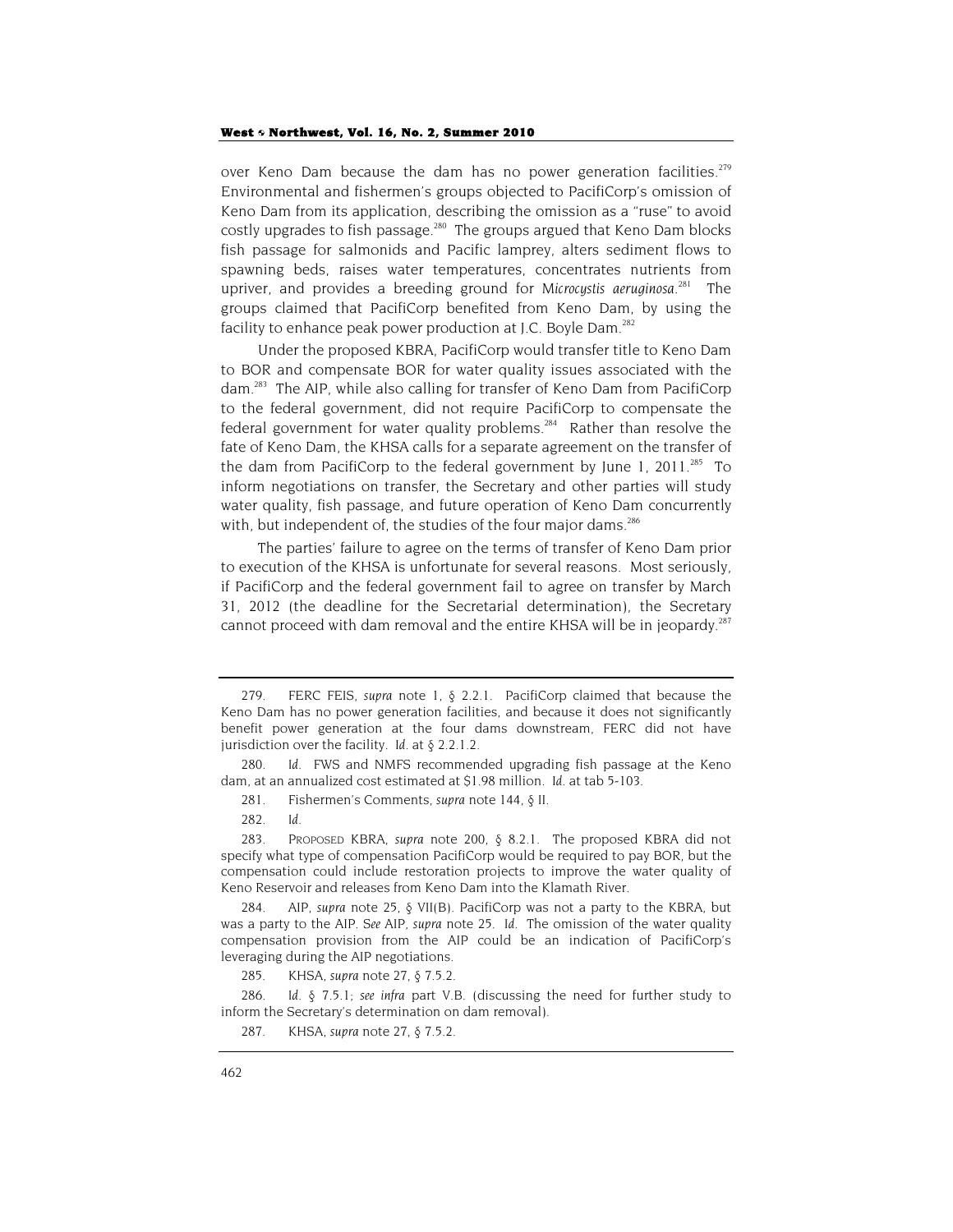over Keno Dam because the dam has no power generation facilities.<sup>279</sup> Environmental and fishermen's groups objected to PacifiCorp's omission of Keno Dam from its application, describing the omission as a "ruse" to avoid costly upgrades to fish passage. $^{280}$  The groups argued that Keno Dam blocks fish passage for salmonids and Pacific lamprey, alters sediment flows to spawning beds, raises water temperatures, concentrates nutrients from upriver, and provides a breeding ground for *Microcystis aeruginosa*. 281 The groups claimed that PacifiCorp benefited from Keno Dam, by using the facility to enhance peak power production at J.C. Boyle Dam.<sup>282</sup>

Under the proposed KBRA, PacifiCorp would transfer title to Keno Dam to BOR and compensate BOR for water quality issues associated with the dam.<sup>283</sup> The AIP, while also calling for transfer of Keno Dam from PacifiCorp to the federal government, did not require PacifiCorp to compensate the federal government for water quality problems.<sup>284</sup> Rather than resolve the fate of Keno Dam, the KHSA calls for a separate agreement on the transfer of the dam from PacifiCorp to the federal government by June 1, 2011.<sup>285</sup> To inform negotiations on transfer, the Secretary and other parties will study water quality, fish passage, and future operation of Keno Dam concurrently with, but independent of, the studies of the four major dams.<sup>286</sup>

The parties' failure to agree on the terms of transfer of Keno Dam prior to execution of the KHSA is unfortunate for several reasons. Most seriously, if PacifiCorp and the federal government fail to agree on transfer by March 31, 2012 (the deadline for the Secretarial determination), the Secretary cannot proceed with dam removal and the entire KHSA will be in jeopardy.<sup>287</sup>

282*. Id.*

285. KHSA, *supra* note 27, § 7.5.2.

286*. Id.* § 7.5.1; *see infra* part V.B. (discussing the need for further study to inform the Secretary's determination on dam removal).

<sup>279.</sup> FERC FEIS, *supra* note 1, § 2.2.1. PacifiCorp claimed that because the Keno Dam has no power generation facilities, and because it does not significantly benefit power generation at the four dams downstream, FERC did not have jurisdiction over the facility. *Id.* at § 2.2.1.2.

<sup>280</sup>*. Id*. FWS and NMFS recommended upgrading fish passage at the Keno dam, at an annualized cost estimated at \$1.98 million. *Id.* at tab 5-103.

<sup>281.</sup> Fishermen's Comments, *supra* note 144, § II.

<sup>283.</sup> PROPOSED KBRA, *supra* note 200, § 8.2.1. The proposed KBRA did not specify what type of compensation PacifiCorp would be required to pay BOR, but the compensation could include restoration projects to improve the water quality of Keno Reservoir and releases from Keno Dam into the Klamath River.

<sup>284.</sup> AIP, *supra* note 25, § VII(B). PacifiCorp was not a party to the KBRA, but was a party to the AIP. *See* AIP, *supra* note 25. *Id.* The omission of the water quality compensation provision from the AIP could be an indication of PacifiCorp's leveraging during the AIP negotiations.

<sup>287.</sup> KHSA, *supra* note 27, § 7.5.2.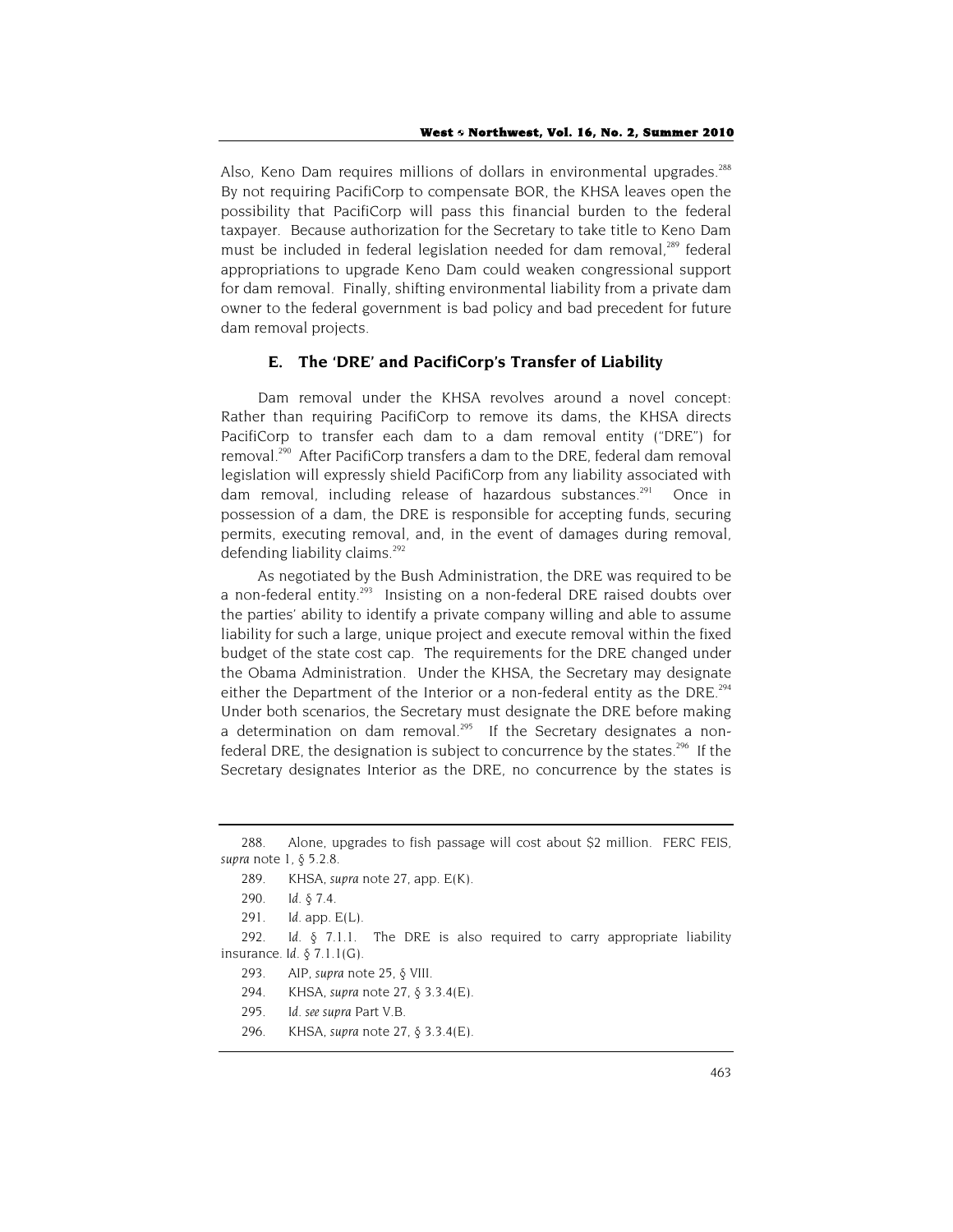Also, Keno Dam requires millions of dollars in environmental upgrades.<sup>288</sup> By not requiring PacifiCorp to compensate BOR, the KHSA leaves open the possibility that PacifiCorp will pass this financial burden to the federal taxpayer. Because authorization for the Secretary to take title to Keno Dam must be included in federal legislation needed for dam removal,<sup>289</sup> federal appropriations to upgrade Keno Dam could weaken congressional support for dam removal. Finally, shifting environmental liability from a private dam owner to the federal government is bad policy and bad precedent for future dam removal projects.

#### **E. The 'DRE' and PacifiCorp's Transfer of Liability**

Dam removal under the KHSA revolves around a novel concept: Rather than requiring PacifiCorp to remove its dams, the KHSA directs PacifiCorp to transfer each dam to a dam removal entity ("DRE") for removal.<sup>290</sup> After PacifiCorp transfers a dam to the DRE, federal dam removal legislation will expressly shield PacifiCorp from any liability associated with dam removal, including release of hazardous substances.<sup>291</sup> Once in possession of a dam, the DRE is responsible for accepting funds, securing permits, executing removal, and, in the event of damages during removal, defending liability claims.<sup>292</sup>

As negotiated by the Bush Administration, the DRE was required to be a non-federal entity.<sup>293</sup> Insisting on a non-federal DRE raised doubts over the parties' ability to identify a private company willing and able to assume liability for such a large, unique project and execute removal within the fixed budget of the state cost cap. The requirements for the DRE changed under the Obama Administration. Under the KHSA, the Secretary may designate either the Department of the Interior or a non-federal entity as the DRE.<sup>294</sup> Under both scenarios, the Secretary must designate the DRE before making a determination on dam removal.<sup>295</sup> If the Secretary designates a nonfederal DRE, the designation is subject to concurrence by the states.<sup>296</sup> If the Secretary designates Interior as the DRE, no concurrence by the states is

296. KHSA, *supra* note 27, § 3.3.4(E).

<sup>288.</sup> Alone, upgrades to fish passage will cost about \$2 million. FERC FEIS, *supra* note 1, § 5.2.8.

<sup>289.</sup> KHSA, *supra* note 27, app. E(K).

<sup>290</sup>*. Id.* § 7.4.

<sup>291</sup>*. Id.* app. E(L).

<sup>292</sup>*. Id.* § 7.1.1. The DRE is also required to carry appropriate liability insurance. *Id.* § 7.1.1(G).

<sup>293.</sup> AIP, *supra* note 25, § VIII.

<sup>294.</sup> KHSA, *supra* note 27, § 3.3.4(E).

<sup>295</sup>*. Id. see supra* Part V.B.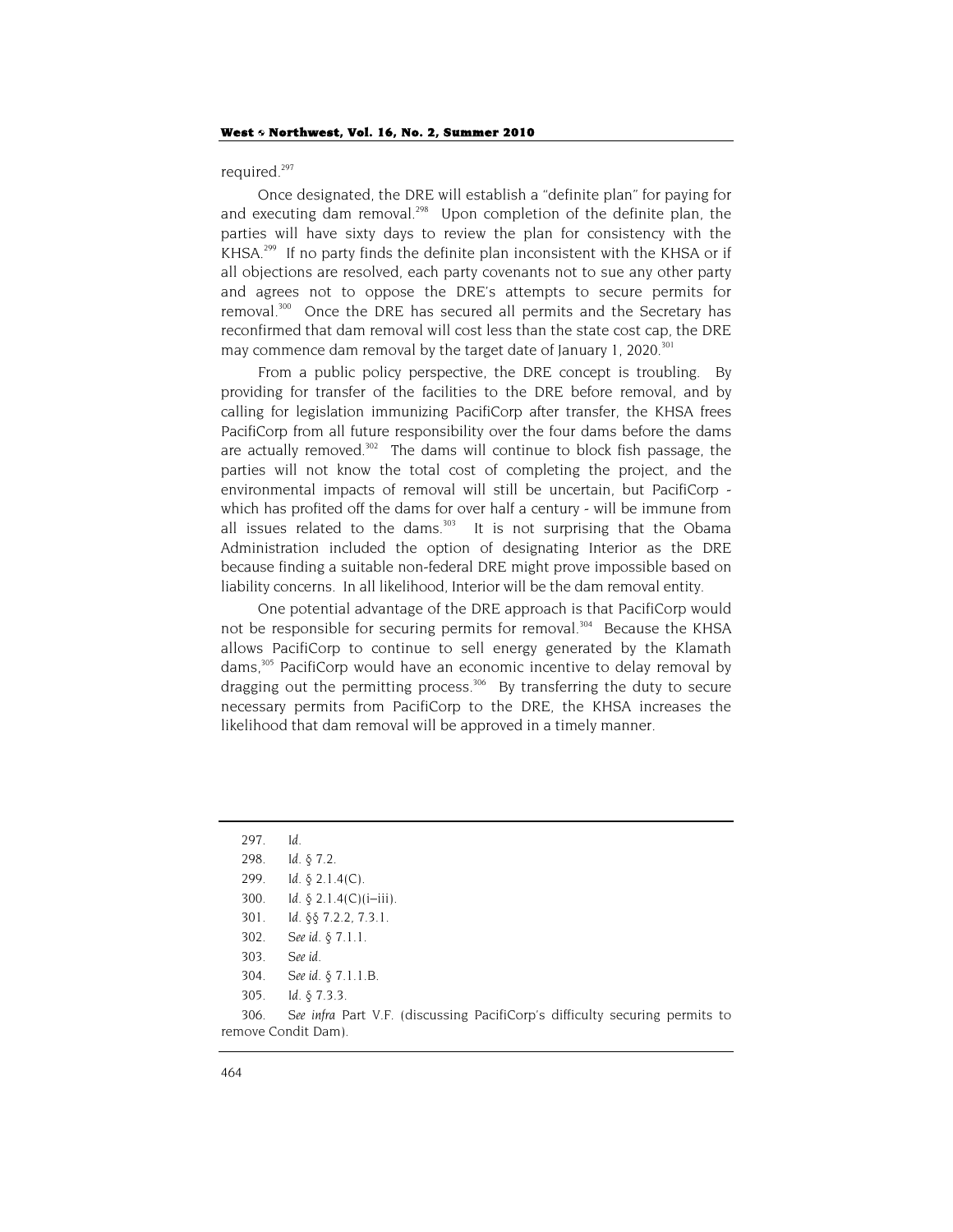required.<sup>297</sup>

Once designated, the DRE will establish a "definite plan" for paying for and executing dam removal.<sup>298</sup> Upon completion of the definite plan, the parties will have sixty days to review the plan for consistency with the KHSA.<sup>299</sup> If no party finds the definite plan inconsistent with the KHSA or if all objections are resolved, each party covenants not to sue any other party and agrees not to oppose the DRE's attempts to secure permits for removal.<sup>300</sup> Once the DRE has secured all permits and the Secretary has reconfirmed that dam removal will cost less than the state cost cap, the DRE may commence dam removal by the target date of January 1, 2020. $301$ 

From a public policy perspective, the DRE concept is troubling. By providing for transfer of the facilities to the DRE before removal, and by calling for legislation immunizing PacifiCorp after transfer, the KHSA frees PacifiCorp from all future responsibility over the four dams before the dams are actually removed. $302$  The dams will continue to block fish passage, the parties will not know the total cost of completing the project, and the environmental impacts of removal will still be uncertain, but PacifiCorp which has profited off the dams for over half a century - will be immune from all issues related to the dams. $303$  It is not surprising that the Obama Administration included the option of designating Interior as the DRE because finding a suitable non-federal DRE might prove impossible based on liability concerns. In all likelihood, Interior will be the dam removal entity.

One potential advantage of the DRE approach is that PacifiCorp would not be responsible for securing permits for removal.<sup>304</sup> Because the KHSA allows PacifiCorp to continue to sell energy generated by the Klamath dams,<sup>305</sup> PacifiCorp would have an economic incentive to delay removal by dragging out the permitting process.<sup>306</sup> By transferring the duty to secure necessary permits from PacifiCorp to the DRE, the KHSA increases the likelihood that dam removal will be approved in a timely manner.

306*. See infra* Part V.F. (discussing PacifiCorp's difficulty securing permits to remove Condit Dam).

<sup>297</sup>*. Id.* 298*. Id.* § 7.2. 299*. Id.* § 2.1.4(C). 300*. Id.* § 2.1.4(C)(i–iii). 301*. Id.* §§ 7.2.2, 7.3.1. 302*. See id.* § 7.1.1. 303*. See id.* 304*. See id.* § 7.1.1.B.

<sup>305</sup>*. Id.* § 7.3.3.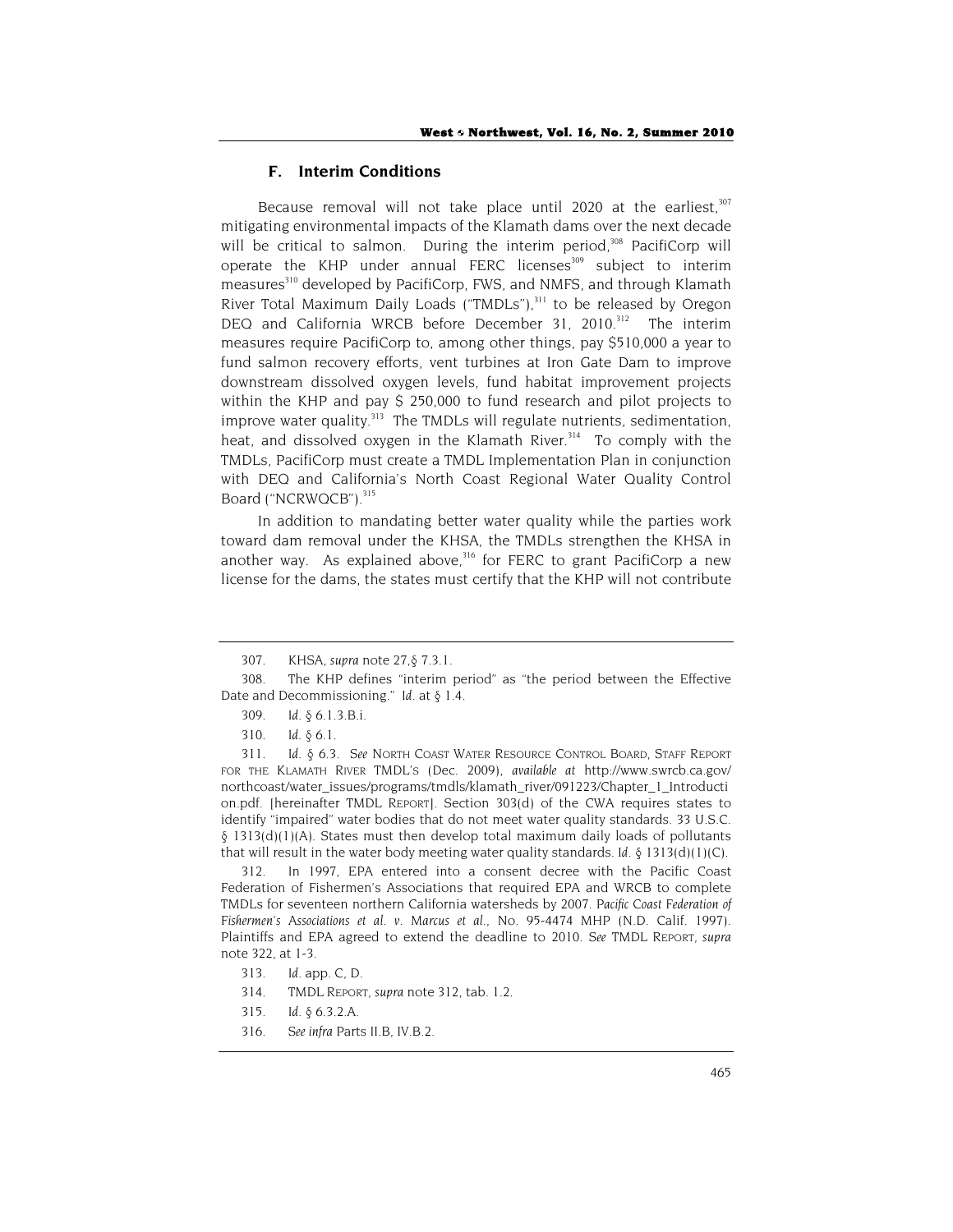## **F. Interim Conditions**

Because removal will not take place until 2020 at the earliest,  $307$ mitigating environmental impacts of the Klamath dams over the next decade will be critical to salmon. During the interim period,<sup>308</sup> PacifiCorp will operate the KHP under annual FERC licenses<sup>309</sup> subject to interim measures<sup>310</sup> developed by PacifiCorp, FWS, and NMFS, and through Klamath River Total Maximum Daily Loads ("TMDLs"),<sup>311</sup> to be released by Oregon DEQ and California WRCB before December 31, 2010.<sup>312</sup> The interim measures require PacifiCorp to, among other things, pay \$510,000 a year to fund salmon recovery efforts, vent turbines at Iron Gate Dam to improve downstream dissolved oxygen levels, fund habitat improvement projects within the KHP and pay \$ 250,000 to fund research and pilot projects to improve water quality.<sup>313</sup> The TMDLs will regulate nutrients, sedimentation, heat, and dissolved oxygen in the Klamath River.<sup>314</sup> To comply with the TMDLs, PacifiCorp must create a TMDL Implementation Plan in conjunction with DEQ and California's North Coast Regional Water Quality Control Board ("NCRWQCB").<sup>315</sup>

In addition to mandating better water quality while the parties work toward dam removal under the KHSA, the TMDLs strengthen the KHSA in another way. As explained above, $316$  for FERC to grant PacifiCorp a new license for the dams, the states must certify that the KHP will not contribute

312. In 1997, EPA entered into a consent decree with the Pacific Coast Federation of Fishermen's Associations that required EPA and WRCB to complete TMDLs for seventeen northern California watersheds by 2007. *Pacific Coast Federation of Fishermen's Associations et al. v. Marcus et al.*, No. 95-4474 MHP (N.D. Calif. 1997). Plaintiffs and EPA agreed to extend the deadline to 2010. *See* TMDL REPORT, *supra* note 322, at 1-3.

- 313*. Id.* app. C, D.
- 314. TMDL REPORT, *supra* note 312, tab. 1.2.
- 315*. Id.* § 6.3.2.A.
- 316*. See infra* Parts II.B, IV.B.2.

<sup>307</sup>*.* KHSA, *supra* note 27,§ 7.3.1.

<sup>308.</sup> The KHP defines "interim period" as "the period between the Effective Date and Decommissioning." *Id.* at § 1.4.

<sup>309</sup>*. Id.* § 6.1.3.B.i.

<sup>310</sup>*. Id.* § 6.1.

<sup>311</sup>*. Id.* § 6.3. *See* NORTH COAST WATER RESOURCE CONTROL BOARD, STAFF REPORT FOR THE KLAMATH RIVER TMDL'S (Dec. 2009), *available at* http://www.swrcb.ca.gov/ northcoast/water\_issues/programs/tmdls/klamath\_river/091223/Chapter\_1\_Introducti on.pdf. [hereinafter TMDL REPORT]. Section 303(d) of the CWA requires states to identify "impaired" water bodies that do not meet water quality standards. 33 U.S.C.  $\S$  1313(d)(1)(A). States must then develop total maximum daily loads of pollutants that will result in the water body meeting water quality standards. *Id.*  $\S$  1313(d)(1)(C).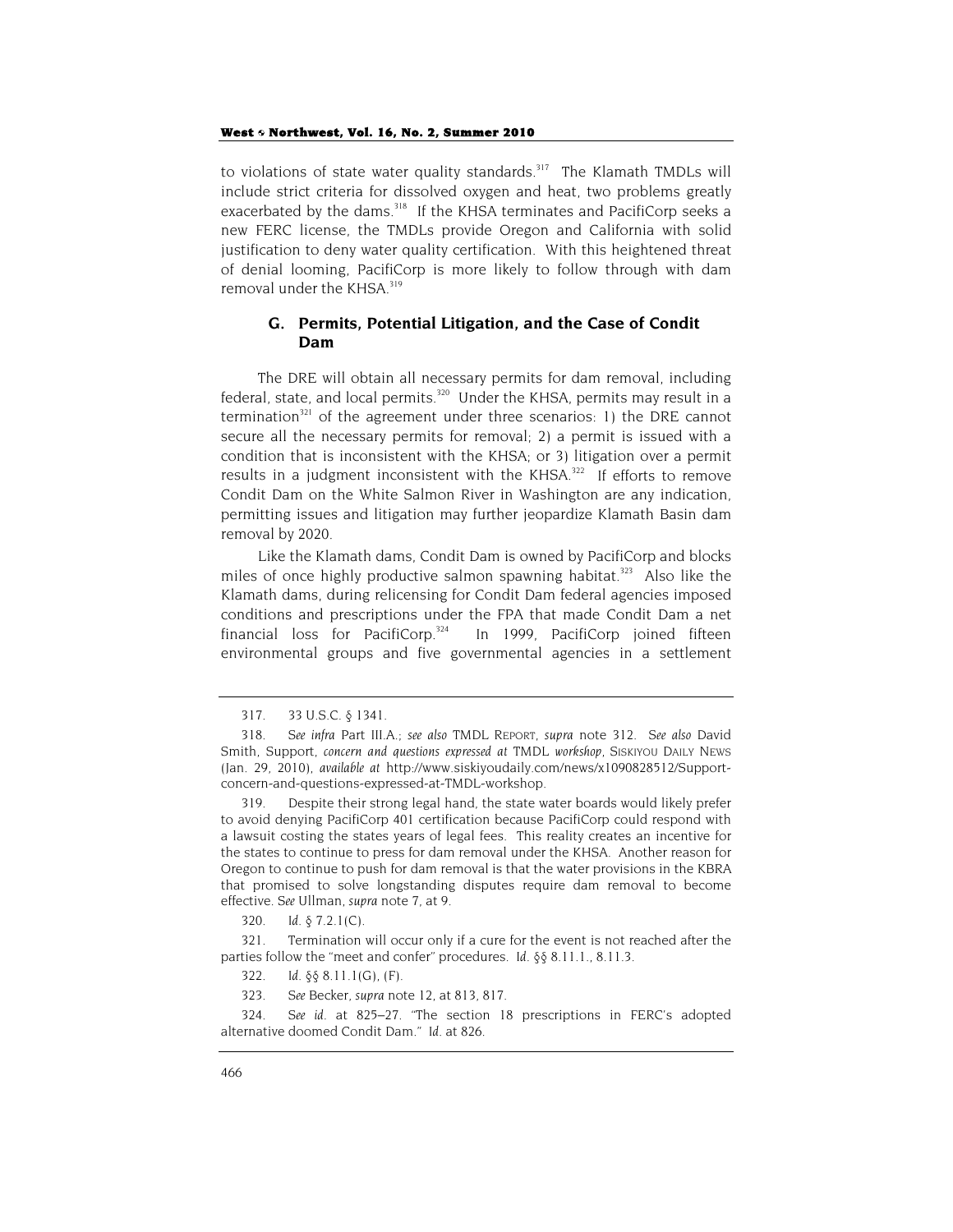to violations of state water quality standards.<sup>317</sup> The Klamath TMDLs will include strict criteria for dissolved oxygen and heat, two problems greatly exacerbated by the dams.<sup>318</sup> If the KHSA terminates and PacifiCorp seeks a new FERC license, the TMDLs provide Oregon and California with solid justification to deny water quality certification. With this heightened threat of denial looming, PacifiCorp is more likely to follow through with dam removal under the KHSA.<sup>319</sup>

# **G. Permits, Potential Litigation, and the Case of Condit Dam**

The DRE will obtain all necessary permits for dam removal, including federal, state, and local permits.<sup>320</sup> Under the KHSA, permits may result in a termination<sup>321</sup> of the agreement under three scenarios: 1) the DRE cannot secure all the necessary permits for removal; 2) a permit is issued with a condition that is inconsistent with the KHSA; or 3) litigation over a permit results in a judgment inconsistent with the KHSA.<sup>322</sup> If efforts to remove Condit Dam on the White Salmon River in Washington are any indication, permitting issues and litigation may further jeopardize Klamath Basin dam removal by 2020.

Like the Klamath dams, Condit Dam is owned by PacifiCorp and blocks miles of once highly productive salmon spawning habitat.<sup>323</sup> Also like the Klamath dams, during relicensing for Condit Dam federal agencies imposed conditions and prescriptions under the FPA that made Condit Dam a net financial loss for PacifiCorp. $324$  In 1999, PacifiCorp joined fifteen environmental groups and five governmental agencies in a settlement

320*. Id.* § 7.2.1(C).

321. Termination will occur only if a cure for the event is not reached after the parties follow the "meet and confer" procedures. *Id.* §§ 8.11.1., 8.11.3.

322*. Id.* §§ 8.11.1(G), (F).

323*. See* Becker, *supra* note 12, at 813, 817.

324*. See id.* at 825–27. "The section 18 prescriptions in FERC's adopted alternative doomed Condit Dam." *Id.* at 826.

<sup>317. 33</sup> U.S.C. § 1341.

<sup>318</sup>*. See infra* Part III.A.; *see also* TMDL REPORT, *supra* note 312*. See also* David Smith, Support, *concern and questions expressed at TMDL workshop*, SISKIYOU DAILY NEWS (Jan. 29, 2010), *available at* http://www.siskiyoudaily.com/news/x1090828512/Supportconcern-and-questions-expressed-at-TMDL-workshop.

<sup>319.</sup> Despite their strong legal hand, the state water boards would likely prefer to avoid denying PacifiCorp 401 certification because PacifiCorp could respond with a lawsuit costing the states years of legal fees. This reality creates an incentive for the states to continue to press for dam removal under the KHSA. Another reason for Oregon to continue to push for dam removal is that the water provisions in the KBRA that promised to solve longstanding disputes require dam removal to become effective. *See* Ullman, *supra* note 7, at 9.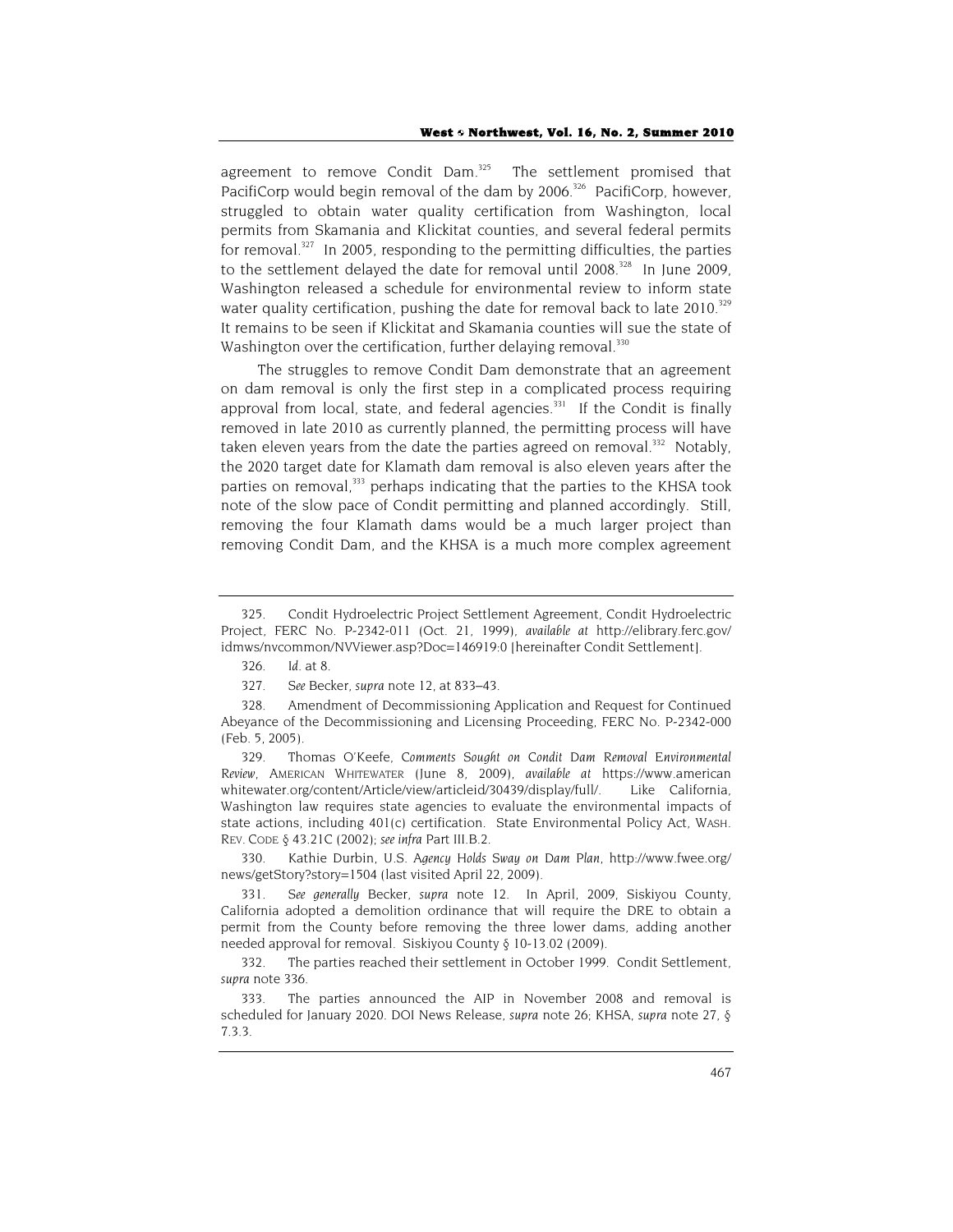agreement to remove Condit Dam. $325$  The settlement promised that PacifiCorp would begin removal of the dam by 2006.<sup>326</sup> PacifiCorp, however, struggled to obtain water quality certification from Washington, local permits from Skamania and Klickitat counties, and several federal permits for removal. $327$  In 2005, responding to the permitting difficulties, the parties to the settlement delayed the date for removal until  $2008<sup>328</sup>$  In June 2009, Washington released a schedule for environmental review to inform state water quality certification, pushing the date for removal back to late  $2010.^{329}$ It remains to be seen if Klickitat and Skamania counties will sue the state of Washington over the certification, further delaying removal.<sup>330</sup>

The struggles to remove Condit Dam demonstrate that an agreement on dam removal is only the first step in a complicated process requiring approval from local, state, and federal agencies.<sup>331</sup> If the Condit is finally removed in late 2010 as currently planned, the permitting process will have taken eleven years from the date the parties agreed on removal.<sup>332</sup> Notably, the 2020 target date for Klamath dam removal is also eleven years after the parties on removal,<sup>333</sup> perhaps indicating that the parties to the KHSA took note of the slow pace of Condit permitting and planned accordingly. Still, removing the four Klamath dams would be a much larger project than removing Condit Dam, and the KHSA is a much more complex agreement

329. Thomas O'Keefe, *Comments Sought on Condit Dam Removal Environmental Review*, AMERICAN WHITEWATER (June 8, 2009), *available at* https://www.american whitewater.org/content/Article/view/articleid/30439/display/full/. Like California, Washington law requires state agencies to evaluate the environmental impacts of state actions, including 401(c) certification. State Environmental Policy Act, WASH. REV. CODE § 43.21C (2002); *see infra* Part III.B.2.

330. Kathie Durbin, *U.S. Agency Holds Sway on Dam Plan*, http://www.fwee.org/ news/getStory?story=1504 (last visited April 22, 2009).

331*. See generally* Becker, *supra* note 12. In April, 2009, Siskiyou County, California adopted a demolition ordinance that will require the DRE to obtain a permit from the County before removing the three lower dams, adding another needed approval for removal. Siskiyou County § 10-13.02 (2009).

332. The parties reached their settlement in October 1999. Condit Settlement, *supra* note 336.

333. The parties announced the AIP in November 2008 and removal is scheduled for January 2020. DOI News Release, *supra* note 26; KHSA, *supra* note 27, § 7.3.3.

<sup>325.</sup> Condit Hydroelectric Project Settlement Agreement, Condit Hydroelectric Project, FERC No. P-2342-011 (Oct. 21, 1999), *available at* http://elibrary.ferc.gov/ idmws/nvcommon/NVViewer.asp?Doc=146919:0 [hereinafter Condit Settlement].

<sup>326</sup>*. Id.* at 8.

<sup>327</sup>*. See* Becker, *supra* note 12, at 833–43.

<sup>328.</sup> Amendment of Decommissioning Application and Request for Continued Abeyance of the Decommissioning and Licensing Proceeding, FERC No. P-2342-000 (Feb. 5, 2005).